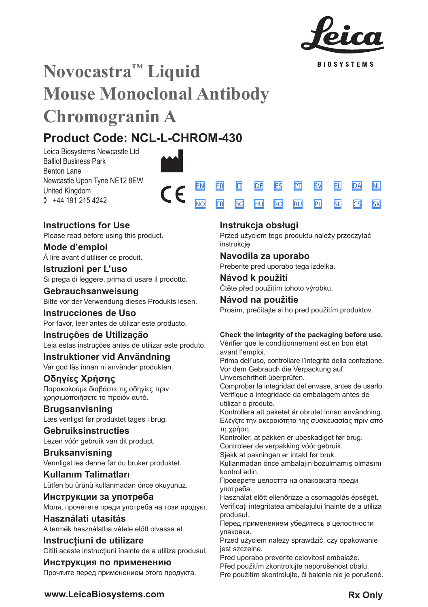

**BIOSYSTEMS** 

[SV](#page-20-0) [EL](#page-23-0) [DA](#page-26-0) [PL](#page-50-0) [SL](#page-53-0) [CS](#page-56-0)

[NL](#page-29-0)

[SK](#page-59-0)

# **Novocastra™ Liquid Mouse Monoclonal Antibody Chromogranin A**

# **Product Code: NCL-L-CHROM-430**

Leica Biosystems Newcastle Ltd Balliol Business Park Benton Lane Newcastle Upon Tyne NE12 8EW United Kingdom  $1 +44 191 215 4242$ 



# **Instructions for Use**

Please read before using this product.

**Mode d'emploi** Á lire avant d'utiliser ce produit.

**Istruzioni per L'uso** Si prega di leggere, prima di usare il prodotto.

# **Gebrauchsanweisung**

Bitte vor der Verwendung dieses Produkts lesen.

**Instrucciones de Uso** Por favor, leer antes de utilizar este producto.

**Instruções de Utilização** Leia estas instruções antes de utilizar este produto.

**Instruktioner vid Användning** Var god läs innan ni använder produkten.

# **Οδηγίες Χρήσης**

Παρακαλούμε διαβάστε τις οδηγίες πριν χρησιμοποιήσετε το προϊόν αυτό.

**Brugsanvisning** Læs venligst før produktet tages i brug.

**Gebruiksinstructies** Lezen vóór gebruik van dit product.

**Bruksanvisning** Vennligst les denne før du bruker produktet.

**Kullanım Talimatları** Lütfen bu ürünü kullanmadan önce okuyunuz.

**Инструкции за употреба** Моля, прочетете преди употреба на този продукт.

**Használati utasítás** A termék használatba vétele előtt olvassa el.

**Instrucțiuni de utilizare** Citiți aceste instrucțiuni înainte de a utiliza produsul.

**Инструкция по применению** Прочтите перед применением этого продукта.

# **Instrukcja obsługi**

Przed użyciem tego produktu należy przeczytać instrukcję.

# **Navodila za uporabo**

Preberite pred uporabo tega izdelka.

**Návod k použití** Čtěte před použitím tohoto výrobku.

# **Návod na použitie**

Prosím, prečítajte si ho pred použitím produktov.

# **Check the integrity of the packaging before use.**

Vérifier que le conditionnement est en bon état avant l'emploi.

Prima dell'uso, controllare l'integrità della confezione. Vor dem Gebrauch die Verpackung auf Unversehrtheit überprüfen.

Comprobar la integridad del envase, antes de usarlo. Verifique a integridade da embalagem antes de utilizar o produto.

Kontrollera att paketet är obrutet innan användning. Ελέγξτε την ακεραιότητα της συσκευασίας πριν από τη χρήση.

Kontroller, at pakken er ubeskadiget før brug. Controleer de verpakking vóór gebruik.

Sjekk at pakningen er intakt før bruk.

Kullanmadan önce ambalajın bozulmamış olmasını kontrol edin.

Проверете целостта на опаковката преди употреба.

Használat előtt ellenőrizze a csomagolás épségét. Verificați integritatea ambalajului înainte de a utiliza produsul.

Перед применением убедитесь в целостности упаковки.

Przed użyciem należy sprawdzić, czy opakowanie jest szczelne.

Pred uporabo preverite celovitost embalaže. Před použitím zkontrolujte neporušenost obalu. Pre použitím skontrolujte, či balenie nie je porušené.

# **www.LeicaBiosystems.com Rx Only**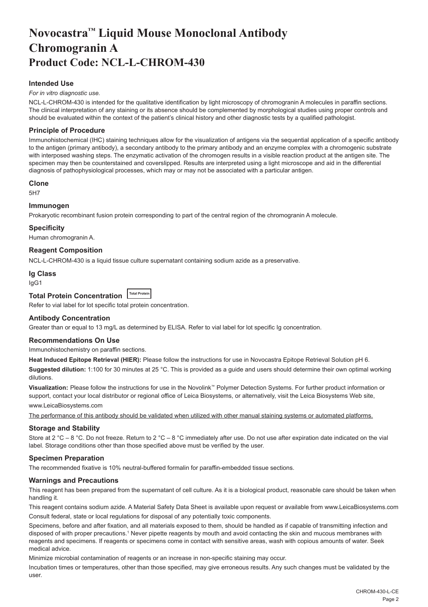# <span id="page-2-0"></span>**Novocastra™ Liquid Mouse Monoclonal Antibody Chromogranin A Product Code: NCL-L-CHROM-430**

# **Intended Use**

## *For in vitro diagnostic use.*

NCL-L-CHROM-430 is intended for the qualitative identification by light microscopy of chromogranin A molecules in paraffin sections. The clinical interpretation of any staining or its absence should be complemented by morphological studies using proper controls and should be evaluated within the context of the patient's clinical history and other diagnostic tests by a qualified pathologist.

## **Principle of Procedure**

Immunohistochemical (IHC) staining techniques allow for the visualization of antigens via the sequential application of a specific antibody to the antigen (primary antibody), a secondary antibody to the primary antibody and an enzyme complex with a chromogenic substrate with interposed washing steps. The enzymatic activation of the chromogen results in a visible reaction product at the antigen site. The specimen may then be counterstained and coverslipped. Results are interpreted using a light microscope and aid in the differential diagnosis of pathophysiological processes, which may or may not be associated with a particular antigen.

#### **Clone**

5H7

## **Immunogen**

Prokaryotic recombinant fusion protein corresponding to part of the central region of the chromogranin A molecule.

## **Specificity**

Human chromogranin A.

## **Reagent Composition**

NCL-L-CHROM-430 is a liquid tissue culture supernatant containing sodium azide as a preservative.

# **Ig Class**

IgG1

# **Total Protein Concentration Total Protein**

Refer to vial label for lot specific total protein concentration.

## **Antibody Concentration**

Greater than or equal to 13 mg/L as determined by ELISA. Refer to vial label for lot specific Ig concentration.

# **Recommendations On Use**

Immunohistochemistry on paraffin sections.

**Heat Induced Epitope Retrieval (HIER):** Please follow the instructions for use in Novocastra Epitope Retrieval Solution pH 6.

**Suggested dilution:** 1:100 for 30 minutes at 25 °C. This is provided as a guide and users should determine their own optimal working dilutions.

**Visualization:** Please follow the instructions for use in the Novolink™ Polymer Detection Systems. For further product information or support, contact your local distributor or regional office of Leica Biosystems, or alternatively, visit the Leica Biosystems Web site, www.LeicaBiosystems.com

The performance of this antibody should be validated when utilized with other manual staining systems or automated platforms.

## **Storage and Stability**

Store at 2 °C – 8 °C. Do not freeze. Return to 2 °C – 8 °C immediately after use. Do not use after expiration date indicated on the vial label. Storage conditions other than those specified above must be verified by the user.

## **Specimen Preparation**

The recommended fixative is 10% neutral-buffered formalin for paraffin-embedded tissue sections.

## **Warnings and Precautions**

This reagent has been prepared from the supernatant of cell culture. As it is a biological product, reasonable care should be taken when handling it.

This reagent contains sodium azide. A Material Safety Data Sheet is available upon request or available from www.LeicaBiosystems.com Consult federal, state or local regulations for disposal of any potentially toxic components.

Specimens, before and after fixation, and all materials exposed to them, should be handled as if capable of transmitting infection and disposed of with proper precautions.1 Never pipette reagents by mouth and avoid contacting the skin and mucous membranes with reagents and specimens. If reagents or specimens come in contact with sensitive areas, wash with copious amounts of water. Seek medical advice.

Minimize microbial contamination of reagents or an increase in non-specific staining may occur.

Incubation times or temperatures, other than those specified, may give erroneous results. Any such changes must be validated by the user.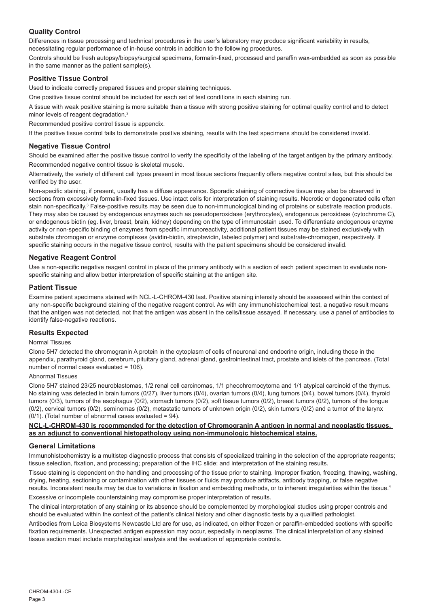# **Quality Control**

Differences in tissue processing and technical procedures in the user's laboratory may produce significant variability in results, necessitating regular performance of in-house controls in addition to the following procedures.

Controls should be fresh autopsy/biopsy/surgical specimens, formalin-fixed, processed and paraffin wax-embedded as soon as possible in the same manner as the patient sample(s).

# **Positive Tissue Control**

Used to indicate correctly prepared tissues and proper staining techniques.

One positive tissue control should be included for each set of test conditions in each staining run.

A tissue with weak positive staining is more suitable than a tissue with strong positive staining for optimal quality control and to detect minor levels of reagent degradation.<sup>2</sup>

Recommended positive control tissue is appendix.

If the positive tissue control fails to demonstrate positive staining, results with the test specimens should be considered invalid.

## **Negative Tissue Control**

Should be examined after the positive tissue control to verify the specificity of the labeling of the target antigen by the primary antibody. Recommended negative control tissue is skeletal muscle.

Alternatively, the variety of different cell types present in most tissue sections frequently offers negative control sites, but this should be verified by the user.

Non-specific staining, if present, usually has a diffuse appearance. Sporadic staining of connective tissue may also be observed in sections from excessively formalin-fixed tissues. Use intact cells for interpretation of staining results. Necrotic or degenerated cells often stain non-specifically.<sup>3</sup> False-positive results may be seen due to non-immunological binding of proteins or substrate reaction products. They may also be caused by endogenous enzymes such as pseudoperoxidase (erythrocytes), endogenous peroxidase (cytochrome C), or endogenous biotin (eg. liver, breast, brain, kidney) depending on the type of immunostain used. To differentiate endogenous enzyme activity or non-specific binding of enzymes from specific immunoreactivity, additional patient tissues may be stained exclusively with substrate chromogen or enzyme complexes (avidin-biotin, streptavidin, labeled polymer) and substrate-chromogen, respectively. If specific staining occurs in the negative tissue control, results with the patient specimens should be considered invalid.

# **Negative Reagent Control**

Use a non-specific negative reagent control in place of the primary antibody with a section of each patient specimen to evaluate nonspecific staining and allow better interpretation of specific staining at the antigen site.

## **Patient Tissue**

Examine patient specimens stained with NCL-L-CHROM-430 last. Positive staining intensity should be assessed within the context of any non-specific background staining of the negative reagent control. As with any immunohistochemical test, a negative result means that the antigen was not detected, not that the antigen was absent in the cells/tissue assayed. If necessary, use a panel of antibodies to identify false-negative reactions.

# **Results Expected**

# Normal Tissues

Clone 5H7 detected the chromogranin A protein in the cytoplasm of cells of neuronal and endocrine origin, including those in the appendix, parathyroid gland, cerebrum, pituitary gland, adrenal gland, gastrointestinal tract, prostate and islets of the pancreas. (Total number of normal cases evaluated = 106).

# Abnormal Tissues

Clone 5H7 stained 23/25 neuroblastomas, 1/2 renal cell carcinomas, 1/1 pheochromocytoma and 1/1 atypical carcinoid of the thymus. No staining was detected in brain tumors (0/27), liver tumors (0/4), ovarian tumors (0/4), lung tumors (0/4), bowel tumors (0/4), thyroid tumors (0/3), tumors of the esophagus (0/2), stomach tumors (0/2), soft tissue tumors (0/2), breast tumors (0/2), tumors of the tongue (0/2), cervical tumors (0/2), seminomas (0/2), metastatic tumors of unknown origin (0/2), skin tumors (0/2) and a tumor of the larynx  $(0/1)$ . (Total number of abnormal cases evaluated = 94).

## **NCL-L-CHROM-430 is recommended for the detection of Chromogranin A antigen in normal and neoplastic tissues, as an adjunct to conventional histopathology using non-immunologic histochemical stains.**

## **General Limitations**

Immunohistochemistry is a multistep diagnostic process that consists of specialized training in the selection of the appropriate reagents; tissue selection, fixation, and processing; preparation of the IHC slide; and interpretation of the staining results.

Tissue staining is dependent on the handling and processing of the tissue prior to staining. Improper fixation, freezing, thawing, washing, drying, heating, sectioning or contamination with other tissues or fluids may produce artifacts, antibody trapping, or false negative results. Inconsistent results may be due to variations in fixation and embedding methods, or to inherent irregularities within the tissue.<sup>4</sup> Excessive or incomplete counterstaining may compromise proper interpretation of results.

The clinical interpretation of any staining or its absence should be complemented by morphological studies using proper controls and should be evaluated within the context of the patient's clinical history and other diagnostic tests by a qualified pathologist.

Antibodies from Leica Biosystems Newcastle Ltd are for use, as indicated, on either frozen or paraffin-embedded sections with specific fixation requirements. Unexpected antigen expression may occur, especially in neoplasms. The clinical interpretation of any stained tissue section must include morphological analysis and the evaluation of appropriate controls.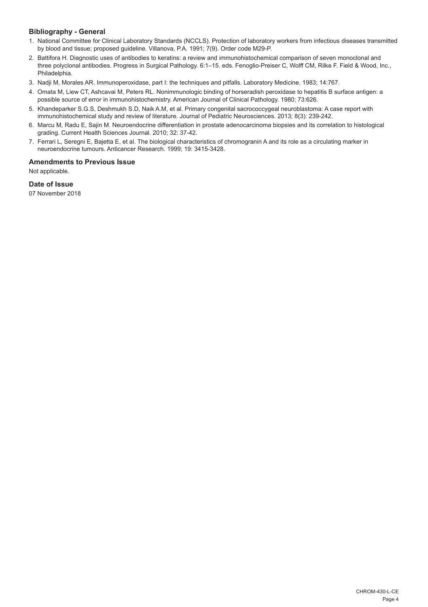# **Bibliography - General**

- 1. National Committee for Clinical Laboratory Standards (NCCLS). Protection of laboratory workers from infectious diseases transmitted by blood and tissue; proposed guideline. Villanova, P.A. 1991; 7(9). Order code M29-P.
- 2. Battifora H. Diagnostic uses of antibodies to keratins: a review and immunohistochemical comparison of seven monoclonal and three polyclonal antibodies. Progress in Surgical Pathology. 6:1–15. eds. Fenoglio-Preiser C, Wolff CM, Rilke F. Field & Wood, Inc., Philadelphia.
- 3. Nadji M, Morales AR. Immunoperoxidase, part I: the techniques and pitfalls. Laboratory Medicine. 1983; 14:767.
- 4. Omata M, Liew CT, Ashcavai M, Peters RL. Nonimmunologic binding of horseradish peroxidase to hepatitis B surface antigen: a possible source of error in immunohistochemistry. American Journal of Clinical Pathology. 1980; 73:626.
- 5. Khandeparker S.G.S, Deshmukh S.D, Naik A.M, et al. Primary congenital sacrococcygeal neuroblastoma: A case report with immunohistochemical study and review of literature. Journal of Pediatric Neurosciences. 2013; 8(3): 239-242.
- 6. Marcu M, Radu E, Sajin M. Neuroendocrine differentiation in prostate adenocarcinoma biopsies and its correlation to histological grading. Current Health Sciences Journal. 2010; 32: 37-42.
- 7. Ferrari L, Seregni E, Bajetta E, et al. The biological characteristics of chromogranin A and its role as a circulating marker in neuroendocrine tumours. Anticancer Research. 1999; 19: 3415-3428.

# **Amendments to Previous Issue**

Not applicable.

# **Date of Issue**

07 November 2018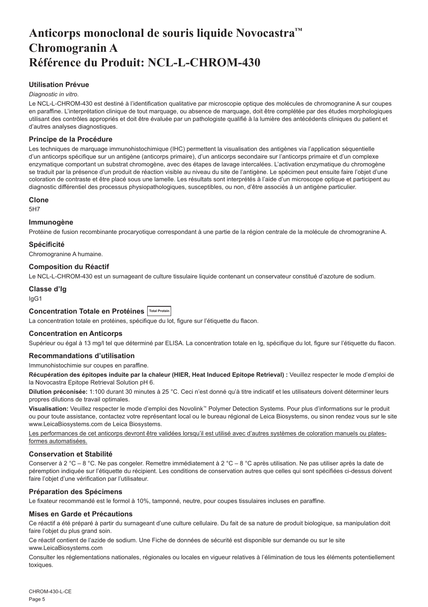# <span id="page-5-0"></span>**Anticorps monoclonal de souris liquide Novocastra™ Chromogranin A Référence du Produit: NCL-L-CHROM-430**

# **Utilisation Prévue**

### *Diagnostic in vitro*.

Le NCL-L-CHROM-430 est destiné à l'identification qualitative par microscopie optique des molécules de chromogranine A sur coupes en paraffine. L'interprétation clinique de tout marquage, ou absence de marquage, doit être complétée par des études morphologiques utilisant des contrôles appropriés et doit être évaluée par un pathologiste qualifié à la lumière des antécédents cliniques du patient et d'autres analyses diagnostiques.

# **Principe de la Procédure**

Les techniques de marquage immunohistochimique (IHC) permettent la visualisation des antigènes via l'application séquentielle d'un anticorps spécifique sur un antigène (anticorps primaire), d'un anticorps secondaire sur l'anticorps primaire et d'un complexe enzymatique comportant un substrat chromogène, avec des étapes de lavage intercalées. L'activation enzymatique du chromogène se traduit par la présence d'un produit de réaction visible au niveau du site de l'antigène. Le spécimen peut ensuite faire l'objet d'une coloration de contraste et être placé sous une lamelle. Les résultats sont interprétés à l'aide d'un microscope optique et participent au diagnostic différentiel des processus physiopathologiques, susceptibles, ou non, d'être associés à un antigène particulier.

## **Clone**

 $5H7$ 

## **Immunogène**

Protéine de fusion recombinante procaryotique correspondant à une partie de la région centrale de la molécule de chromogranine A.

## **Spécificité**

Chromogranine A humaine.

## **Composition du Réactif**

Le NCL-L-CHROM-430 est un surnageant de culture tissulaire liquide contenant un conservateur constitué d'azoture de sodium.

# **Classe d'Ig**

IgG1

# **Concentration Totale en Protéines Total Protein**

La concentration totale en protéines, spécifique du lot, figure sur l'étiquette du flacon.

# **Concentration en Anticorps**

Supérieur ou égal à 13 mg/l tel que déterminé par ELISA. La concentration totale en Ig, spécifique du lot, figure sur l'étiquette du flacon.

## **Recommandations d'utilisation**

Immunohistochimie sur coupes en paraffine.

**Récupération des épitopes induite par la chaleur (HIER, Heat Induced Epitope Retrieval) :** Veuillez respecter le mode d'emploi de la Novocastra Epitope Retrieval Solution pH 6.

**Dilution préconisée:** 1:100 durant 30 minutes à 25 °C. Ceci n'est donné qu'à titre indicatif et les utilisateurs doivent déterminer leurs propres dilutions de travail optimales.

**Visualisation:** Veuillez respecter le mode d'emploi des Novolink™ Polymer Detection Systems. Pour plus d'informations sur le produit ou pour toute assistance, contactez votre représentant local ou le bureau régional de Leica Biosystems, ou sinon rendez vous sur le site www.LeicaBiosystems.com de Leica Biosystems.

Les performances de cet anticorps devront être validées lorsqu'il est utilisé avec d'autres systèmes de coloration manuels ou platesformes automatisées.

# **Conservation et Stabilité**

Conserver à 2 °C – 8 °C. Ne pas congeler. Remettre immédiatement à 2 °C – 8 °C après utilisation. Ne pas utiliser après la date de péremption indiquée sur l'étiquette du récipient. Les conditions de conservation autres que celles qui sont spécifiées ci-dessus doivent faire l'objet d'une vérification par l'utilisateur.

## **Préparation des Spécimens**

Le fixateur recommandé est le formol à 10%, tamponné, neutre, pour coupes tissulaires incluses en paraffine.

## **Mises en Garde et Précautions**

Ce réactif a été préparé à partir du surnageant d'une culture cellulaire. Du fait de sa nature de produit biologique, sa manipulation doit faire l'objet du plus grand soin.

Ce réactif contient de l'azide de sodium. Une Fiche de données de sécurité est disponible sur demande ou sur le site www.LeicaBiosystems.com

Consulter les réglementations nationales, régionales ou locales en vigueur relatives à l'élimination de tous les éléments potentiellement toxiques.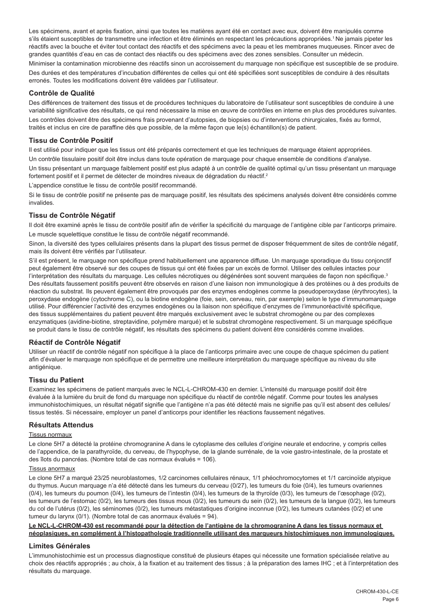Les spécimens, avant et après fixation, ainsi que toutes les matières ayant été en contact avec eux, doivent être manipulés comme s'ils étaient susceptibles de transmettre une infection et être éliminés en respectant les précautions appropriées.<sup>1</sup>Ne jamais pipeter les réactifs avec la bouche et éviter tout contact des réactifs et des spécimens avec la peau et les membranes muqueuses. Rincer avec de grandes quantités d'eau en cas de contact des réactifs ou des spécimens avec des zones sensibles. Consulter un médecin.

Minimiser la contamination microbienne des réactifs sinon un accroissement du marquage non spécifique est susceptible de se produire. Des durées et des températures d'incubation différentes de celles qui ont été spécifiées sont susceptibles de conduire à des résultats erronés. Toutes les modifications doivent être validées par l'utilisateur.

# **Contrôle de Qualité**

Des différences de traitement des tissus et de procédures techniques du laboratoire de l'utilisateur sont susceptibles de conduire à une variabilité significative des résultats, ce qui rend nécessaire la mise en œuvre de contrôles en interne en plus des procédures suivantes.

Les contrôles doivent être des spécimens frais provenant d'autopsies, de biopsies ou d'interventions chirurgicales, fixés au formol, traités et inclus en cire de paraffine dès que possible, de la même façon que le(s) échantillon(s) de patient.

# **Tissu de Contrôle Positif**

Il est utilisé pour indiquer que les tissus ont été préparés correctement et que les techniques de marquage étaient appropriées. Un contrôle tissulaire positif doit être inclus dans toute opération de marquage pour chaque ensemble de conditions d'analyse. Un tissu présentant un marquage faiblement positif est plus adapté à un contrôle de qualité optimal qu'un tissu présentant un marquage fortement positif et il permet de détecter de moindres niveaux de dégradation du réactif.<sup>2</sup>

L'appendice constitue le tissu de contrôle positif recommandé.

Si le tissu de contrôle positif ne présente pas de marquage positif, les résultats des spécimens analysés doivent être considérés comme invalides.

# **Tissu de Contrôle Négatif**

Il doit être examiné après le tissu de contrôle positif afin de vérifier la spécificité du marquage de l'antigène cible par l'anticorps primaire. Le muscle squelettique constitue le tissu de contrôle négatif recommandé.

Sinon, la diversité des types cellulaires présents dans la plupart des tissus permet de disposer fréquemment de sites de contrôle négatif, mais ils doivent être vérifiés par l'utilisateur.

S'il est présent, le marquage non spécifique prend habituellement une apparence diffuse. Un marquage sporadique du tissu conjonctif peut également être observé sur des coupes de tissus qui ont été fixées par un excès de formol. Utiliser des cellules intactes pour l'interprétation des résultats du marquage. Les cellules nécrotiques ou dégénérées sont souvent marquées de façon non spécifique.<sup>3</sup> Des résultats faussement positifs peuvent être observés en raison d'une liaison non immunologique à des protéines ou à des produits de réaction du substrat. Ils peuvent également être provoqués par des enzymes endogènes comme la pseudoperoxydase (érythrocytes), la peroxydase endogène (cytochrome C), ou la biotine endogène (foie, sein, cerveau, rein, par exemple) selon le type d'immunomarquage utilisé. Pour différencier l'activité des enzymes endogènes ou la liaison non spécifique d'enzymes de l'immunoréactivité spécifique, des tissus supplémentaires du patient peuvent être marqués exclusivement avec le substrat chromogène ou par des complexes enzymatiques (avidine-biotine, streptavidine, polymère marqué) et le substrat chromogène respectivement. Si un marquage spécifique se produit dans le tissu de contrôle négatif, les résultats des spécimens du patient doivent être considérés comme invalides.

# **Réactif de Contrôle Négatif**

Utiliser un réactif de contrôle négatif non spécifique à la place de l'anticorps primaire avec une coupe de chaque spécimen du patient afin d'évaluer le marquage non spécifique et de permettre une meilleure interprétation du marquage spécifique au niveau du site antigénique.

# **Tissu du Patient**

Examinez les spécimens de patient marqués avec le NCL-L-CHROM-430 en dernier. L'intensité du marquage positif doit être évaluée à la lumière du bruit de fond du marquage non spécifique du réactif de contrôle négatif. Comme pour toutes les analyses immunohistochimiques, un résultat négatif signifie que l'antigène n'a pas été détecté mais ne signifie pas qu'il est absent des cellules/ tissus testés. Si nécessaire, employer un panel d'anticorps pour identifier les réactions faussement négatives.

# **Résultats Attendus**

## Tissus normaux

Le clone 5H7 a détecté la protéine chromogranine A dans le cytoplasme des cellules d'origine neurale et endocrine, y compris celles de l'appendice, de la parathyroïde, du cerveau, de l'hypophyse, de la glande surrénale, de la voie gastro-intestinale, de la prostate et des îlots du pancréas. (Nombre total de cas normaux évalués = 106).

## Tissus anormaux

Le clone 5H7 a marqué 23/25 neuroblastomes, 1/2 carcinomes cellulaires rénaux, 1/1 phéochromocytomes et 1/1 carcinoïde atypique du thymus. Aucun marquage n'a été détecté dans les tumeurs du cerveau (0/27), les tumeurs du foie (0/4), les tumeurs ovariennes (0/4), les tumeurs du poumon (0/4), les tumeurs de l'intestin (0/4), les tumeurs de la thyroïde (0/3), les tumeurs de l'œsophage (0/2), les tumeurs de l'estomac (0/2), les tumeurs des tissus mous (0/2), les tumeurs du sein (0/2), les tumeurs de la langue (0/2), les tumeurs du col de l'utérus (0/2), les séminomes (0/2), les tumeurs métastatiques d'origine inconnue (0/2), les tumeurs cutanées (0/2) et une tumeur du larynx (0/1). (Nombre total de cas anormaux évalués = 94).

# **Le NCL-L-CHROM-430 est recommandé pour la détection de l'antigène de la chromogranine A dans les tissus normaux et néoplasiques, en complément à l'histopathologie traditionnelle utilisant des marqueurs histochimiques non immunologiques.**

# **Limites Générales**

L'immunohistochimie est un processus diagnostique constitué de plusieurs étapes qui nécessite une formation spécialisée relative au choix des réactifs appropriés ; au choix, à la fixation et au traitement des tissus ; à la préparation des lames IHC ; et à l'interprétation des résultats du marquage.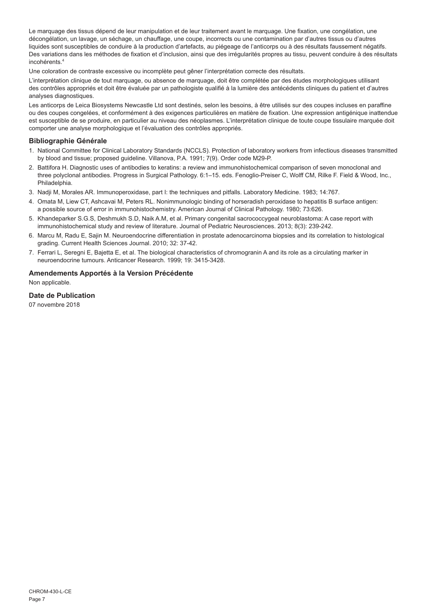Le marquage des tissus dépend de leur manipulation et de leur traitement avant le marquage. Une fixation, une congélation, une décongélation, un lavage, un séchage, un chauffage, une coupe, incorrects ou une contamination par d'autres tissus ou d'autres liquides sont susceptibles de conduire à la production d'artefacts, au piégeage de l'anticorps ou à des résultats faussement négatifs. Des variations dans les méthodes de fixation et d'inclusion, ainsi que des irrégularités propres au tissu, peuvent conduire à des résultats incohérents.<sup>4</sup>

Une coloration de contraste excessive ou incomplète peut gêner l'interprétation correcte des résultats.

L'interprétation clinique de tout marquage, ou absence de marquage, doit être complétée par des études morphologiques utilisant des contrôles appropriés et doit être évaluée par un pathologiste qualifié à la lumière des antécédents cliniques du patient et d'autres analyses diagnostiques.

Les anticorps de Leica Biosystems Newcastle Ltd sont destinés, selon les besoins, à être utilisés sur des coupes incluses en paraffine ou des coupes congelées, et conformément à des exigences particulières en matière de fixation. Une expression antigénique inattendue est susceptible de se produire, en particulier au niveau des néoplasmes. L'interprétation clinique de toute coupe tissulaire marquée doit comporter une analyse morphologique et l'évaluation des contrôles appropriés.

# **Bibliographie Générale**

- 1. National Committee for Clinical Laboratory Standards (NCCLS). Protection of laboratory workers from infectious diseases transmitted by blood and tissue; proposed guideline. Villanova, P.A. 1991; 7(9). Order code M29-P.
- 2. Battifora H. Diagnostic uses of antibodies to keratins: a review and immunohistochemical comparison of seven monoclonal and three polyclonal antibodies. Progress in Surgical Pathology. 6:1–15. eds. Fenoglio-Preiser C, Wolff CM, Rilke F. Field & Wood, Inc., Philadelphia.
- 3. Nadji M, Morales AR. Immunoperoxidase, part I: the techniques and pitfalls. Laboratory Medicine. 1983; 14:767.
- 4. Omata M, Liew CT, Ashcavai M, Peters RL. Nonimmunologic binding of horseradish peroxidase to hepatitis B surface antigen: a possible source of error in immunohistochemistry. American Journal of Clinical Pathology. 1980; 73:626.
- 5. Khandeparker S.G.S, Deshmukh S.D, Naik A.M, et al. Primary congenital sacrococcygeal neuroblastoma: A case report with immunohistochemical study and review of literature. Journal of Pediatric Neurosciences. 2013; 8(3): 239-242.
- 6. Marcu M, Radu E, Sajin M. Neuroendocrine differentiation in prostate adenocarcinoma biopsies and its correlation to histological grading. Current Health Sciences Journal. 2010; 32: 37-42.
- 7. Ferrari L, Seregni E, Bajetta E, et al. The biological characteristics of chromogranin A and its role as a circulating marker in neuroendocrine tumours. Anticancer Research. 1999; 19: 3415-3428.

# **Amendements Apportés à la Version Précédente**

Non applicable.

# **Date de Publication**

07 novembre 2018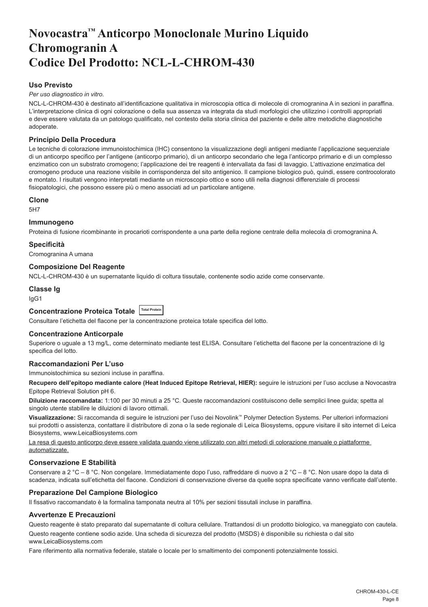# <span id="page-8-0"></span>**Novocastra™ Anticorpo Monoclonale Murino Liquido Chromogranin A Codice Del Prodotto: NCL-L-CHROM-430**

# **Uso Previsto**

### *Per uso diagnostico in vitro*.

NCL-L-CHROM-430 è destinato all'identificazione qualitativa in microscopia ottica di molecole di cromogranina A in sezioni in paraffina. L'interpretazione clinica di ogni colorazione o della sua assenza va integrata da studi morfologici che utilizzino i controlli appropriati e deve essere valutata da un patologo qualificato, nel contesto della storia clinica del paziente e delle altre metodiche diagnostiche adoperate.

## **Principio Della Procedura**

Le tecniche di colorazione immunoistochimica (IHC) consentono la visualizzazione degli antigeni mediante l'applicazione sequenziale di un anticorpo specifico per l'antigene (anticorpo primario), di un anticorpo secondario che lega l'anticorpo primario e di un complesso enzimatico con un substrato cromogeno; l'applicazione dei tre reagenti è intervallata da fasi di lavaggio. L'attivazione enzimatica del cromogeno produce una reazione visibile in corrispondenza del sito antigenico. Il campione biologico può, quindi, essere controcolorato e montato. I risultati vengono interpretati mediante un microscopio ottico e sono utili nella diagnosi differenziale di processi fisiopatologici, che possono essere più o meno associati ad un particolare antigene.

## **Clone**

5H7

# **Immunogeno**

Proteina di fusione ricombinante in procarioti corrispondente a una parte della regione centrale della molecola di cromogranina A.

## **Specificità**

Cromogranina A umana

## **Composizione Del Reagente**

NCL-L-CHROM-430 è un supernatante liquido di coltura tissutale, contenente sodio azide come conservante.

# **Classe Ig**

IgG1

# **Concentrazione Proteica Totale Total Protein**

Consultare l'etichetta del flacone per la concentrazione proteica totale specifica del lotto.

# **Concentrazione Anticorpale**

Superiore o uguale a 13 mg/L, come determinato mediante test ELISA. Consultare l'etichetta del flacone per la concentrazione di Ig specifica del lotto.

# **Raccomandazioni Per L'uso**

Immunoistochimica su sezioni incluse in paraffina.

**Recupero dell'epitopo mediante calore (Heat Induced Epitope Retrieval, HIER):** seguire le istruzioni per l'uso accluse a Novocastra Epitope Retrieval Solution pH 6.

**Diluizione raccomandata:** 1:100 per 30 minuti a 25 °C. Queste raccomandazioni costituiscono delle semplici linee guida; spetta al singolo utente stabilire le diluizioni di lavoro ottimali.

**Visualizzazione:** Si raccomanda di seguire le istruzioni per l'uso dei Novolink™ Polymer Detection Systems. Per ulteriori informazioni sui prodotti o assistenza, contattare il distributore di zona o la sede regionale di Leica Biosystems, oppure visitare il sito internet di Leica Biosystems, www.LeicaBiosystems.com

La resa di questo anticorpo deve essere validata quando viene utilizzato con altri metodi di colorazione manuale o piattaforme automatizzate.

# **Conservazione E Stabilità**

Conservare a 2 °C – 8 °C. Non congelare. Immediatamente dopo l'uso, raffreddare di nuovo a 2 °C – 8 °C. Non usare dopo la data di scadenza, indicata sull'etichetta del flacone. Condizioni di conservazione diverse da quelle sopra specificate vanno verificate dall'utente.

# **Preparazione Del Campione Biologico**

Il fissativo raccomandato è la formalina tamponata neutra al 10% per sezioni tissutali incluse in paraffina.

# **Avvertenze E Precauzioni**

Questo reagente è stato preparato dal supernatante di coltura cellulare. Trattandosi di un prodotto biologico, va maneggiato con cautela. Questo reagente contiene sodio azide. Una scheda di sicurezza del prodotto (MSDS) è disponibile su richiesta o dal sito www.LeicaBiosystems.com

Fare riferimento alla normativa federale, statale o locale per lo smaltimento dei componenti potenzialmente tossici.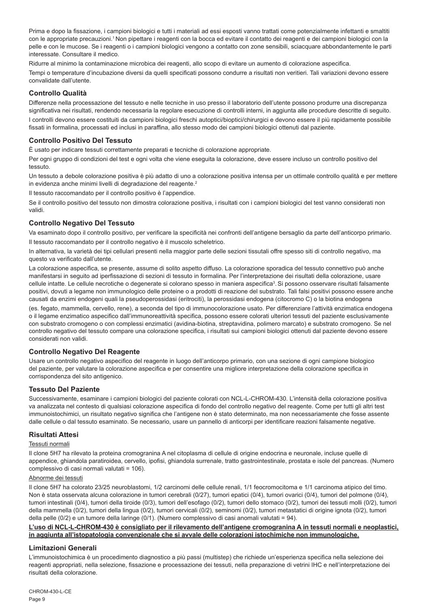Prima e dopo la fissazione, i campioni biologici e tutti i materiali ad essi esposti vanno trattati come potenzialmente infettanti e smaltiti con le appropriate precauzioni.<sup>1</sup> Non pipettare i reagenti con la bocca ed evitare il contatto dei reagenti e dei campioni biologici con la pelle e con le mucose. Se i reagenti o i campioni biologici vengono a contatto con zone sensibili, sciacquare abbondantemente le parti interessate. Consultare il medico.

Ridurre al minimo la contaminazione microbica dei reagenti, allo scopo di evitare un aumento di colorazione aspecifica.

Tempi o temperature d'incubazione diversi da quelli specificati possono condurre a risultati non veritieri. Tali variazioni devono essere convalidate dall'utente.

# **Controllo Qualità**

Differenze nella processazione del tessuto e nelle tecniche in uso presso il laboratorio dell'utente possono produrre una discrepanza significativa nei risultati, rendendo necessaria la regolare esecuzione di controlli interni, in aggiunta alle procedure descritte di seguito.

I controlli devono essere costituiti da campioni biologici freschi autoptici/bioptici/chirurgici e devono essere il più rapidamente possibile fissati in formalina, processati ed inclusi in paraffina, allo stesso modo dei campioni biologici ottenuti dal paziente.

# **Controllo Positivo Del Tessuto**

È usato per indicare tessuti correttamente preparati e tecniche di colorazione appropriate.

Per ogni gruppo di condizioni del test e ogni volta che viene eseguita la colorazione, deve essere incluso un controllo positivo del tessuto.

Un tessuto a debole colorazione positiva è più adatto di uno a colorazione positiva intensa per un ottimale controllo qualità e per mettere in evidenza anche minimi livelli di degradazione del reagente.<sup>2</sup>

Il tessuto raccomandato per il controllo positivo è l'appendice.

Se il controllo positivo del tessuto non dimostra colorazione positiva, i risultati con i campioni biologici del test vanno considerati non validi.

# **Controllo Negativo Del Tessuto**

Va esaminato dopo il controllo positivo, per verificare la specificità nei confronti dell'antigene bersaglio da parte dell'anticorpo primario. Il tessuto raccomandato per il controllo negativo è il muscolo scheletrico.

In alternativa, la varietà dei tipi cellulari presenti nella maggior parte delle sezioni tissutali offre spesso siti di controllo negativo, ma questo va verificato dall'utente.

La colorazione aspecifica, se presente, assume di solito aspetto diffuso. La colorazione sporadica del tessuto connettivo può anche manifestarsi in seguito ad iperfissazione di sezioni di tessuto in formalina. Per l'interpretazione dei risultati della colorazione, usare cellule intatte. Le cellule necrotiche o degenerate si colorano spesso in maniera aspecifica<sup>3</sup>. Si possono osservare risultati falsamente positivi, dovuti a legame non immunologico delle proteine o a prodotti di reazione del substrato. Tali falsi positivi possono essere anche causati da enzimi endogeni quali la pseudoperossidasi (eritrociti), la perossidasi endogena (citocromo C) o la biotina endogena

(es. fegato, mammella, cervello, rene), a seconda del tipo di immunocolorazione usato. Per differenziare l'attività enzimatica endogena o il legame enzimatico aspecifico dall'immunoreattività specifica, possono essere colorati ulteriori tessuti del paziente esclusivamente con substrato cromogeno o con complessi enzimatici (avidina-biotina, streptavidina, polimero marcato) e substrato cromogeno. Se nel controllo negativo del tessuto compare una colorazione specifica, i risultati sui campioni biologici ottenuti dal paziente devono essere considerati non validi.

# **Controllo Negativo Del Reagente**

Usare un controllo negativo aspecifico del reagente in luogo dell'anticorpo primario, con una sezione di ogni campione biologico del paziente, per valutare la colorazione aspecifica e per consentire una migliore interpretazione della colorazione specifica in corrispondenza del sito antigenico.

# **Tessuto Del Paziente**

Successivamente, esaminare i campioni biologici del paziente colorati con NCL-L-CHROM-430. L'intensità della colorazione positiva va analizzata nel contesto di qualsiasi colorazione aspecifica di fondo del controllo negativo del reagente. Come per tutti gli altri test immunoistochimici, un risultato negativo significa che l'antigene non è stato determinato, ma non necessariamente che fosse assente dalle cellule o dal tessuto esaminato. Se necessario, usare un pannello di anticorpi per identificare reazioni falsamente negative.

## **Risultati Attesi**

# Tessuti normali

Il clone 5H7 ha rilevato la proteina cromogranina A nel citoplasma di cellule di origine endocrina e neuronale, incluse quelle di appendice, ghiandola paratiroidea, cervello, ipofisi, ghiandola surrenale, tratto gastrointestinale, prostata e isole del pancreas. (Numero complessivo di casi normali valutati = 106).

# Abnorme dei tessuti

Il clone 5H7 ha colorato 23/25 neuroblastomi, 1/2 carcinomi delle cellule renali, 1/1 feocromocitoma e 1/1 carcinoma atipico del timo. Non è stata osservata alcuna colorazione in tumori cerebrali (0/27), tumori epatici (0/4), tumori ovarici (0/4), tumori del polmone (0/4), tumori intestinali (0/4), tumori della tiroide (0/3), tumori dell'esofago (0/2), tumori dello stomaco (0/2), tumori dei tessuti molli (0/2), tumori della mammella (0/2), tumori della lingua (0/2), tumori cervicali (0/2), seminomi (0/2), tumori metastatici di origine ignota (0/2), tumori della pelle (0/2) e un tumore della laringe (0/1). (Numero complessivo di casi anomali valutati = 94).

## **L'uso di NCL-L-CHROM-430 è consigliato per il rilevamento dell'antigene cromogranina A in tessuti normali e neoplastici, in aggiunta all'istopatologia convenzionale che si avvale delle colorazioni istochimiche non immunologiche.**

# **Limitazioni Generali**

L'immunoistochimica è un procedimento diagnostico a più passi (multistep) che richiede un'esperienza specifica nella selezione dei reagenti appropriati, nella selezione, fissazione e processazione dei tessuti, nella preparazione di vetrini IHC e nell'interpretazione dei risultati della colorazione.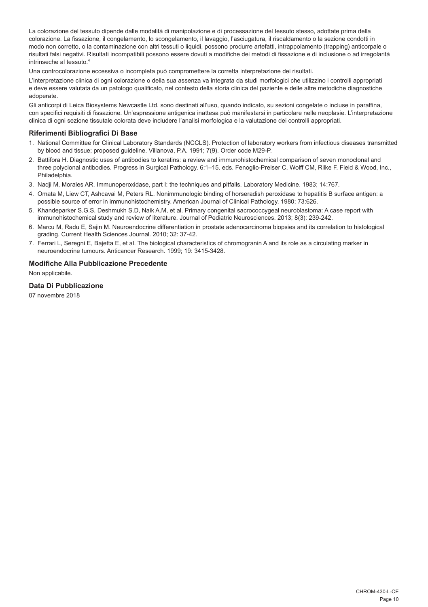La colorazione del tessuto dipende dalle modalità di manipolazione e di processazione del tessuto stesso, adottate prima della colorazione. La fissazione, il congelamento, lo scongelamento, il lavaggio, l'asciugatura, il riscaldamento o la sezione condotti in modo non corretto, o la contaminazione con altri tessuti o liquidi, possono produrre artefatti, intrappolamento (trapping) anticorpale o risultati falsi negativi. Risultati incompatibili possono essere dovuti a modifiche dei metodi di fissazione e di inclusione o ad irregolarità intrinseche al tessuto.<sup>4</sup>

Una controcolorazione eccessiva o incompleta può compromettere la corretta interpretazione dei risultati.

L'interpretazione clinica di ogni colorazione o della sua assenza va integrata da studi morfologici che utilizzino i controlli appropriati e deve essere valutata da un patologo qualificato, nel contesto della storia clinica del paziente e delle altre metodiche diagnostiche adoperate.

Gli anticorpi di Leica Biosystems Newcastle Ltd. sono destinati all'uso, quando indicato, su sezioni congelate o incluse in paraffina, con specifici requisiti di fissazione. Un'espressione antigenica inattesa può manifestarsi in particolare nelle neoplasie. L'interpretazione clinica di ogni sezione tissutale colorata deve includere l'analisi morfologica e la valutazione dei controlli appropriati.

# **Riferimenti Bibliografici Di Base**

- 1. National Committee for Clinical Laboratory Standards (NCCLS). Protection of laboratory workers from infectious diseases transmitted by blood and tissue; proposed guideline. Villanova, P.A. 1991; 7(9). Order code M29-P.
- 2. Battifora H. Diagnostic uses of antibodies to keratins: a review and immunohistochemical comparison of seven monoclonal and three polyclonal antibodies. Progress in Surgical Pathology. 6:1–15. eds. Fenoglio-Preiser C, Wolff CM, Rilke F. Field & Wood, Inc., Philadelphia.
- 3. Nadji M, Morales AR. Immunoperoxidase, part I: the techniques and pitfalls. Laboratory Medicine. 1983; 14:767.
- 4. Omata M, Liew CT, Ashcavai M, Peters RL. Nonimmunologic binding of horseradish peroxidase to hepatitis B surface antigen: a possible source of error in immunohistochemistry. American Journal of Clinical Pathology. 1980; 73:626.
- 5. Khandeparker S.G.S, Deshmukh S.D, Naik A.M, et al. Primary congenital sacrococcygeal neuroblastoma: A case report with immunohistochemical study and review of literature. Journal of Pediatric Neurosciences. 2013; 8(3): 239-242.
- 6. Marcu M, Radu E, Sajin M. Neuroendocrine differentiation in prostate adenocarcinoma biopsies and its correlation to histological grading. Current Health Sciences Journal. 2010; 32: 37-42.
- 7. Ferrari L, Seregni E, Bajetta E, et al. The biological characteristics of chromogranin A and its role as a circulating marker in neuroendocrine tumours. Anticancer Research. 1999; 19: 3415-3428.

# **Modifiche Alla Pubblicazione Precedente**

Non applicabile.

# **Data Di Pubblicazione**

07 novembre 2018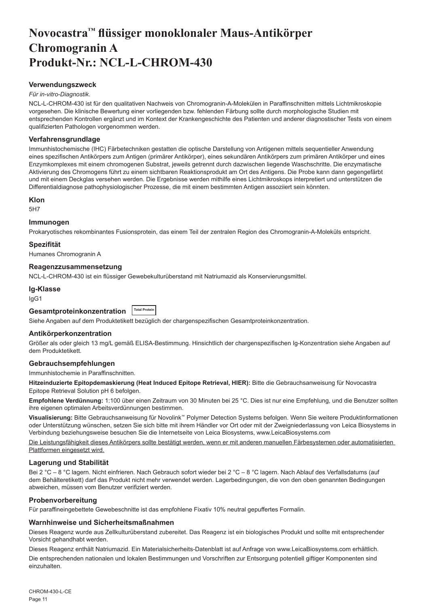# <span id="page-11-0"></span>**Novocastra™ flüssiger monoklonaler Maus-Antikörper Chromogranin A Produkt-Nr.: NCL-L-CHROM-430**

## **Verwendungszweck**

#### *Für in-vitro-Diagnostik*.

NCL-L-CHROM-430 ist für den qualitativen Nachweis von Chromogranin-A-Molekülen in Paraffinschnitten mittels Lichtmikroskopie vorgesehen. Die klinische Bewertung einer vorliegenden bzw. fehlenden Färbung sollte durch morphologische Studien mit entsprechenden Kontrollen ergänzt und im Kontext der Krankengeschichte des Patienten und anderer diagnostischer Tests von einem qualifizierten Pathologen vorgenommen werden.

## **Verfahrensgrundlage**

Immunhistochemische (IHC) Färbetechniken gestatten die optische Darstellung von Antigenen mittels sequentieller Anwendung eines spezifischen Antikörpers zum Antigen (primärer Antikörper), eines sekundären Antikörpers zum primären Antikörper und eines Enzymkomplexes mit einem chromogenen Substrat, jeweils getrennt durch dazwischen liegende Waschschritte. Die enzymatische Aktivierung des Chromogens führt zu einem sichtbaren Reaktionsprodukt am Ort des Antigens. Die Probe kann dann gegengefärbt und mit einem Deckglas versehen werden. Die Ergebnisse werden mithilfe eines Lichtmikroskops interpretiert und unterstützen die Differentialdiagnose pathophysiologischer Prozesse, die mit einem bestimmten Antigen assoziiert sein könnten.

## **Klon**

5H7

## **Immunogen**

Prokaryotisches rekombinantes Fusionsprotein, das einem Teil der zentralen Region des Chromogranin-A-Moleküls entspricht.

## **Spezifität**

Humanes Chromogranin A

## **Reagenzzusammensetzung**

NCL-L-CHROM-430 ist ein flüssiger Gewebekulturüberstand mit Natriumazid als Konservierungsmittel.

# **Ig-Klasse**

IgG1

#### **Gesamtproteinkonzentration Total Protein**

Siehe Angaben auf dem Produktetikett bezüglich der chargenspezifischen Gesamtproteinkonzentration.

# **Antikörperkonzentration**

Größer als oder gleich 13 mg/L gemäß ELISA-Bestimmung. Hinsichtlich der chargenspezifischen Ig-Konzentration siehe Angaben auf dem Produktetikett.

# **Gebrauchsempfehlungen**

Immunhistochemie in Paraffinschnitten.

**Hitzeinduzierte Epitopdemaskierung (Heat Induced Epitope Retrieval, HIER):** Bitte die Gebrauchsanweisung für Novocastra Epitope Retrieval Solution pH 6 befolgen.

**Empfohlene Verdünnung:** 1:100 über einen Zeitraum von 30 Minuten bei 25 °C. Dies ist nur eine Empfehlung, und die Benutzer sollten ihre eigenen optimalen Arbeitsverdünnungen bestimmen.

**Visualisierung:** Bitte Gebrauchsanweisung für Novolink™ Polymer Detection Systems befolgen. Wenn Sie weitere Produktinformationen oder Unterstützung wünschen, setzen Sie sich bitte mit ihrem Händler vor Ort oder mit der Zweigniederlassung von Leica Biosystems in Verbindung beziehungsweise besuchen Sie die Internetseite von Leica Biosystems, www.LeicaBiosystems.com

Die Leistungsfähigkeit dieses Antikörpers sollte bestätigt werden, wenn er mit anderen manuellen Färbesystemen oder automatisierten Plattformen eingesetzt wird.

# **Lagerung und Stabilität**

Bei 2 °C – 8 °C lagern. Nicht einfrieren. Nach Gebrauch sofort wieder bei 2 °C – 8 °C lagern. Nach Ablauf des Verfallsdatums (auf dem Behälteretikett) darf das Produkt nicht mehr verwendet werden. Lagerbedingungen, die von den oben genannten Bedingungen abweichen, müssen vom Benutzer verifiziert werden.

# **Probenvorbereitung**

Für paraffineingebettete Gewebeschnitte ist das empfohlene Fixativ 10% neutral gepuffertes Formalin.

# **Warnhinweise und Sicherheitsmaßnahmen**

Dieses Reagenz wurde aus Zellkulturüberstand zubereitet. Das Reagenz ist ein biologisches Produkt und sollte mit entsprechender Vorsicht gehandhabt werden.

Dieses Reagenz enthält Natriumazid. Ein Materialsicherheits-Datenblatt ist auf Anfrage von www.LeicaBiosystems.com erhältlich. Die entsprechenden nationalen und lokalen Bestimmungen und Vorschriften zur Entsorgung potentiell giftiger Komponenten sind einzuhalten.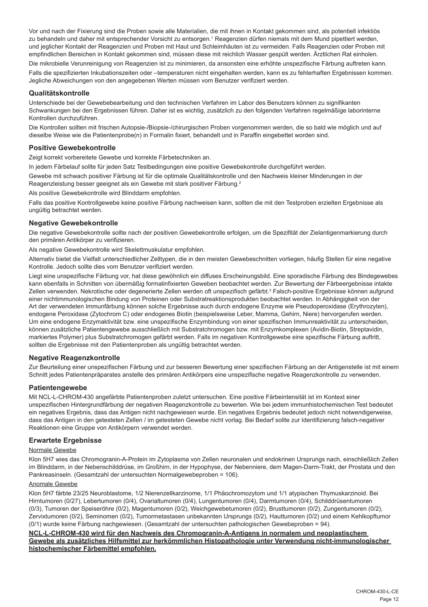Vor und nach der Fixierung sind die Proben sowie alle Materialien, die mit ihnen in Kontakt gekommen sind, als potentiell infektiös zu behandeln und daher mit entsprechender Vorsicht zu entsorgen.' Reagenzien dürfen niemals mit dem Mund pipettiert werden, und jeglicher Kontakt der Reagenzien und Proben mit Haut und Schleimhäuten ist zu vermeiden. Falls Reagenzien oder Proben mit empfindlichen Bereichen in Kontakt gekommen sind, müssen diese mit reichlich Wasser gespült werden. Ärztlichen Rat einholen.

Die mikrobielle Verunreinigung von Reagenzien ist zu minimieren, da ansonsten eine erhöhte unspezifische Färbung auftreten kann. Falls die spezifizierten Inkubationszeiten oder –temperaturen nicht eingehalten werden, kann es zu fehlerhaften Ergebnissen kommen. Jegliche Abweichungen von den angegebenen Werten müssen vom Benutzer verifiziert werden.

# **Qualitätskontrolle**

Unterschiede bei der Gewebebearbeitung und den technischen Verfahren im Labor des Benutzers können zu signifikanten Schwankungen bei den Ergebnissen führen. Daher ist es wichtig, zusätzlich zu den folgenden Verfahren regelmäßige laborinterne Kontrollen durchzuführen.

Die Kontrollen sollten mit frischen Autopsie-/Biopsie-/chirurgischen Proben vorgenommen werden, die so bald wie möglich und auf dieselbe Weise wie die Patientenprobe(n) in Formalin fixiert, behandelt und in Paraffin eingebettet worden sind.

# **Positive Gewebekontrolle**

Zeigt korrekt vorbereitete Gewebe und korrekte Färbetechniken an.

In jedem Färbelauf sollte für jeden Satz Testbedingungen eine positive Gewebekontrolle durchgeführt werden.

Gewebe mit schwach positiver Färbung ist für die optimale Qualitätskontrolle und den Nachweis kleiner Minderungen in der Reagenzleistung besser geeignet als ein Gewebe mit stark positiver Färbung.<sup>2</sup>

Als positive Gewebekontrolle wird Blinddarm empfohlen.

Falls das positive Kontrollgewebe keine positive Färbung nachweisen kann, sollten die mit den Testproben erzielten Ergebnisse als ungültig betrachtet werden.

# **Negative Gewebekontrolle**

Die negative Gewebekontrolle sollte nach der positiven Gewebekontrolle erfolgen, um die Spezifität der Zielantigenmarkierung durch den primären Antikörper zu verifizieren.

Als negative Gewebekontrolle wird Skelettmuskulatur empfohlen.

Alternativ bietet die Vielfalt unterschiedlicher Zelltypen, die in den meisten Gewebeschnitten vorliegen, häufig Stellen für eine negative Kontrolle. Jedoch sollte dies vom Benutzer verifiziert werden.

Liegt eine unspezifische Färbung vor, hat diese gewöhnlich ein diffuses Erscheinungsbild. Eine sporadische Färbung des Bindegewebes kann ebenfalls in Schnitten von übermäßig formalinfixierten Geweben beobachtet werden. Zur Bewertung der Färbeergebnisse intakte Zellen verwenden. Nekrotische oder degenerierte Zellen werden oft unspezifisch gefärbt.<sup>3</sup> Falsch-positive Ergebnisse können aufgrund einer nichtimmunologischen Bindung von Proteinen oder Substratreaktionsprodukten beobachtet werden. In Abhängigkeit von der Art der verwendeten Immunfärbung können solche Ergebnisse auch durch endogene Enzyme wie Pseudoperoxidase (Erythrozyten), endogene Peroxidase (Zytochrom C) oder endogenes Biotin (beispielsweise Leber, Mamma, Gehirn, Niere) hervorgerufen werden. Um eine endogene Enzymaktivität bzw. eine unspezifische Enzymbindung von einer spezifischen Immunreaktivität zu unterscheiden, können zusätzliche Patientengewebe ausschließlich mit Substratchromogen bzw. mit Enzymkomplexen (Avidin-Biotin, Streptavidin, markiertes Polymer) plus Substratchromogen gefärbt werden. Falls im negativen Kontrollgewebe eine spezifische Färbung auftritt, sollten die Ergebnisse mit den Patientenproben als ungültig betrachtet werden.

# **Negative Reagenzkontrolle**

Zur Beurteilung einer unspezifischen Färbung und zur besseren Bewertung einer spezifischen Färbung an der Antigenstelle ist mit einem Schnitt jedes Patientenpräparates anstelle des primären Antikörpers eine unspezifische negative Reagenzkontrolle zu verwenden.

# **Patientengewebe**

Mit NCL-L-CHROM-430 angefärbte Patientenproben zuletzt untersuchen. Eine positive Färbeintensität ist im Kontext einer unspezifischen Hintergrundfärbung der negativen Reagenzkontrolle zu bewerten. Wie bei jedem immunhistochemischen Test bedeutet ein negatives Ergebnis, dass das Antigen nicht nachgewiesen wurde. Ein negatives Ergebnis bedeutet jedoch nicht notwendigerweise, dass das Antigen in den getesteten Zellen / im getesteten Gewebe nicht vorlag. Bei Bedarf sollte zur Identifizierung falsch-negativer Reaktionen eine Gruppe von Antikörpern verwendet werden.

# **Erwartete Ergebnisse**

# Normale Gewebe

Klon 5H7 wies das Chromogranin-A-Protein im Zytoplasma von Zellen neuronalen und endokrinen Ursprungs nach, einschließlich Zellen im Blinddarm, in der Nebenschilddrüse, im Großhirn, in der Hypophyse, der Nebenniere, dem Magen-Darm-Trakt, der Prostata und den Pankreasinseln. (Gesamtzahl der untersuchten Normalgewebeproben = 106).

# Anomale Gewebe

Klon 5H7 färbte 23/25 Neuroblastome, 1/2 Nierenzellkarzinome, 1/1 Phäochromozytom und 1/1 atypischen Thymuskarzinoid. Bei Hirntumoren (0/27), Lebertumoren (0/4), Ovarialtumoren (0/4), Lungentumoren (0/4), Darmtumoren (0/4), Schilddrüsentumoren (0/3), Tumoren der Speiseröhre (0/2), Magentumoren (0/2), Weichgewebetumoren (0/2), Brusttumoren (0/2), Zungentumoren (0/2), Zervixtumoren (0/2), Seminomen (0/2), Tumormetastasen unbekannten Ursprungs (0/2), Hauttumoren (0/2) und einem Kehlkopftumor (0/1) wurde keine Färbung nachgewiesen. (Gesamtzahl der untersuchten pathologischen Gewebeproben = 94).

## **NCL-L-CHROM-430 wird für den Nachweis des Chromogranin-A-Antigens in normalem und neoplastischem Gewebe als zusätzliches Hilfsmittel zur herkömmlichen Histopathologie unter Verwendung nicht-immunologischer histochemischer Färbemittel empfohlen.**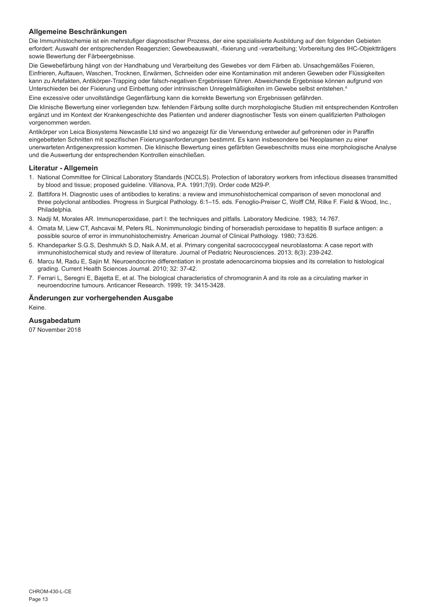# **Allgemeine Beschränkungen**

Die Immunhistochemie ist ein mehrstufiger diagnostischer Prozess, der eine spezialisierte Ausbildung auf den folgenden Gebieten erfordert: Auswahl der entsprechenden Reagenzien; Gewebeauswahl, -fixierung und -verarbeitung; Vorbereitung des IHC-Objektträgers sowie Bewertung der Färbeergebnisse.

Die Gewebefärbung hängt von der Handhabung und Verarbeitung des Gewebes vor dem Färben ab. Unsachgemäßes Fixieren, Einfrieren, Auftauen, Waschen, Trocknen, Erwärmen, Schneiden oder eine Kontamination mit anderen Geweben oder Flüssigkeiten kann zu Artefakten, Antikörper-Trapping oder falsch-negativen Ergebnissen führen. Abweichende Ergebnisse können aufgrund von Unterschieden bei der Fixierung und Einbettung oder intrinsischen Unregelmäßigkeiten im Gewebe selbst entstehen.<sup>4</sup>

Eine exzessive oder unvollständige Gegenfärbung kann die korrekte Bewertung von Ergebnissen gefährden.

Die klinische Bewertung einer vorliegenden bzw. fehlenden Färbung sollte durch morphologische Studien mit entsprechenden Kontrollen ergänzt und im Kontext der Krankengeschichte des Patienten und anderer diagnostischer Tests von einem qualifizierten Pathologen vorgenommen werden.

Antikörper von Leica Biosystems Newcastle Ltd sind wo angezeigt für die Verwendung entweder auf gefrorenen oder in Paraffin eingebetteten Schnitten mit spezifischen Fixierungsanforderungen bestimmt. Es kann insbesondere bei Neoplasmen zu einer unerwarteten Antigenexpression kommen. Die klinische Bewertung eines gefärbten Gewebeschnitts muss eine morphologische Analyse und die Auswertung der entsprechenden Kontrollen einschließen.

# **Literatur - Allgemein**

- 1. National Committee for Clinical Laboratory Standards (NCCLS). Protection of laboratory workers from infectious diseases transmitted by blood and tissue; proposed guideline. Villanova, P.A. 1991;7(9). Order code M29-P.
- 2. Battifora H. Diagnostic uses of antibodies to keratins: a review and immunohistochemical comparison of seven monoclonal and three polyclonal antibodies. Progress in Surgical Pathology. 6:1–15. eds. Fenoglio-Preiser C, Wolff CM, Rilke F. Field & Wood, Inc., Philadelphia.
- 3. Nadji M, Morales AR. Immunoperoxidase, part I: the techniques and pitfalls. Laboratory Medicine. 1983; 14:767.
- 4. Omata M, Liew CT, Ashcavai M, Peters RL. Nonimmunologic binding of horseradish peroxidase to hepatitis B surface antigen: a possible source of error in immunohistochemistry. American Journal of Clinical Pathology. 1980; 73:626.
- 5. Khandeparker S.G.S, Deshmukh S.D, Naik A.M, et al. Primary congenital sacrococcygeal neuroblastoma: A case report with immunohistochemical study and review of literature. Journal of Pediatric Neurosciences. 2013; 8(3): 239-242.
- 6. Marcu M, Radu E, Sajin M. Neuroendocrine differentiation in prostate adenocarcinoma biopsies and its correlation to histological grading. Current Health Sciences Journal. 2010; 32: 37-42.
- 7. Ferrari L, Seregni E, Bajetta E, et al. The biological characteristics of chromogranin A and its role as a circulating marker in neuroendocrine tumours. Anticancer Research. 1999; 19: 3415-3428.

# **Änderungen zur vorhergehenden Ausgabe**

Keine.

# **Ausgabedatum**

07 November 2018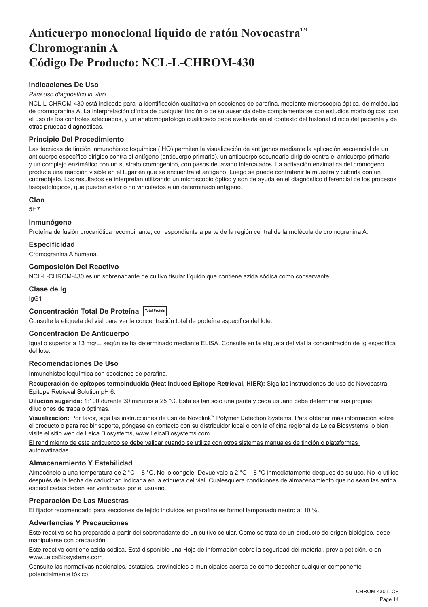# <span id="page-14-0"></span>**Anticuerpo monoclonal líquido de ratón Novocastra™ Chromogranin A Código De Producto: NCL-L-CHROM-430**

# **Indicaciones De Uso**

## *Para uso diagnóstico in vitro*.

NCL-L-CHROM-430 está indicado para la identificación cualitativa en secciones de parafina, mediante microscopía óptica, de moléculas de cromogranina A. La interpretación clínica de cualquier tinción o de su ausencia debe complementarse con estudios morfológicos, con el uso de los controles adecuados, y un anatomopatólogo cualificado debe evaluarla en el contexto del historial clínico del paciente y de otras pruebas diagnósticas.

# **Principio Del Procedimiento**

Las técnicas de tinción inmunohistocitoquímica (IHQ) permiten la visualización de antígenos mediante la aplicación secuencial de un anticuerpo específico dirigido contra el antígeno (anticuerpo primario), un anticuerpo secundario dirigido contra el anticuerpo primario y un complejo enzimático con un sustrato cromogénico, con pasos de lavado intercalados. La activación enzimática del cromógeno produce una reacción visible en el lugar en que se encuentra el antígeno. Luego se puede contrateñir la muestra y cubrirla con un cubreobjeto. Los resultados se interpretan utilizando un microscopio óptico y son de ayuda en el diagnóstico diferencial de los procesos fisiopatológicos, que pueden estar o no vinculados a un determinado antígeno.

## **Clon**

 $5H7$ 

## **Inmunógeno**

Proteína de fusión procariótica recombinante, correspondiente a parte de la región central de la molécula de cromogranina A.

## **Especificidad**

Cromogranina A humana.

## **Composición Del Reactivo**

NCL-L-CHROM-430 es un sobrenadante de cultivo tisular líquido que contiene azida sódica como conservante.

# **Clase de Ig**

IgG1

# **Concentración Total De Proteína Total Protein**

Consulte la etiqueta del vial para ver la concentración total de proteína específica del lote.

# **Concentración De Anticuerpo**

Igual o superior a 13 mg/L, según se ha determinado mediante ELISA. Consulte en la etiqueta del vial la concentración de Ig específica del lote.

# **Recomendaciones De Uso**

Inmunohistocitoquímica con secciones de parafina.

**Recuperación de epítopos termoinducida (Heat Induced Epitope Retrieval, HIER):** Siga las instrucciones de uso de Novocastra Epitope Retrieval Solution pH 6.

**Dilución sugerida:** 1:100 durante 30 minutos a 25 °C. Esta es tan solo una pauta y cada usuario debe determinar sus propias diluciones de trabajo óptimas.

**Visualización:** Por favor, siga las instrucciones de uso de Novolink™ Polymer Detection Systems. Para obtener más información sobre el producto o para recibir soporte, póngase en contacto con su distribuidor local o con la oficina regional de Leica Biosystems, o bien visite el sitio web de Leica Biosystems, www.LeicaBiosystems.com

El rendimiento de este anticuerpo se debe validar cuando se utiliza con otros sistemas manuales de tinción o plataformas automatizadas.

# **Almacenamiento Y Estabilidad**

Almacénelo a una temperatura de 2 °C – 8 °C. No lo congele. Devuélvalo a 2 °C – 8 °C inmediatamente después de su uso. No lo utilice después de la fecha de caducidad indicada en la etiqueta del vial. Cualesquiera condiciones de almacenamiento que no sean las arriba especificadas deben ser verificadas por el usuario.

# **Preparación De Las Muestras**

El fijador recomendado para secciones de tejido incluidos en parafina es formol tamponado neutro al 10 %.

## **Advertencias Y Precauciones**

Este reactivo se ha preparado a partir del sobrenadante de un cultivo celular. Como se trata de un producto de origen biológico, debe manipularse con precaución.

Este reactivo contiene azida sódica. Está disponible una Hoja de información sobre la seguridad del material, previa petición, o en www.LeicaBiosystems.com

Consulte las normativas nacionales, estatales, provinciales o municipales acerca de cómo desechar cualquier componente potencialmente tóxico.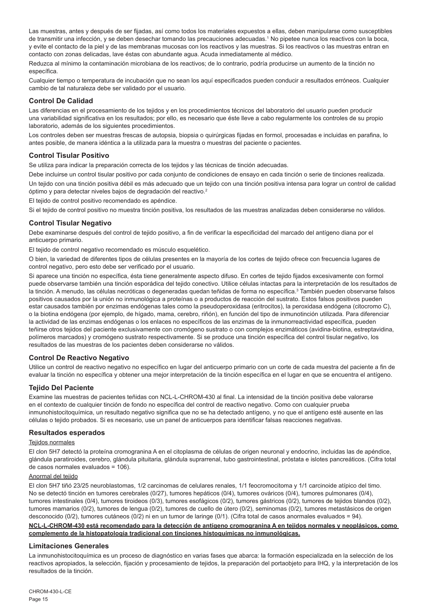Las muestras, antes y después de ser fijadas, así como todos los materiales expuestos a ellas, deben manipularse como susceptibles de transmitir una infección, y se deben desechar tomando las precauciones adecuadas.<sup>1</sup> No pipetee nunca los reactivos con la boca, y evite el contacto de la piel y de las membranas mucosas con los reactivos y las muestras. Si los reactivos o las muestras entran en contacto con zonas delicadas, lave éstas con abundante agua. Acuda inmediatamente al médico.

Reduzca al mínimo la contaminación microbiana de los reactivos; de lo contrario, podría producirse un aumento de la tinción no específica.

Cualquier tiempo o temperatura de incubación que no sean los aquí especificados pueden conducir a resultados erróneos. Cualquier cambio de tal naturaleza debe ser validado por el usuario.

## **Control De Calidad**

Las diferencias en el procesamiento de los tejidos y en los procedimientos técnicos del laboratorio del usuario pueden producir una variabilidad significativa en los resultados; por ello, es necesario que éste lleve a cabo regularmente los controles de su propio laboratorio, además de los siguientes procedimientos.

Los controles deben ser muestras frescas de autopsia, biopsia o quirúrgicas fijadas en formol, procesadas e incluidas en parafina, lo antes posible, de manera idéntica a la utilizada para la muestra o muestras del paciente o pacientes.

# **Control Tisular Positivo**

Se utiliza para indicar la preparación correcta de los tejidos y las técnicas de tinción adecuadas.

Debe incluirse un control tisular positivo por cada conjunto de condiciones de ensayo en cada tinción o serie de tinciones realizada. Un tejido con una tinción positiva débil es más adecuado que un tejido con una tinción positiva intensa para lograr un control de calidad óptimo y para detectar niveles bajos de degradación del reactivo.<sup>2</sup>

El tejido de control positivo recomendado es apéndice.

Si el tejido de control positivo no muestra tinción positiva, los resultados de las muestras analizadas deben considerarse no válidos.

# **Control Tisular Negativo**

Debe examinarse después del control de tejido positivo, a fin de verificar la especificidad del marcado del antígeno diana por el anticuerpo primario.

El tejido de control negativo recomendado es músculo esquelético.

O bien, la variedad de diferentes tipos de células presentes en la mayoría de los cortes de tejido ofrece con frecuencia lugares de control negativo, pero esto debe ser verificado por el usuario.

Si aparece una tinción no específica, ésta tiene generalmente aspecto difuso. En cortes de tejido fijados excesivamente con formol puede observarse también una tinción esporádica del tejido conectivo. Utilice células intactas para la interpretación de los resultados de la tinción. A menudo, las células necróticas o degeneradas quedan teñidas de forma no específica.<sup>3</sup> También pueden observarse falsos positivos causados por la unión no inmunológica a proteínas o a productos de reacción del sustrato. Estos falsos positivos pueden estar causados también por enzimas endógenas tales como la pseudoperoxidasa (eritrocitos), la peroxidasa endógena (citocromo C), o la biotina endógena (por ejemplo, de hígado, mama, cerebro, riñón), en función del tipo de inmunotinción utilizada. Para diferenciar la actividad de las enzimas endógenas o los enlaces no específicos de las enzimas de la inmunorreactividad específica, pueden teñirse otros tejidos del paciente exclusivamente con cromógeno sustrato o con complejos enzimáticos (avidina-biotina, estreptavidina, polímeros marcados) y cromógeno sustrato respectivamente. Si se produce una tinción específica del control tisular negativo, los resultados de las muestras de los pacientes deben considerarse no válidos.

## **Control De Reactivo Negativo**

Utilice un control de reactivo negativo no específico en lugar del anticuerpo primario con un corte de cada muestra del paciente a fin de evaluar la tinción no específica y obtener una mejor interpretación de la tinción específica en el lugar en que se encuentra el antígeno.

# **Tejido Del Paciente**

Examine las muestras de pacientes teñidas con NCL-L-CHROM-430 al final. La intensidad de la tinción positiva debe valorarse en el contexto de cualquier tinción de fondo no específica del control de reactivo negativo. Como con cualquier prueba inmunohistocitoquímica, un resultado negativo significa que no se ha detectado antígeno, y no que el antígeno esté ausente en las células o tejido probados. Si es necesario, use un panel de anticuerpos para identificar falsas reacciones negativas.

## **Resultados esperados**

## Teiidos normales

El clon 5H7 detectó la proteína cromogranina A en el citoplasma de células de origen neuronal y endocrino, incluidas las de apéndice, glándula paratiroides, cerebro, glándula pituitaria, glándula suprarrenal, tubo gastrointestinal, próstata e islotes pancreáticos. (Cifra total de casos normales evaluados = 106).

## Anormal del tejido

El clon 5H7 tiñó 23/25 neuroblastomas, 1/2 carcinomas de celulares renales, 1/1 feocromocitoma y 1/1 carcinoide atípico del timo. No se detectó tinción en tumores cerebrales (0/27), tumores hepáticos (0/4), tumores ováricos (0/4), tumores pulmonares (0/4), tumores intestinales (0/4), tumores tiroideos (0/3), tumores esofágicos (0/2), tumores gástricos (0/2), tumores de tejidos blandos (0/2), tumores mamarios (0/2), tumores de lengua (0/2), tumores de cuello de útero (0/2), seminomas (0/2), tumores metastásicos de origen desconocido (0/2), tumores cutáneos (0/2) ni en un tumor de laringe (0/1). (Cifra total de casos anormales evaluados = 94).

**NCL-L-CHROM-430 está recomendado para la detección de antígeno cromogranina A en tejidos normales y neoplásicos, como complemento de la histopatología tradicional con tinciones histoquímicas no inmunológicas.**

# **Limitaciones Generales**

La inmunohistocitoquímica es un proceso de diagnóstico en varias fases que abarca: la formación especializada en la selección de los reactivos apropiados, la selección, fijación y procesamiento de tejidos, la preparación del portaobjeto para IHQ, y la interpretación de los resultados de la tinción.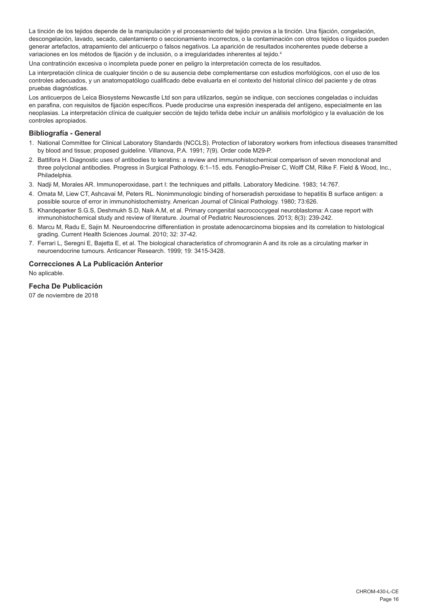La tinción de los tejidos depende de la manipulación y el procesamiento del tejido previos a la tinción. Una fijación, congelación, descongelación, lavado, secado, calentamiento o seccionamiento incorrectos, o la contaminación con otros tejidos o líquidos pueden generar artefactos, atrapamiento del anticuerpo o falsos negativos. La aparición de resultados incoherentes puede deberse a variaciones en los métodos de fijación y de inclusión, o a irregularidades inherentes al tejido.<sup>4</sup>

Una contratinción excesiva o incompleta puede poner en peligro la interpretación correcta de los resultados.

La interpretación clínica de cualquier tinción o de su ausencia debe complementarse con estudios morfológicos, con el uso de los controles adecuados, y un anatomopatólogo cualificado debe evaluarla en el contexto del historial clínico del paciente y de otras pruebas diagnósticas.

Los anticuerpos de Leica Biosystems Newcastle Ltd son para utilizarlos, según se indique, con secciones congeladas o incluidas en parafina, con requisitos de fijación específicos. Puede producirse una expresión inesperada del antígeno, especialmente en las neoplasias. La interpretación clínica de cualquier sección de tejido teñida debe incluir un análisis morfológico y la evaluación de los controles apropiados.

# **Bibliografía - General**

- 1. National Committee for Clinical Laboratory Standards (NCCLS). Protection of laboratory workers from infectious diseases transmitted by blood and tissue; proposed guideline. Villanova, P.A. 1991; 7(9). Order code M29-P.
- 2. Battifora H. Diagnostic uses of antibodies to keratins: a review and immunohistochemical comparison of seven monoclonal and three polyclonal antibodies. Progress in Surgical Pathology. 6:1–15. eds. Fenoglio-Preiser C, Wolff CM, Rilke F. Field & Wood, Inc., Philadelphia.
- 3. Nadji M, Morales AR. Immunoperoxidase, part I: the techniques and pitfalls. Laboratory Medicine. 1983; 14:767.
- 4. Omata M, Liew CT, Ashcavai M, Peters RL. Nonimmunologic binding of horseradish peroxidase to hepatitis B surface antigen: a possible source of error in immunohistochemistry. American Journal of Clinical Pathology. 1980; 73:626.
- 5. Khandeparker S.G.S, Deshmukh S.D, Naik A.M, et al. Primary congenital sacrococcygeal neuroblastoma: A case report with immunohistochemical study and review of literature. Journal of Pediatric Neurosciences. 2013; 8(3): 239-242.
- 6. Marcu M, Radu E, Sajin M. Neuroendocrine differentiation in prostate adenocarcinoma biopsies and its correlation to histological grading. Current Health Sciences Journal. 2010; 32: 37-42.
- 7. Ferrari L, Seregni E, Bajetta E, et al. The biological characteristics of chromogranin A and its role as a circulating marker in neuroendocrine tumours. Anticancer Research. 1999; 19: 3415-3428.

# **Correcciones A La Publicación Anterior**

No aplicable.

# **Fecha De Publicación**

07 de noviembre de 2018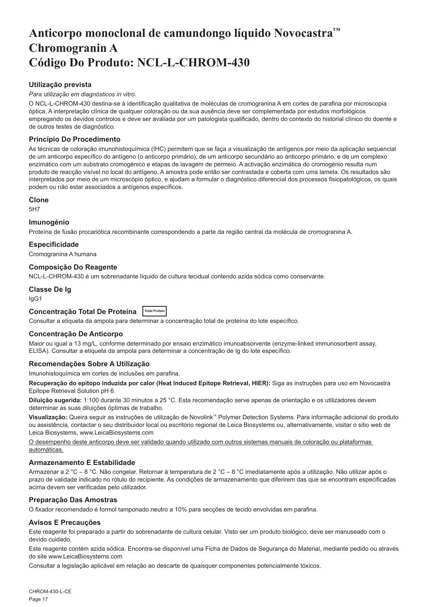# <span id="page-17-0"></span>**Anticorpo monoclonal de camundongo líquido Novocastra™ Chromogranin A Código Do Produto: NCL-L-CHROM-430**

# **Utilização prevista**

## *Para utilização em diagnósticos in vitro*.

O NCL-L-CHROM-430 destina-se à identificação qualitativa de moléculas de cromogranina A em cortes de parafina por microscopia óptica. A interpretação clínica de qualquer coloração ou da sua ausência deve ser complementada por estudos morfológicos empregando os devidos controlos e deve ser avaliada por um patologista qualificado, dentro do contexto do historial clínico do doente e de outros testes de diagnóstico.

# **Princípio Do Procedimento**

As técnicas de coloração imunohistoquímica (IHC) permitem que se faça a visualização de antígenos por meio da aplicação sequencial de um anticorpo específico do antígeno (o anticorpo primário), de um anticorpo secundário ao anticorpo primário, e de um complexo enzimático com um substrato cromogénico e etapas de lavagem de permeio. A activação enzimática do cromogénio resulta num produto de reacção visível no local do antígeno. A amostra pode então ser contrastada e coberta com uma lamela. Os resultados são interpretados por meio de um microscópio óptico, e ajudam a formular o diagnóstico diferencial dos processos fisiopatológicos, os quais podem ou não estar associados a antígenos específicos.

## **Clone**

5H7

# **Imunogénio**

Proteína de fusão procariótica recombinante correspondendo a parte da região central da molécula de cromogranina A.

# **Especificidade**

Cromogranina A humana

## **Composição Do Reagente**

NCL-L-CHROM-430 é um sobrenadante líquido de cultura tecidual contendo azida sódica como conservante.

# **Classe De Ig**

IgG1

# **Concentração Total De Proteína Total Protein**

Consultar a etiqueta da ampola para determinar a concentração total de proteína do lote específico.

# **Concentração De Anticorpo**

Maior ou igual a 13 mg/L, conforme determinado por ensaio enzimático imunoabsorvente (enzyme-linked immunosorbent assay, ELISA). Consultar a etiqueta da ampola para determinar a concentração de Ig do lote específico.

# **Recomendações Sobre A Utilização**

Imunohistoquímica em cortes de inclusões em parafina.

**Recuperação do epítopo induzida por calor (Heat Induced Epitope Retrieval, HIER):** Siga as instruções para uso em Novocastra Epitope Retrieval Solution pH 6.

**Diluição sugerida:** 1:100 durante 30 minutos a 25 °C. Esta recomendação serve apenas de orientação e os utilizadores devem determinar as suas diluições óptimas de trabalho.

**Visualização:** Queira seguir as instruções de utilização de Novolink™ Polymer Detection Systems. Para informação adicional do produto ou assistência, contactar o seu distribuidor local ou escritório regional de Leica Biosystems ou, alternativamente, visitar o sitio web de Leica Biosystems, www.LeicaBiosystems.com

O desempenho deste anticorpo deve ser validado quando utilizado com outros sistemas manuais de coloração ou plataformas automáticas.

# **Armazenamento E Estabilidade**

Armazenar a 2 °C – 8 °C. Não congelar. Retornar à temperatura de 2 °C – 8 °C imediatamente após a utilização. Não utilizar após o prazo de validade indicado no rótulo do recipiente. As condições de armazenamento que diferirem das que se encontram especificadas acima devem ser verificadas pelo utilizador.

# **Preparação Das Amostras**

O fixador recomendado é formol tamponado neutro a 10% para secções de tecido envolvidas em parafina.

# **Avisos E Precauções**

Este reagente foi preparado a partir do sobrenadante de cultura celular. Visto ser um produto biológico, deve ser manuseado com o devido cuidado.

Este reagente contém azida sódica. Encontra-se disponível uma Ficha de Dados de Segurança do Material, mediante pedido ou através do site www.LeicaBiosystems.com

Consultar a legislação aplicável em relação ao descarte de quaisquer componentes potencialmente tóxicos.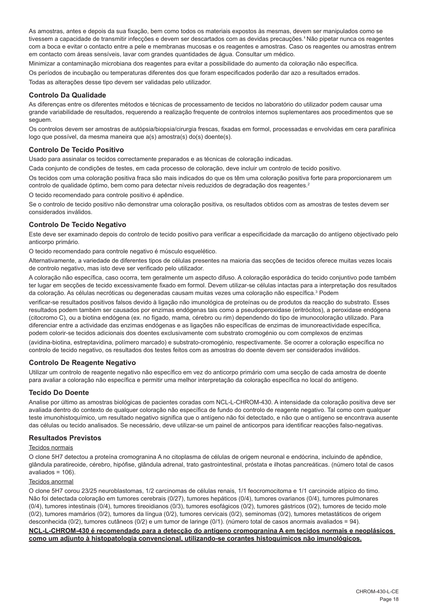As amostras, antes e depois da sua fixação, bem como todos os materiais expostos às mesmas, devem ser manipulados como se tivessem a capacidade de transmitir infecções e devem ser descartados com as devidas precauções.<sup>1</sup> Não pipetar nunca os reagentes com a boca e evitar o contacto entre a pele e membranas mucosas e os reagentes e amostras. Caso os reagentes ou amostras entrem em contacto com áreas sensíveis, lavar com grandes quantidades de água. Consultar um médico.

Minimizar a contaminação microbiana dos reagentes para evitar a possibilidade do aumento da coloração não específica. Os períodos de incubação ou temperaturas diferentes dos que foram especificados poderão dar azo a resultados errados. Todas as alterações desse tipo devem ser validadas pelo utilizador.

# **Controlo Da Qualidade**

As diferenças entre os diferentes métodos e técnicas de processamento de tecidos no laboratório do utilizador podem causar uma grande variabilidade de resultados, requerendo a realização frequente de controlos internos suplementares aos procedimentos que se seguem.

Os controlos devem ser amostras de autópsia/biopsia/cirurgia frescas, fixadas em formol, processadas e envolvidas em cera parafínica logo que possível, da mesma maneira que a(s) amostra(s) do(s) doente(s).

## **Controlo De Tecido Positivo**

Usado para assinalar os tecidos correctamente preparados e as técnicas de coloração indicadas.

Cada conjunto de condições de testes, em cada processo de coloração, deve incluir um controlo de tecido positivo.

Os tecidos com uma coloração positiva fraca são mais indicados do que os têm uma coloração positiva forte para proporcionarem um controlo de qualidade óptimo, bem como para detectar níveis reduzidos de degradação dos reagentes.<sup>2</sup>

O tecido recomendado para controle positivo é apêndice.

Se o controlo de tecido positivo não demonstrar uma coloração positiva, os resultados obtidos com as amostras de testes devem ser considerados inválidos.

## **Controlo De Tecido Negativo**

Este deve ser examinado depois do controlo de tecido positivo para verificar a especificidade da marcação do antígeno objectivado pelo anticorpo primário.

O tecido recomendado para controle negativo é músculo esquelético.

Alternativamente, a variedade de diferentes tipos de células presentes na maioria das secções de tecidos oferece muitas vezes locais de controlo negativo, mas isto deve ser verificado pelo utilizador.

A coloração não específica, caso ocorra, tem geralmente um aspecto difuso. A coloração esporádica do tecido conjuntivo pode também ter lugar em secções de tecido excessivamente fixado em formol. Devem utilizar-se células intactas para a interpretação dos resultados da coloração. As células necróticas ou degeneradas causam muitas vezes uma coloração não específica.<sup>3</sup> Podem

verificar-se resultados positivos falsos devido à ligação não imunológica de proteínas ou de produtos da reacção do substrato. Esses resultados podem também ser causados por enzimas endógenas tais como a pseudoperoxidase (eritrócitos), a peroxidase endógena (citocromo C), ou a biotina endógena (ex. no fígado, mama, cérebro ou rim) dependendo do tipo de imunocoloração utilizado. Para diferenciar entre a actividade das enzimas endógenas e as ligações não específicas de enzimas de imunoreactividade específica, podem colorir-se tecidos adicionais dos doentes exclusivamente com substrato cromogénio ou com complexos de enzimas

(avidina-biotina, estreptavidina, polímero marcado) e substrato-cromogénio, respectivamente. Se ocorrer a coloração específica no controlo de tecido negativo, os resultados dos testes feitos com as amostras do doente devem ser considerados inválidos.

## **Controlo De Reagente Negativo**

Utilizar um controlo de reagente negativo não específico em vez do anticorpo primário com uma secção de cada amostra de doente para avaliar a coloração não específica e permitir uma melhor interpretação da coloração específica no local do antígeno.

## **Tecido Do Doente**

Analise por último as amostras biológicas de pacientes coradas com NCL-L-CHROM-430. A intensidade da coloração positiva deve ser avaliada dentro do contexto de qualquer coloração não específica de fundo do controlo de reagente negativo. Tal como com qualquer teste imunohistoquímico, um resultado negativo significa que o antígeno não foi detectado, e não que o antígeno se encontrava ausente das células ou tecido analisados. Se necessário, deve utilizar-se um painel de anticorpos para identificar reacções falso-negativas.

# **Resultados Previstos**

### Tecidos normais

O clone 5H7 detectou a proteína cromogranina A no citoplasma de células de origem neuronal e endócrina, incluindo de apêndice, glândula paratireoide, cérebro, hipófise, glândula adrenal, trato gastrointestinal, próstata e ilhotas pancreáticas. (número total de casos avaliados = 106).

#### Tecidos anormal

O clone 5H7 corou 23/25 neuroblastomas, 1/2 carcinomas de células renais, 1/1 feocromocitoma e 1/1 carcinoide atípico do timo. Não foi detectada coloração em tumores cerebrais (0/27), tumores hepáticos (0/4), tumores ovarianos (0/4), tumores pulmonares (0/4), tumores intestinais (0/4), tumores tireoidianos (0/3), tumores esofágicos (0/2), tumores gástricos (0/2), tumores de tecido mole (0/2), tumores mamários (0/2), tumores da língua (0/2), tumores cervicais (0/2), seminomas (0/2), tumores metastáticos de origem desconhecida (0/2), tumores cutâneos (0/2) e um tumor de laringe (0/1). (número total de casos anormais avaliados = 94).

## **NCL-L-CHROM-430 é recomendado para a detecção do antígeno cromogranina A em tecidos normais e neoplásicos como um adjunto à histopatologia convencional, utilizando-se corantes histoquímicos não imunológicos.**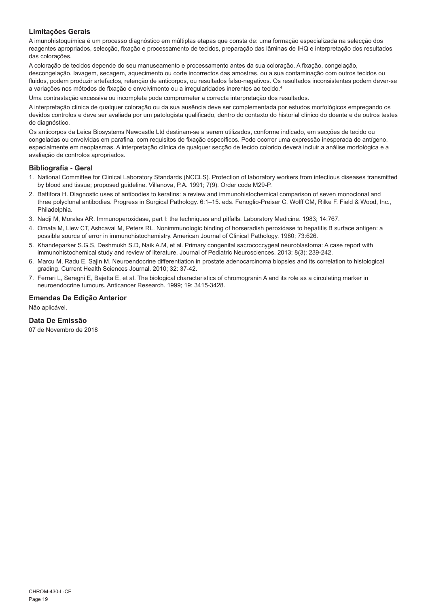# **Limitações Gerais**

A imunohistoquímica é um processo diagnóstico em múltiplas etapas que consta de: uma formação especializada na selecção dos reagentes apropriados, selecção, fixação e processamento de tecidos, preparação das lâminas de IHQ e interpretação dos resultados das colorações.

A coloração de tecidos depende do seu manuseamento e processamento antes da sua coloração. A fixação, congelação, descongelação, lavagem, secagem, aquecimento ou corte incorrectos das amostras, ou a sua contaminação com outros tecidos ou fluidos, podem produzir artefactos, retenção de anticorpos, ou resultados falso-negativos. Os resultados inconsistentes podem dever-se a variações nos métodos de fixação e envolvimento ou a irregularidades inerentes ao tecido.<sup>4</sup>

Uma contrastação excessiva ou incompleta pode comprometer a correcta interpretação dos resultados.

A interpretação clínica de qualquer coloração ou da sua ausência deve ser complementada por estudos morfológicos empregando os devidos controlos e deve ser avaliada por um patologista qualificado, dentro do contexto do historial clínico do doente e de outros testes de diagnóstico.

Os anticorpos da Leica Biosystems Newcastle Ltd destinam-se a serem utilizados, conforme indicado, em secções de tecido ou congeladas ou envolvidas em parafina, com requisitos de fixação específicos. Pode ocorrer uma expressão inesperada de antígeno, especialmente em neoplasmas. A interpretação clínica de qualquer secção de tecido colorido deverá incluir a análise morfológica e a avaliação de controlos apropriados.

## **Bibliografia - Geral**

- 1. National Committee for Clinical Laboratory Standards (NCCLS). Protection of laboratory workers from infectious diseases transmitted by blood and tissue; proposed guideline. Villanova, P.A. 1991; 7(9). Order code M29-P.
- 2. Battifora H. Diagnostic uses of antibodies to keratins: a review and immunohistochemical comparison of seven monoclonal and three polyclonal antibodies. Progress in Surgical Pathology. 6:1–15. eds. Fenoglio-Preiser C, Wolff CM, Rilke F. Field & Wood, Inc., Philadelphia.
- 3. Nadji M, Morales AR. Immunoperoxidase, part I: the techniques and pitfalls. Laboratory Medicine. 1983; 14:767.
- 4. Omata M, Liew CT, Ashcavai M, Peters RL. Nonimmunologic binding of horseradish peroxidase to hepatitis B surface antigen: a possible source of error in immunohistochemistry. American Journal of Clinical Pathology. 1980; 73:626.
- 5. Khandeparker S.G.S, Deshmukh S.D, Naik A.M, et al. Primary congenital sacrococcygeal neuroblastoma: A case report with immunohistochemical study and review of literature. Journal of Pediatric Neurosciences. 2013; 8(3): 239-242.
- 6. Marcu M, Radu E, Sajin M. Neuroendocrine differentiation in prostate adenocarcinoma biopsies and its correlation to histological grading. Current Health Sciences Journal. 2010; 32: 37-42.
- 7. Ferrari L, Seregni E, Bajetta E, et al. The biological characteristics of chromogranin A and its role as a circulating marker in neuroendocrine tumours. Anticancer Research. 1999; 19: 3415-3428.

# **Emendas Da Edição Anterior**

Não aplicável.

# **Data De Emissão**

07 de Novembro de 2018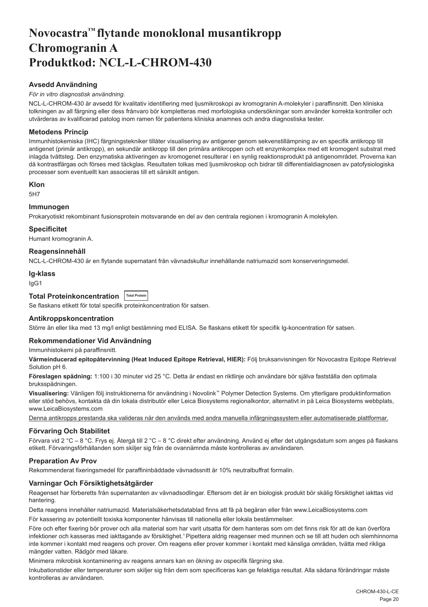# <span id="page-20-0"></span>**Novocastra™ flytande monoklonal musantikropp Chromogranin A Produktkod: NCL-L-CHROM-430**

# **Avsedd Användning**

# *För in vitro diagnostisk användning*.

NCL-L-CHROM-430 är avsedd för kvalitativ identifiering med ljusmikroskopi av kromogranin A-molekyler i paraffinsnitt. Den kliniska tolkningen av all färgning eller dess frånvaro bör kompletteras med morfologiska undersökningar som använder korrekta kontroller och utvärderas av kvalificerad patolog inom ramen för patientens kliniska anamnes och andra diagnostiska tester.

# **Metodens Princip**

Immunhistokemiska (IHC) färgningstekniker tillåter visualisering av antigener genom sekvenstillämpning av en specifik antikropp till antigenet (primär antikropp), en sekundär antikropp till den primära antikroppen och ett enzymkomplex med ett kromogent substrat med inlagda tvättsteg. Den enzymatiska aktiveringen av kromogenet resulterar i en synlig reaktionsprodukt på antigenområdet. Proverna kan då kontrastfärgas och förses med täckglas. Resultaten tolkas med ljusmikroskop och bidrar till differentialdiagnosen av patofysiologiska processer som eventuellt kan associeras till ett särskilt antigen.

# **Klon**

5H7

# **Immunogen**

Prokaryotiskt rekombinant fusionsprotein motsvarande en del av den centrala regionen i kromogranin A molekylen.

# **Specificitet**

Humant kromogranin A.

# **Reagensinnehåll**

NCL-L-CHROM-430 är en flytande supernatant från vävnadskultur innehållande natriumazid som konserveringsmedel.

## **Ig-klass**

IgG1

# **Total Proteinkoncentration Total Protein**

Se flaskans etikett för total specifik proteinkoncentration för satsen.

## **Antikroppskoncentration**

Större än eller lika med 13 mg/l enligt bestämning med ELISA. Se flaskans etikett för specifik Ig-koncentration för satsen.

# **Rekommendationer Vid Användning**

Immunhistokemi på paraffinsnitt.

**Värmeinducerad epitopåtervinning (Heat Induced Epitope Retrieval, HIER):** Följ bruksanvisningen för Novocastra Epitope Retrieval Solution pH 6.

**Föreslagen spädning:** 1:100 i 30 minuter vid 25 °C. Detta är endast en riktlinje och användare bör själva fastställa den optimala bruksspädningen.

**Visualisering:** Vänligen följ instruktionerna för användning i Novolink™ Polymer Detection Systems. Om ytterligare produktinformation eller stöd behövs, kontakta då din lokala distributör eller Leica Biosystems regionalkontor, alternativt in på Leica Biosystems webbplats, www.LeicaBiosystems.com

Denna antikropps prestanda ska valideras när den används med andra manuella infärgningssystem eller automatiserade plattformar.

## **Förvaring Och Stabilitet**

Förvara vid 2 °C – 8 °C. Frys ej. Återgå till 2 °C – 8 °C direkt efter användning. Använd ej efter det utgångsdatum som anges på flaskans etikett. Förvaringsförhållanden som skiljer sig från de ovannämnda måste kontrolleras av användaren.

# **Preparation Av Prov**

Rekommenderat fixeringsmedel för paraffininbäddade vävnadssnitt är 10% neutralbuffrat formalin.

# **Varningar Och Försiktighetsåtgärder**

Reagenset har förberetts från supernatanten av vävnadsodlingar. Eftersom det är en biologisk produkt bör skälig försiktighet iakttas vid hantering.

Detta reagens innehåller natriumazid. Materialsäkerhetsdatablad finns att få på begäran eller från www.LeicaBiosystems.com

För kassering av potentiellt toxiska komponenter hänvisas till nationella eller lokala bestämmelser.

Före och efter fixering bör prover och alla material som har varit utsatta för dem hanteras som om det finns risk för att de kan överföra infektioner och kasseras med iakttagande av försiktighet.<sup>1</sup> Pipettera aldrig reagenser med munnen och se till att huden och slemhinnorna inte kommer i kontakt med reagens och prover. Om reagens eller prover kommer i kontakt med känsliga områden, tvätta med rikliga mängder vatten. Rådgör med läkare.

Minimera mikrobisk kontaminering av reagens annars kan en ökning av ospecifik färgning ske.

Inkubationstider eller temperaturer som skiljer sig från dem som specificeras kan ge felaktiga resultat. Alla sådana förändringar måste kontrolleras av användaren.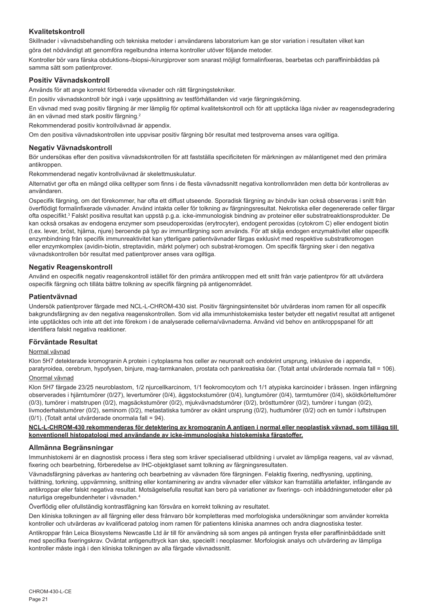# **Kvalitetskontroll**

Skillnader i vävnadsbehandling och tekniska metoder i användarens laboratorium kan ge stor variation i resultaten vilket kan göra det nödvändigt att genomföra regelbundna interna kontroller utöver följande metoder.

Kontroller bör vara färska obduktions-/biopsi-/kirurgiprover som snarast möjligt formalinfixeras, bearbetas och paraffininbäddas på samma sätt som patientprover.

# **Positiv Vävnadskontroll**

Används för att ange korrekt förberedda vävnader och rätt färgningstekniker.

En positiv vävnadskontroll bör ingå i varje uppsättning av testförhållanden vid varje färgningskörning.

En vävnad med svag positiv färgning är mer lämplig för optimal kvalitetskontroll och för att upptäcka låga nivåer av reagensdegradering än en vävnad med stark positiv färgning.<sup>2</sup>

Rekommenderad positiv kontrollvävnad är appendix.

Om den positiva vävnadskontrollen inte uppvisar positiv färgning bör resultat med testproverna anses vara ogiltiga.

## **Negativ Vävnadskontroll**

Bör undersökas efter den positiva vävnadskontrollen för att fastställa specificiteten för märkningen av målantigenet med den primära antikroppen

Rekommenderad negativ kontrollvävnad är skelettmuskulatur.

Alternativt ger ofta en mängd olika celltyper som finns i de flesta vävnadssnitt negativa kontrollområden men detta bör kontrolleras av användaren.

Ospecifik färgning, om det förekommer, har ofta ett diffust utseende. Sporadisk färgning av bindväv kan också observeras i snitt från överflödigt formalinfixerade vävnader. Använd intakta celler för tolkning av färgningsresultat. Nekrotiska eller degenererade celler färgar ofta ospecifikt.<sup>s</sup> Falskt positiva resultat kan uppstå p.g.a. icke-immunologisk bindning av proteiner eller substratreaktionsprodukter. De kan också orsakas av endogena enzymer som pseudoperoxidas (erytrocyter), endogent peroxidas (cytokrom C) eller endogent biotin (t.ex. lever, bröst, hjärna, njure) beroende på typ av immunfärgning som används. För att skilja endogen enzymaktivitet eller ospecifik enzymbindning från specifik immunreaktivitet kan ytterligare patientvävnader färgas exklusivt med respektive substratkromogen eller enzymkomplex (avidin-biotin, streptavidin, märkt polymer) och substrat-kromogen. Om specifik färgning sker i den negativa vävnadskontrollen bör resultat med patientprover anses vara ogiltiga.

## **Negativ Reagenskontroll**

Använd en ospecifik negativ reagenskontroll istället för den primära antikroppen med ett snitt från varje patientprov för att utvärdera ospecifik färgning och tillåta bättre tolkning av specifik färgning på antigenområdet.

## **Patientvävnad**

Undersök patientprover färgade med NCL-L-CHROM-430 sist. Positiv färgningsintensitet bör utvärderas inom ramen för all ospecifik bakgrundsfärgning av den negativa reagenskontrollen. Som vid alla immunhistokemiska tester betyder ett negativt resultat att antigenet inte upptäcktes och inte att det inte förekom i de analyserade cellerna/vävnaderna. Använd vid behov en antikroppspanel för att identifiera falskt negativa reaktioner.

# **Förväntade Resultat**

## Normal vävnad

Klon 5H7 detekterade kromogranin A protein i cytoplasma hos celler av neuronalt och endokrint ursprung, inklusive de i appendix, paratyroidea, cerebrum, hypofysen, binjure, mag-tarmkanalen, prostata och pankreatiska öar. (Totalt antal utvärderade normala fall = 106).

# Onormal vävnad

Klon 5H7 färgade 23/25 neuroblastom, 1/2 njurcellkarcinom, 1/1 feokromocytom och 1/1 atypiska karcinoider i brässen. Ingen infärgning observerades i hjärntumörer (0/27), levertumörer (0/4), äggstockstumörer (0/4), lungtumörer (0/4), tarmtumörer (0/4), sköldkörteltumörer (0/3), tumörer i matstrupen (0/2), magsäckstumörer (0/2), mjukvävnadstumörer (0/2), brösttumörer (0/2), tumörer i tungan (0/2), livmoderhalstumörer (0/2), seminom (0/2), metastatiska tumörer av okänt ursprung (0/2), hudtumörer (0/2) och en tumör i luftstrupen (0/1). (Totalt antal utvärderade onormala fall = 94).

## **NCL-L-CHROM-430 rekommenderas för detektering av kromogranin A antigen i normal eller neoplastisk vävnad, som tillägg till konventionell histopatologi med användande av icke-immunologiska histokemiska färgstoffer.**

## **Allmänna Begränsningar**

Immunhistokemi är en diagnostisk process i flera steg som kräver specialiserad utbildning i urvalet av lämpliga reagens, val av vävnad, fixering och bearbetning, förberedelse av IHC-objektglaset samt tolkning av färgningsresultaten.

Vävnadsfärgning påverkas av hantering och bearbetning av vävnaden före färgningen. Felaktig fixering, nedfrysning, upptining, tvättning, torkning, uppvärmning, snittning eller kontaminering av andra vävnader eller vätskor kan framställa artefakter, infångande av antikroppar eller falskt negativa resultat. Motsägelsefulla resultat kan bero på variationer av fixerings- och inbäddningsmetoder eller på naturliga oregelbundenheter i vävnaden.<sup>4</sup>

Överflödig eller ofullständig kontrastfägning kan försvåra en korrekt tolkning av resultatet.

Den kliniska tolkningen av all färgning eller dess frånvaro bör kompletteras med morfologiska undersökningar som använder korrekta kontroller och utvärderas av kvalificerad patolog inom ramen för patientens kliniska anamnes och andra diagnostiska tester.

Antikroppar från Leica Biosystems Newcastle Ltd är till för användning så som anges på antingen frysta eller paraffininbäddade snitt med specifika fixeringskrav. Oväntat antigenuttryck kan ske, speciellt i neoplasmer. Morfologisk analys och utvärdering av lämpliga kontroller måste ingå i den kliniska tolkningen av alla färgade vävnadssnitt.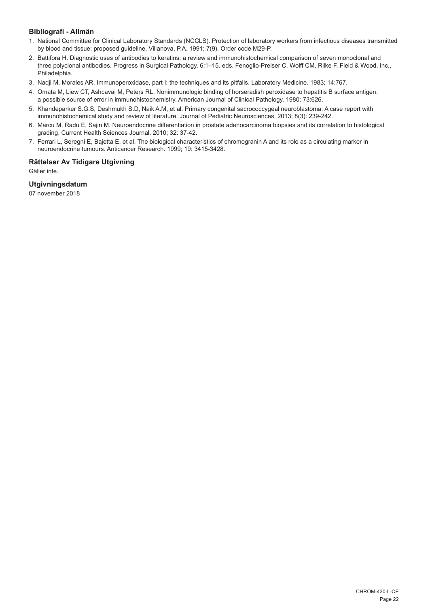# **Bibliografi - Allmän**

- 1. National Committee for Clinical Laboratory Standards (NCCLS). Protection of laboratory workers from infectious diseases transmitted by blood and tissue; proposed guideline. Villanova, P.A. 1991; 7(9). Order code M29-P.
- 2. Battifora H. Diagnostic uses of antibodies to keratins: a review and immunohistochemical comparison of seven monoclonal and three polyclonal antibodies. Progress in Surgical Pathology. 6:1–15. eds. Fenoglio-Preiser C, Wolff CM, Rilke F. Field & Wood, Inc., Philadelphia.
- 3. Nadji M, Morales AR. Immunoperoxidase, part I: the techniques and its pitfalls. Laboratory Medicine. 1983; 14:767.
- 4. Omata M, Liew CT, Ashcavai M, Peters RL. Nonimmunologic binding of horseradish peroxidase to hepatitis B surface antigen: a possible source of error in immunohistochemistry. American Journal of Clinical Pathology. 1980; 73:626.
- 5. Khandeparker S.G.S, Deshmukh S.D, Naik A.M, et al. Primary congenital sacrococcygeal neuroblastoma: A case report with immunohistochemical study and review of literature. Journal of Pediatric Neurosciences. 2013; 8(3): 239-242.
- 6. Marcu M, Radu E, Sajin M. Neuroendocrine differentiation in prostate adenocarcinoma biopsies and its correlation to histological grading. Current Health Sciences Journal. 2010; 32: 37-42.
- 7. Ferrari L, Seregni E, Bajetta E, et al. The biological characteristics of chromogranin A and its role as a circulating marker in neuroendocrine tumours. Anticancer Research. 1999; 19: 3415-3428.

# **Rättelser Av Tidigare Utgivning**

Gäller inte.

## **Utgivningsdatum**

07 november 2018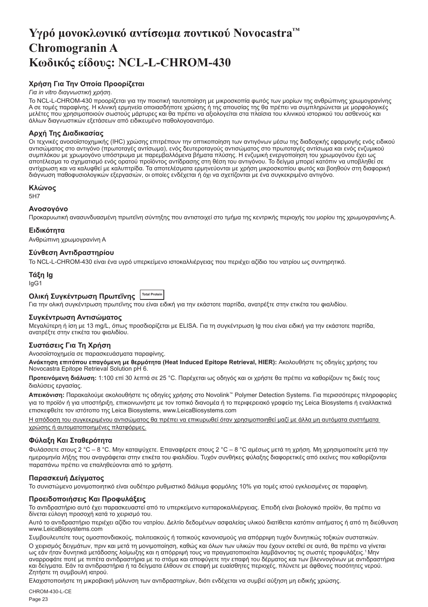# <span id="page-23-0"></span>**Υγρό μονοκλωνικό αντίσωμα ποντικού Novocastra™ Chromogranin A Κωδικός είδους: NCL-L-CHROM-430**

# **Χρήση Για Την Οποία Προορίζεται**

## *Για in vitro διαγνωστική χρήση*.

Το NCL-L-CHROM-430 προορίζεται για την ποιοτική ταυτοποίηση με μικροσκοπία φωτός των μορίων της ανθρώπινης χρωμογρανίνης Α σε τομές παραφίνης. Η κλινική ερμηνεία οποιασδήποτε χρώσης ή της απουσίας της θα πρέπει να συμπληρώνεται με μορφολογικές μελέτες που χρησιμοποιούν σωστούς μάρτυρες και θα πρέπει να αξιολογείται στα πλαίσια του κλινικού ιστορικού του ασθενούς και άλλων διαγνωστικών εξετάσεων από ειδικευμένο παθολογοανατόμο.

# **Αρχή Της Διαδικασίας**

Οι τεχνικές ανοσοϊστοχημικής (IHC) χρώσης επιτρέπουν την οπτικοποίηση των αντιγόνων μέσω της διαδοχικής εφαρμογής ενός ειδικού αντισώματος στο αντιγόνο (πρωτοταγές αντίσωμα), ενός δευτεροταγούς αντισώματος στο πρωτοταγές αντίσωμα και ενός ενζυμικού συμπλόκου με χρωμογόνο υπόστρωμα με παρεμβαλλόμενα βήματα πλύσης. Η ενζυμική ενεργοποίηση του χρωμογόνου έχει ως αποτέλεσμα το σχηματισμό ενός ορατού προϊόντος αντίδρασης στη θέση του αντιγόνου. Το δείγμα μπορεί κατόπιν να υποβληθεί σε αντίχρωση και να καλυφθεί με καλυπτρίδα. Τα αποτελέσματα ερμηνεύονται με χρήση μικροσκοπίου φωτός και βοηθούν στη διαφορική διάγνωση παθοφυσιολογικών εξεργασιών, οι οποίες ενδέχεται ή όχι να σχετίζονται με ένα συγκεκριμένο αντιγόνο.

## **Κλώνος**

5H7

# **Ανοσογόνο**

Προκαρυωτική ανασυνδυασμένη πρωτεΐνη σύντηξης που αντιστοιχεί στο τμήμα της κεντρικής περιοχής του μορίου της χρωμογρανίνης Α.

## **Ειδικότητα**

Ανθρώπινη χρωμογρανίνη Α

## **Σύνθεση Αντιδραστηρίου**

Το NCL-L-CHROM-430 είναι ένα υγρό υπερκείμενο ιστοκαλλιέργειας που περιέχει αζίδιο του νατρίου ως συντηρητικό.

**Τάξη Ig** IgG1

# **Ολική Συγκέντρωση Πρωτεΐνης Total Protein**

Για την ολική συγκέντρωση πρωτεΐνης που είναι ειδική για την εκάστοτε παρτίδα, ανατρέξτε στην ετικέτα του φιαλιδίου.

# **Συγκέντρωση Αντισώματος**

Μεγαλύτερη ή ίση με 13 mg/L, όπως προσδιορίζεται με ELISA. Για τη συγκέντρωση Ig που είναι ειδική για την εκάστοτε παρτίδα, ανατρέξτε στην ετικέτα του φιαλιδίου.

# **Συστάσεις Για Τη Χρήση**

Ανοσοϊστοχημεία σε παρασκευάσματα παραφίνης.

**Ανάκτηση επιτόπου επαγόμενη με θερμότητα (Heat Induced Epitope Retrieval, HIER):** Ακολουθήστε τις οδηγίες χρήσης του Novocastra Epitope Retrieval Solution pH 6.

**Προτεινόμενη διάλυση:** 1:100 επί 30 λεπτά σε 25 °C. Παρέχεται ως οδηγός και οι χρήστε θα πρέπει να καθορίζουν τις δικές τους διαλύσεις εργασίας.

**Απεικόνιση:** Παρακαλούμε ακολουθήστε τις οδηγίες χρήσης στο Novolink™ Polymer Detection Systems. Για περισσότερες πληροφορίες για το προϊόν ή για υποστήριξη, επικοινωνήστε με τον τοπικό διανομέα ή το περιφερειακό γραφείο της Leica Biosystems ή εναλλακτικά επισκεφθείτε τον ιστότοπο της Leica Biosystems, www.LeicaBiosystems.com

Η απόδοση του συγκεκριμένου αντισώματος θα πρέπει να επικυρωθεί όταν χρησιμοποιηθεί μαζί με άλλα μη αυτόματα συστήματα χρώσης ή αυτοματοποιημένες πλατφόρμες.

## **Φύλαξη Και Σταθερότητα**

Φυλάσσετε στους 2 °C – 8 °C. Μην καταψύχετε. Επαναφέρετε στους 2 °C – 8 °C αμέσως μετά τη χρήση. Μη χρησιμοποιείτε μετά την ημερομηνία λήξης που αναγράφεται στην ετικέτα του φιαλιδίου. Τυχόν συνθήκες φύλαξης διαφορετικές από εκείνες που καθορίζονται παραπάνω πρέπει να επαληθεύονται από το χρήστη.

## **Παρασκευή Δείγματος**

Το συνιστώμενο μονιμοποιητικό είναι ουδέτερο ρυθμιστικό διάλυμα φορμόλης 10% για τομές ιστού εγκλεισμένες σε παραφίνη.

# **Προειδοποιήσεις Και Προφυλάξεις**

Το αντιδραστήριο αυτό έχει παρασκευαστεί από το υπερκείμενο κυτταροκαλλιέργειας. Επειδή είναι βιολογικό προϊόν, θα πρέπει να δίνεται εύλογη προσοχή κατά το χειρισμό του.

Αυτό το αντιδραστήριο περιέχει αζίδιο του νατρίου. Δελτίο δεδομένων ασφαλείας υλικού διατίθεται κατόπιν αιτήματος ή από τη διεύθυνση www.LeicaBiosystems.com

Συμβουλευτείτε τους ομοσπονδιακούς, πολιτειακούς ή τοπικούς κανονισμούς για απόρριψη τυχόν δυνητικώς τοξικών συστατικών. Ο χειρισμός δειγμάτων, πριν και μετά τη μονιμοποίηση, καθώς και όλων των υλικών που έχουν εκτεθεί σε αυτά, θα πρέπει να γίνεται ως εάν ήταν δυνητικά μετάδοσης λοίμωξης και η απόρριψή τους να πραγματοποιείται λαμβάνοντας τις σωστές προφυλάξεις.<sup>1</sup>Μην αναρροφάτε ποτέ με πιπέτα αντιδραστήρια με το στόμα και αποφύγετε την επαφή του δέρματος και των βλεννογόνων με αντιδραστήρια και δείγματα. Εάν τα αντιδραστήρια ή τα δείγματα έλθουν σε επαφή με ευαίσθητες περιοχές, πλύνετε με άφθονες ποσότητες νερού. Ζητήστε τη συμβουλή ιατρού.

Ελαχιστοποιήστε τη μικροβιακή μόλυνση των αντιδραστηρίων, διότι ενδέχεται να συμβεί αύξηση μη ειδικής χρώσης.

CHROM-430-L-CE Page 23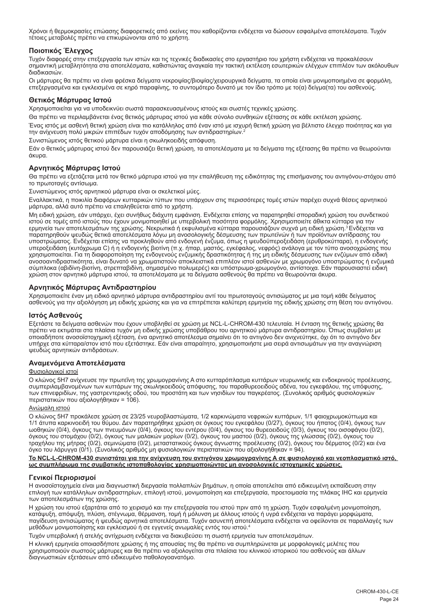Χρόνοι ή θερμοκρασίες επώασης διαφορετικές από εκείνες που καθορίζονται ενδέχεται να δώσουν εσφαλμένα αποτελέσματα. Τυχόν τέτοιες μεταβολές πρέπει να επικυρώνονται από το χρήστη.

# **Ποιοτικός Έλεγχος**

Τυχόν διαφορές στην επεξεργασία των ιστών και τις τεχνικές διαδικασίες στο εργαστήριο του χρήστη ενδέχεται να προκαλέσουν σημαντική μεταβλητότητα στα αποτελέσματα, καθιστώντας αναγκαία την τακτική εκτέλεση εσωτερικών ελέγχων επιπλέον των ακόλουθων διαδικασιών.

Οι μάρτυρες θα πρέπει να είναι φρέσκα δείγματα νεκροψίας/βιοψίας/χειρουργικά δείγματα, τα οποία είναι μονιμοποιημένα σε φορμόλη, επεξεργασμένα και εγκλεισμένα σε κηρό παραφίνης, το συντομότερο δυνατό με τον ίδιο τρόπο με το(α) δείγμα(τα) του ασθενούς.

# **Θετικός Μάρτυρας Ιστού**

Χρησιμοποιείται για να υποδεικνύει σωστά παρασκευασμένους ιστούς και σωστές τεχνικές χρώσης.

Θα πρέπει να περιλαμβάνεται ένας θετικός μάρτυρας ιστού για κάθε σύνολο συνθηκών εξέτασης σε κάθε εκτέλεση χρώσης.

Ένας ιστός με ασθενή θετική χρώση είναι πιο κατάλληλος από έναν ιστό με ισχυρή θετική χρώση για βέλτιστο έλεγχο ποιότητας και για την ανίχνευση πολύ μικρών επιπέδων τυχόν αποδόμησης των αντιδραστηρίων.<sup>2</sup>

Συνιστώμενος ιστός θετικού μάρτυρα είναι η σκωληκοειδής απόφυση.

Εάν ο θετικός μάρτυρας ιστού δεν παρουσιάζει θετική χρώση, τα αποτελέσματα με τα δείγματα της εξέτασης θα πρέπει να θεωρούνται άκυρα.

# **Αρνητικός Μάρτυρας Ιστού**

Θα πρέπει να εξετάζεται μετά τον θετικό μάρτυρα ιστού για την επαλήθευση της ειδικότητας της επισήμανσης του αντιγόνου-στόχου από το πρωτοταγές αντίσωμα.

Συνιστώμενος ιστός αρνητικού μάρτυρα είναι οι σκελετικοί μύες.

Εναλλακτικά, η ποικιλία διαφόρων κυτταρικών τύπων που υπάρχουν στις περισσότερες τομές ιστών παρέχει συχνά θέσεις αρνητικού μάρτυρα, αλλά αυτό πρέπει να επαληθεύεται από το χρήστη.

Μη ειδική χρώση, εάν υπάρχει, έχει συνήθως διάχυτη εμφάνιση. Ενδέχεται επίσης να παρατηρηθεί σποραδική χρώση του συνδετικού ιστού σε τομές από ιστούς που έχουν μονιμοποιηθεί με υπερβολική ποσότητα φορμόλης. Χρησιμοποιείτε άθικτα κύτταρα για την<br>ερμηνεία των αποτελεσμάτων της χρώσης. Νεκρωτικά ή εκφυλισμένα κύτταρα παρουσιάζουν συχνά μη ειδική παρατηρηθούν ψευδώς θετικά αποτελέσματα λόγω μη ανοσολογικής δέσμευσης των πρωτεϊνών ή των προϊόντων αντίδρασης του υποστρώματος. Ενδέχεται επίσης να προκληθούν από ενδογενή ένζυμα, όπως η ψευδοϋπεροξειδάση (ερυθροκύτταρα), η ενδογενής<br>υπεροξειδάση (κυτόχρωμα C) ή η ενδογενής βιοτίνη (π.χ. ήπαρ, μαστός, εγκέφαλος, νεφρός) ανάλογα με το χρησιμοποιείται. Για τη διαφοροποίηση της ενδογενούς ενζυμικής δραστικότητας ή της μη ειδικής δέσμευσης των ενζύμων από ειδική ανοσοαντιδραστικότητα, είναι δυνατό να χρωματιστούν αποκλειστικά επιπλέον ιστοί ασθενών με χρωμογόνο υποστρώματος ή ενζυμικά σύμπλοκα (αβιδίνη-βιοτίνη, στρεπταβιδίνη, σημασμένο πολυμερές) και υπόστρωμα-χρωμογόνο, αντίστοιχα. Εάν παρουσιαστεί ειδική χρώση στον αρνητικό μάρτυρα ιστού, τα αποτελέσματα με τα δείγματα ασθενούς θα πρέπει να θεωρούνται άκυρα.

# **Αρνητικός Μάρτυρας Αντιδραστηρίου**

Χρησιμοποιείτε έναν μη ειδικό αρνητικό μάρτυρα αντιδραστηρίου αντί του πρωτοταγούς αντισώματος με μια τομή κάθε δείγματος ασθενούς για την αξιολόγηση μη ειδικής χρώσης και για να επιτρέπεται καλύτερη ερμηνεία της ειδικής χρώσης στη θέση του αντιγόνου.

# **Ιστός Ασθενούς**

Εξετάστε τα δείγματα ασθενών που έχουν υποβληθεί σε χρώση με NCL-L-CHROM-430 τελευταία. Η ένταση της θετικής χρώσης θα πρέπει να εκτιμάται στα πλαίσια τυχόν μη ειδικής χρώσης υποβάθρου του αρνητικού μάρτυρα αντιδραστηρίου. Όπως συμβαίνει με οποιαδήποτε ανοσοϊστοχημική εξέταση, ένα αρνητικό αποτέλεσμα σημαίνει ότι το αντιγόνο δεν ανιχνεύτηκε, όχι ότι το αντιγόνο δεν υπήρχε στα κύτταρα/στον ιστό που εξετάστηκε. Εάν είναι απαραίτητο, χρησιμοποιήστε μια σειρά αντισωμάτων για την αναγνώριση ψευδώς αρνητικών αντιδράσεων.

# **Αναμενόμενα Αποτελέσματα**

## Φυσιολογικοί ιστοί

Ο κλώνος 5H7 ανίχνευσε την πρωτεΐνη της χρωμογρανίνης Α στο κυτταρόπλασμα κυττάρων νευρωνικής και ενδοκρινούς προέλευσης, συμπεριλαμβανομένων των κυττάρων της σκωληκοειδούς απόφυσης, του παραθυρεοειδούς αδένα, του εγκεφάλου, της υπόφυσης, των επινεφριδίων, της γαστρεντερικής οδού, του προστάτη και των νησιδίων του παγκρέατος. (Συνολικός αριθμός φυσιολογικών περιστατικών που αξιολογήθηκαν = 106).

# Ανώμαλη ιστού

Ο κλώνος 5Η7 προκάλεσε χρώση σε 23/25 νευροβλαστώματα, 1/2 καρκινώματα νεφρικών κυττάρων, 1/1 φαιοχρωμοκύττωμα και<br>1/1 άτυπα καρκινοειδή του θύμου. Δεν παρατηρήθηκε χρώση σε όγκους του εγκεφάλου (0/27), όγκους του ήπατος ωοθηκών (0/4), όγκους των πνευμόνων (0/4), όγκους του εντέρου (0/4), όγκους του θυρεοειδούς (0/3), όγκους του οισοφάγου (0/2), όγκους του στομάχου (0/2), όγκους των μαλακών μορίων (0/2), όγκους του μαστού (0/2), όγκους της γλώσσας (0/2), όγκους του τραχήλου της μήτρας (0/2), σεμινώματα (0/2), μεταστατικούς όγκους άγνωστης προέλευσης (0/2), όγκους του δέρματος (0/2) και ένα όγκο του λάρυγγα (0/1). (Συνολικός αριθμός μη φυσιολογικών περιστατικών που αξιολογήθηκαν = 94).

## **Το NCL-L-CHROM-430 συνιστάται για την ανίχνευση του αντιγόνου χρωμογρανίνης Α σε φυσιολογικό και νεοπλασματικό ιστό, ως συμπλήρωμα της συμβατικής ιστοπαθολογίας χρησιμοποιώντας μη ανοσολογικές ιστοχημικές χρώσεις.**

## **Γενικοί Περιορισμοί**

Η ανοσοϊστοχημεία είναι μια διαγνωστική διεργασία πολλαπλών βημάτων, η οποία αποτελείται από ειδικευμένη εκπαίδευση στην επιλογή των κατάλληλων αντιδραστηρίων, επιλογή ιστού, μονιμοποίηση και επεξεργασία, προετοιμασία της πλάκας IHC και ερμηνεία των αποτελεσμάτων της χρώσης.

Η χρώση του ιστού εξαρτάται από το χειρισμό και την επεξεργασία του ιστού πριν από τη χρώση. Τυχόν εσφαλμένη μονιμοποίηση, κατάψυξη, απόψυξη, πλύση, στέγνωμα, θέρμανση, τομή ή μόλυνση με άλλους ιστούς ή υγρά ενδέχεται να παράγει μορφώματα, παγίδευση αντισώματος ή ψευδώς αρνητικά αποτελέσματα. Τυχόν ασυνεπή αποτελέσματα ενδέχεται να οφείλονται σε παραλλαγές των μεθόδων μονιμοποίησης και εγκλεισμού ή σε εγγενείς ανωμαλίες εντός του ιστού.<sup>4</sup>

Τυχόν υπερβολική ή ατελής αντίχρωση ενδέχεται να διακυβεύσει τη σωστή ερμηνεία των αποτελεσμάτων.

Η κλινική ερμηνεία οποιασδήποτε χρώσης ή της απουσίας της θα πρέπει να συμπληρώνεται με μορφολογικές μελέτες που χρησιμοποιούν σωστούς μάρτυρες και θα πρέπει να αξιολογείται στα πλαίσια του κλινικού ιστορικού του ασθενούς και άλλων διαγνωστικών εξετάσεων από ειδικευμένο παθολογοανατόμο.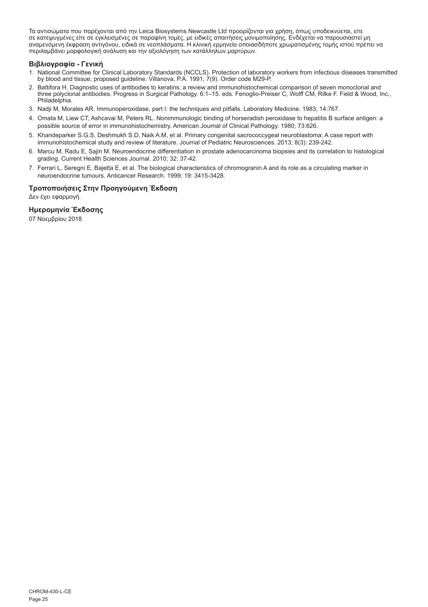Τα αντισώματα που παρέχονται από την Leica Biosystems Newcastle Ltd προορίζονται για χρήση, όπως υποδεικνύεται, είτε σε κατεψυγμένες είτε σε εγκλεισμένες σε παραφίνη τομές, με ειδικές απαιτήσεις μονιμοποίησης. Ενδέχεται να παρουσιαστεί μη<br>αναμενόμενη έκφραση αντιγόνου, ειδικά σε νεοπλάσματα. Η κλινική ερμηνεία οποιασδήποτε χρωματισμένης περιλαμβάνει μορφολογική ανάλυση και την αξιολόγηση των κατάλληλων μαρτύρων.

## **Βιβλιογραφία - Γενική**

- 1. National Committee for Clinical Laboratory Standards (NCCLS). Protection of laboratory workers from infectious diseases transmitted by blood and tissue; proposed guideline. Villanova, P.A. 1991; 7(9). Order code M29-P.
- 2. Battifora H. Diagnostic uses of antibodies to keratins: a review and immunohistochemical comparison of seven monoclonal and three polyclonal antibodies. Progress in Surgical Pathology. 6:1–15. eds. Fenoglio-Preiser C, Wolff CM, Rilke F. Field & Wood, Inc., Philadelphia.
- 3. Nadji M, Morales AR. Immunoperoxidase, part I: the techniques and pitfalls. Laboratory Medicine. 1983; 14:767.
- 4. Omata M, Liew CT, Ashcavai M, Peters RL. Nonimmunologic binding of horseradish peroxidase to hepatitis B surface antigen: a possible source of error in immunohistochemistry. American Journal of Clinical Pathology. 1980; 73:626.
- 5. Khandeparker S.G.S, Deshmukh S.D, Naik A.M, et al. Primary congenital sacrococcygeal neuroblastoma: A case report with immunohistochemical study and review of literature. Journal of Pediatric Neurosciences. 2013; 8(3): 239-242.
- 6. Marcu M, Radu E, Sajin M. Neuroendocrine differentiation in prostate adenocarcinoma biopsies and its correlation to histological grading. Current Health Sciences Journal. 2010; 32: 37-42.
- 7. Ferrari L, Seregni E, Bajetta E, et al. The biological characteristics of chromogranin A and its role as a circulating marker in neuroendocrine tumours. Anticancer Research. 1999; 19: 3415-3428.

# **Τροποποιήσεις Στην Προηγούμενη Έκδοση**

Δεν έχει εφαρμογή.

# **Ημερομηνία Έκδοσης**

07 Νοεμβρίου 2018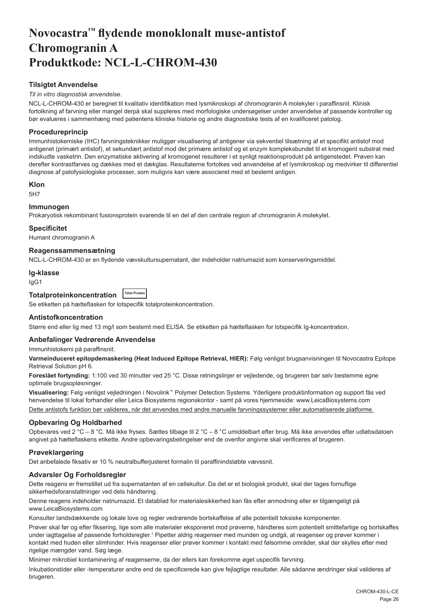# <span id="page-26-0"></span>**Novocastra™ flydende monoklonalt muse-antistof Chromogranin A Produktkode: NCL-L-CHROM-430**

# **Tilsigtet Anvendelse**

## *Til in vitro diagnostisk anvendelse*.

NCL-L-CHROM-430 er beregnet til kvalitativ identifikation med lysmikroskopi af chromogranin A molekyler i paraffinsnit. Klinisk fortolkning af farvning eller mangel derpå skal suppleres med morfologiske undersøgelser under anvendelse af passende kontroller og bør evalueres i sammenhæng med patientens kliniske historie og andre diagnostiske tests af en kvalificeret patolog.

# **Procedureprincip**

Immunhistokemiske (IHC) farvningsteknikker muliggør visualisering af antigener via sekventiel tilsætning af et specifikt antistof mod antigenet (primært antistof), et sekundært antistof mod det primære antistof og et enzym kompleksbundet til et kromogent substrat med indskudte vasketrin. Den enzymatiske aktivering af kromogenet resulterer i et synligt reaktionsprodukt på antigenstedet. Prøven kan derefter kontrastfarves og dækkes med et dækglas. Resultaterne fortolkes ved anvendelse af et lysmikroskop og medvirker til differentiel diagnose af patofysiologiske processer, som muligvis kan være associeret med et bestemt antigen.

# **Klon**

5H7

# **Immunogen**

Prokaryotisk rekombinant fusionsprotein svarende til en del af den centrale region af chromogranin A molekylet.

# **Specificitet**

Humant chromogranin A

# **Reagenssammensætning**

NCL-L-CHROM-430 er en flydende vævskultursupernatant, der indeholder natriumazid som konserveringsmiddel.

## **Ig-klasse**

IgG1

# **Totalproteinkoncentration Total Protein**

Se etiketten på hætteflasken for lotspecifik totalproteinkoncentration.

# **Antistofkoncentration**

Større end eller lig med 13 mg/l som bestemt med ELISA. Se etiketten på hætteflasken for lotspecifik Ig-koncentration.

# **Anbefalinger Vedrørende Anvendelse**

Immunhistokemi på paraffinsnit.

**Varmeinduceret epitopdemaskering (Heat Induced Epitope Retrieval, HIER):** Følg venligst brugsanvisningen til Novocastra Epitope Retrieval Solution pH 6.

**Foreslået fortynding:** 1:100 ved 30 minutter ved 25 °C. Disse retningslinjer er vejledende, og brugeren bør selv bestemme egne optimale brugsopløsninger.

**Visualisering:** Følg venligst vejledningen i Novolink™ Polymer Detection Systems. Yderligere produktinformation og support fås ved henvendelse til lokal forhandler eller Leica Biosystems regionskontor - samt på vores hjemmeside: www.LeicaBiosystems.com

Dette antistofs funktion bør valideres, når det anvendes med andre manuelle farvningssystemer eller automatiserede platforme.

# **Opbevaring Og Holdbarhed**

Opbevares ved 2 °C – 8 °C. Må ikke fryses. Sættes tilbage til 2 °C – 8 °C umiddelbart efter brug. Må ikke anvendes efter udløbsdatoen angivet på hætteflaskens etikette. Andre opbevaringsbetingelser end de ovenfor angivne skal verificeres af brugeren.

# **Prøveklargøring**

Det anbefalede fiksativ er 10 % neutralbufferjusteret formalin til paraffinindstøbte vævssnit.

# **Advarsler Og Forholdsregler**

Dette reagens er fremstillet ud fra supernatanten af en cellekultur. Da det er et biologisk produkt, skal der tages fornuftige sikkerhedsforanstaltninger ved dets håndtering.

Denne reagens indeholder natriumazid. Et datablad for materialesikkerhed kan fås efter anmodning eller er tilgængeligt på www.LeicaBiosystems.com

Konsulter landsdækkende og lokale love og regler vedrørende bortskaffelse af alle potentielt toksiske komponenter.

Prøver skal før og efter fiksering, lige som alle materialer eksponeret mod prøverne, håndteres som potentielt smittefarlige og bortskaffes under iagttagelse af passende forholdsregler.<sup>1</sup> Pipetter aldrig reagenser med munden og undgå, at reagenser og prøver kommer i kontakt med huden eller slimhinder. Hvis reagenser eller prøver kommer i kontakt med følsomme områder, skal der skylles efter med rigelige mængder vand. Søg læge.

Minimer mikrobiel kontaminering af reagenserne, da der ellers kan forekomme øget uspecifik farvning.

Inkubationstider eller -temperaturer andre end de specificerede kan give fejlagtige resultater. Alle sådanne ændringer skal valideres af brugeren.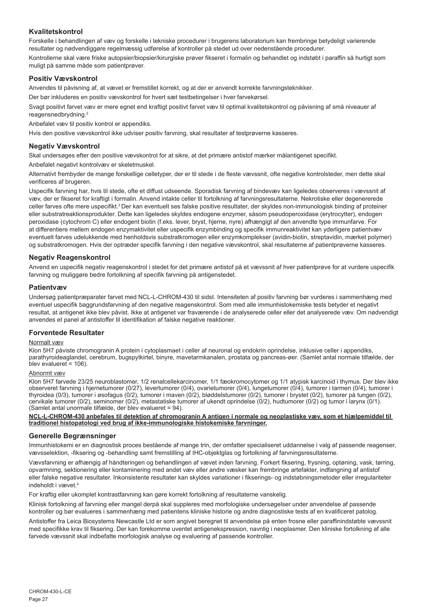# **Kvalitetskontrol**

Forskelle i behandlingen af væv og forskelle i tekniske procedurer i brugerens laboratorium kan frembringe betydeligt varierende resultater og nødvendiggøre regelmæssig udførelse af kontroller på stedet ud over nedenstående procedurer. Kontrollerne skal være friske autopsier/biopsier/kirurgiske prøver fikseret i formalin og behandlet og indstøbt i paraffin så hurtigt som muligt på samme måde som patientprøver.

# **Positiv Vævskontrol**

Anvendes til påvisning af, at vævet er fremstillet korrekt, og at der er anvendt korrekte farvningsteknikker.

Der bør inkluderes en positiv vævskontrol for hvert sæt testbetingelser i hver farvekørsel.

Svagt positivt farvet væv er mere egnet end kraftigt positivt farvet væv til optimal kvalitetskontrol og påvisning af små niveauer af reagensnedbrydning.<sup>2</sup>

Anbefalet væv til positiv kontrol er appendiks.

Hvis den positive vævskontrol ikke udviser positiv farvning, skal resultater af testprøverne kasseres.

## **Negativ Vævskontrol**

Skal undersøges efter den positive vævskontrol for at sikre, at det primære antistof mærker målantigenet specifikt.

Anbefalet negativt kontrolvæv er skeletmuskel.

Alternativt frembyder de mange forskellige celletyper, der er til stede i de fleste vævssnit, ofte negative kontrolsteder, men dette skal verificeres af brugeren.

Uspecifik farvning har, hvis til stede, ofte et diffust udseende. Sporadisk farvning af bindevæv kan ligeledes observeres i vævssnit af væv, der er fikseret for kraftigt i formalin. Anvend intakte celler til fortolkning af farvningsresultaterne. Nekrotiske eller degenererede celler farves ofte mere uspecifikt.<sup>3</sup>Der kan eventuelt ses falske positive resultater, der skyldes non-immunologisk binding af proteiner eller substratreaktionsprodukter. Dette kan ligeledes skyldes endogene enzymer, såsom pseudoperoxidase (erytrocytter), endogen peroxidase (cytochrom C) eller endogent biotin (f.eks. lever, bryst, hjerne, nyre) afhængigt af den anvendte type immunfarve. For at differentiere mellem endogen enzymaktivitet eller uspecifik enzymbinding og specifik immunreaktivitet kan yderligere patientvæv eventuelt farves udelukkende med henholdsvis substratkromogen eller enzymkomplekser (avidin-biotin, streptavidin, mærket polymer) og substratkromogen. Hvis der optræder specifik farvning i den negative vævskontrol, skal resultaterne af patientprøverne kasseres.

# **Negativ Reagenskontrol**

Anvend en uspecifik negativ reagenskontrol i stedet for det primære antistof på et vævssnit af hver patientprøve for at vurdere uspecifik farvning og muliggøre bedre fortolkning af specifik farvning på antigenstedet.

## **Patientvæv**

Undersøg patientpræparater farvet med NCL-L-CHROM-430 til sidst. Intensiteten af positiv farvning bør vurderes i sammenhæng med eventuel uspecifik baggrundsfarvning af den negative reagenskontrol. Som med alle immunhistokemiske tests betyder et negativt resultat, at antigenet ikke blev påvist. Ikke at antigenet var fraværende i de analyserede celler eller det analyserede væv. Om nødvendigt anvendes et panel af antistoffer til identifikation af falske negative reaktioner.

## **Forventede Resultater**

# Normalt væv

Klon 5H7 påviste chromogranin A protein i cytoplasmaet i celler af neuronal og endokrin oprindelse, inklusive celler i appendiks, parathyroideaglandel, cerebrum, bugspytkirtel, binyre, mavetarmkanalen, prostata og pancreas-øer. (Samlet antal normale tilfælde, der  $blev$  evalueret = 106).

# Abnormt væv

Klon 5H7 farvede 23/25 neuroblastomer, 1/2 renalcellekarcinomer, 1/1 fæokromocytomer og 1/1 atypisk karcinoid i thymus. Der blev ikke observeret farvning i hjernetumorer (0/27), levertumorer (0/4), ovarietumorer (0/4), lungetumorer (0/4), tumorer i tarmen (0/4), tumorer i thyroidea (0/3), tumorer i øsofagus (0/2), tumorer i maven (0/2), bløddelstumorer (0/2), tumorer i brystet (0/2), tumorer på tungen (0/2), cervikale tumorer (0/2), seminomer (0/2), metastatiske tumorer af ukendt oprindelse (0/2), hudtumorer (0/2) og tumor i larynx (0/1). (Samlet antal unormale tilfælde, der blev evalueret = 94).

**NCL-L-CHROM-430 anbefales til detektion af chromogranin A antigen i normale og neoplastiske væv, som et hjælpemiddel til traditionel histopatologi ved brug af ikke-immunologiske histokemiske farvninger.**

## **Generelle Begrænsninger**

Immunhistokemi er en diagnostisk proces bestående af mange trin, der omfatter specialiseret uddannelse i valg af passende reagenser, vævsselektion, -fiksering og -behandling samt fremstilling af IHC-objektglas og fortolkning af farvningsresultaterne.

Vævsfarvning er afhængig af håndteringen og behandlingen af vævet inden farvning. Forkert fiksering, frysning, optøning, vask, tørring, opvarmning, sektionering eller kontaminering med andet væv eller andre væsker kan frembringe artefakter, indfangning af antistof eller falske negative resultater. Inkonsistente resultater kan skyldes variationer i fikserings- og indstøbningsmetoder eller irregulariteter indeholdt i vævet.<sup>4</sup>

For kraftig eller ukomplet kontrastfarvning kan gøre korrekt fortolkning af resultaterne vanskelig.

Klinisk fortolkning af farvning eller mangel derpå skal suppleres med morfologiske undersøgelser under anvendelse af passende kontroller og bør evalueres i sammenhæng med patientens kliniske historie og andre diagnostiske tests af en kvalificeret patolog.

Antistoffer fra Leica Biosystems Newcastle Ltd er som angivet beregnet til anvendelse på enten frosne eller paraffinindstøbte vævssnit med specifikke krav til fiksering. Der kan forekomme uventet antigenekspression, navnlig i neoplasmer. Den kliniske fortolkning af alle farvede vævssnit skal indbefatte morfologisk analyse og evaluering af passende kontroller.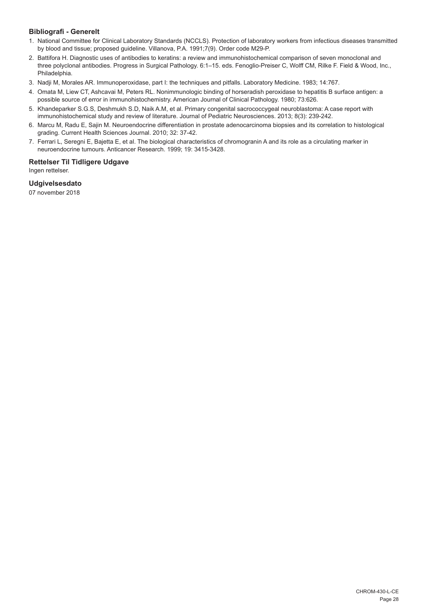# **Bibliografi - Generelt**

- 1. National Committee for Clinical Laboratory Standards (NCCLS). Protection of laboratory workers from infectious diseases transmitted by blood and tissue; proposed guideline. Villanova, P.A. 1991;7(9). Order code M29-P.
- 2. Battifora H. Diagnostic uses of antibodies to keratins: a review and immunohistochemical comparison of seven monoclonal and three polyclonal antibodies. Progress in Surgical Pathology. 6:1–15. eds. Fenoglio-Preiser C, Wolff CM, Rilke F. Field & Wood, Inc., Philadelphia.
- 3. Nadji M, Morales AR. Immunoperoxidase, part I: the techniques and pitfalls. Laboratory Medicine. 1983; 14:767.
- 4. Omata M, Liew CT, Ashcavai M, Peters RL. Nonimmunologic binding of horseradish peroxidase to hepatitis B surface antigen: a possible source of error in immunohistochemistry. American Journal of Clinical Pathology. 1980; 73:626.
- 5. Khandeparker S.G.S, Deshmukh S.D, Naik A.M, et al. Primary congenital sacrococcygeal neuroblastoma: A case report with immunohistochemical study and review of literature. Journal of Pediatric Neurosciences. 2013; 8(3): 239-242.
- 6. Marcu M, Radu E, Sajin M. Neuroendocrine differentiation in prostate adenocarcinoma biopsies and its correlation to histological grading. Current Health Sciences Journal. 2010; 32: 37-42.
- 7. Ferrari L, Seregni E, Bajetta E, et al. The biological characteristics of chromogranin A and its role as a circulating marker in neuroendocrine tumours. Anticancer Research. 1999; 19: 3415-3428.

# **Rettelser Til Tidligere Udgave**

Ingen rettelser.

# **Udgivelsesdato**

07 november 2018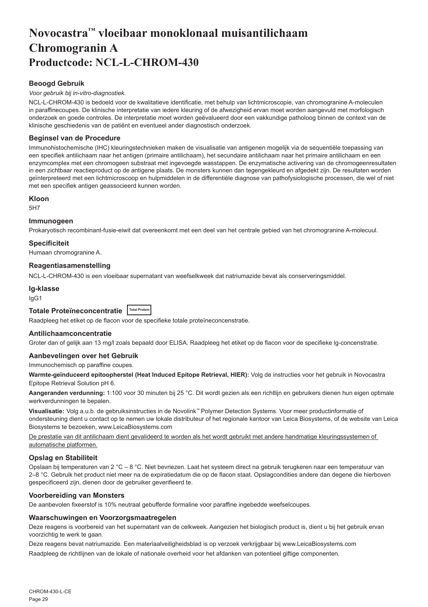# <span id="page-29-0"></span>**Novocastra™ vloeibaar monoklonaal muisantilichaam Chromogranin A Productcode: NCL-L-CHROM-430**

# **Beoogd Gebruik**

### *Voor gebruik bij in-vitro-diagnostiek.*

NCL-L-CHROM-430 is bedoeld voor de kwalitatieve identificatie, met behulp van lichtmicroscopie, van chromogranine A-moleculen in paraffinecoupes. De klinische interpretatie van iedere kleuring of de afwezigheid ervan moet worden aangevuld met morfologisch onderzoek en goede controles. De interpretatie moet worden geëvalueerd door een vakkundige patholoog binnen de context van de klinische geschiedenis van de patiënt en eventueel ander diagnostisch onderzoek.

## **Beginsel van de Procedure**

Immunohistochemische (IHC) kleuringstechnieken maken de visualisatie van antigenen mogelijk via de sequentiële toepassing van een specifiek antilichaam naar het antigen (primaire antilichaam), het secundaire antilichaam naar het primaire antilichaam en een enzymcomplex met een chromogeen substraat met ingevoegde wasstappen. De enzymatische activering van de chromogeenresultaten in een zichtbaar reactieproduct op de antigene plaats. De monsters kunnen dan tegengekleurd en afgedekt zijn. De resultaten worden geïnterpreteerd met een lichtmicroscoop en hulpmiddelen in de differentiële diagnose van pathofysiologische processen, die wel of niet met een specifiek antigen geassocieerd kunnen worden.

## **Kloon**

5H7

# **Immunogeen**

Prokaryotisch recombinant-fusie-eiwit dat overeenkomt met een deel van het centrale gebied van het chromogranine A-molecuul.

## **Specificiteit**

Humaan chromogranine A.

## **Reagentiasamenstelling**

NCL-L-CHROM-430 is een vloeibaar supernatant van weefselkweek dat natriumazide bevat als conserveringsmiddel.

# **Ig-klasse**

IgG1

# **Totale Proteïneconcentratie Total Protein**

Raadpleeg het etiket op de flacon voor de specifieke totale proteïneconcenstratie.

## **Antilichaamconcentratie**

Groter dan of gelijk aan 13 mg/l zoals bepaald door ELISA. Raadpleeg het etiket op de flacon voor de specifieke lg-concenstratie.

## **Aanbevelingen over het Gebruik**

Immunochemisch op paraffine coupes.

**Warmte-geïnduceerd epitoopherstel (Heat Induced Epitope Retrieval, HIER):** Volg de instructies voor het gebruik in Novocastra Epitope Retrieval Solution pH 6.

**Aangeranden verdunning:** 1:100 voor 30 minuten bij 25 °C. Dit wordt gezien als een richtlijn en gebruikers dienen hun eigen optimale werkverdunningen te bepalen.

**Visualisatie:** Volg a.u.b. de gebruiksinstructies in de Novolink™ Polymer Detection Systems. Voor meer productinformatie of ondersteuning dient u contact op te nemen uw lokale distributeur of het regionale kantoor van Leica Biosystems, of de website van Leica Biosystems te bezoeken, www.LeicaBiosystems.com

De prestatie van dit antilichaam dient gevalideerd te worden als het wordt gebruikt met andere handmatige kleuringssystemen of automatische platformen.

# **Opslag en Stabiliteit**

Opslaan bij temperaturen van 2 °C – 8 °C. Niet bevriezen. Laat het systeem direct na gebruik terugkeren naar een temperatuur van 2–8 °C. Gebruik het product niet meer na de expiratiedatum die op de flacon staat. Opslagcondities andere dan degene die hierboven gespecificeerd zijn, dienen door de gebruiker geverifieerd te.

# **Voorbereiding van Monsters**

De aanbevolen fixeerstof is 10% neutraal gebufferde formaline voor paraffine ingebedde weefselcoupes.

# **Waarschuwingen en Voorzorgsmaatregelen**

Deze reagens is voorbereid van het supernatant van de celkweek. Aangezien het biologisch product is, dient u bij het gebruik ervan voorzichtig te werk te gaan.

Deze reagens bevat natriumazide. Een materiaalveiligheidsblad is op verzoek verkrijgbaar bij www.LeicaBiosystems.com Raadpleeg de richtlijnen van de lokale of nationale overheid voor het afdanken van potentieel giftige componenten.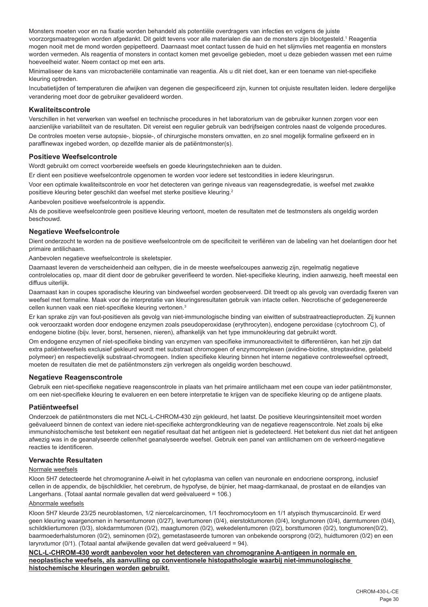Monsters moeten voor en na fixatie worden behandeld als potentiële overdragers van infecties en volgens de juiste voorzorgsmaatregelen worden afgedankt. Dit geldt tevens voor alle materialen die aan de monsters zijn blootgesteld.' Reagentia mogen nooit met de mond worden gepipetteerd. Daarnaast moet contact tussen de huid en het slijmvlies met reagentia en monsters worden vermeden. Als reagentia of monsters in contact komen met gevoelige gebieden, moet u deze gebieden wassen met een ruime hoeveelheid water. Neem contact op met een arts.

Minimaliseer de kans van microbacteriële contaminatie van reagentia. Als u dit niet doet, kan er een toename van niet-specifieke kleuring optreden.

Incubatietijden of temperaturen die afwijken van degenen die gespecificeerd zijn, kunnen tot onjuiste resultaten leiden. Iedere dergelijke verandering moet door de gebruiker gevalideerd worden.

## **Kwaliteitscontrole**

Verschillen in het verwerken van weefsel en technische procedures in het laboratorium van de gebruiker kunnen zorgen voor een aanzienlijke variabiliteit van de resultaten. Dit vereist een regulier gebruik van bedrijfseigen controles naast de volgende procedures. De controles moeten verse autopsie-, biopsie-, of chirurgische monsters omvatten, en zo snel mogelijk formaline gefixeerd en in paraffinewax ingebed worden, op dezelfde manier als de patiëntmonster(s).

## **Positieve Weefselcontrole**

Wordt gebruikt om correct voorbereide weefsels en goede kleuringstechnieken aan te duiden.

Er dient een positieve weefselcontrole opgenomen te worden voor iedere set testcondities in iedere kleuringsrun.

Voor een optimale kwaliteitscontrole en voor het detecteren van geringe niveaus van reagensdegredatie, is weefsel met zwakke positieve kleuring beter geschikt dan weefsel met sterke positieve kleuring.<sup>2</sup>

Aanbevolen positieve weefselcontrole is appendix.

Als de positieve weefselcontrole geen positieve kleuring vertoont, moeten de resultaten met de testmonsters als ongeldig worden beschouwd.

## **Negatieve Weefselcontrole**

Dient onderzocht te worden na de positieve weefselcontrole om de specificiteit te verifiëren van de labeling van het doelantigen door het primaire antilichaam.

Aanbevolen negatieve weefselcontrole is skeletspier.

Daarnaast leveren de verscheidenheid aan celtypen, die in de meeste weefselcoupes aanwezig zijn, regelmatig negatieve controlelocaties op, maar dit dient door de gebruiker geverifieerd te worden. Niet-specifieke kleuring, indien aanwezig, heeft meestal een diffuus uiterlijk.

Daarnaast kan in coupes sporadische kleuring van bindweefsel worden geobserveerd. Dit treedt op als gevolg van overdadig fixeren van weefsel met formaline. Maak voor de interpretatie van kleuringsresultaten gebruik van intacte cellen. Necrotische of gedegenereerde cellen kunnen vaak een niet-specifieke kleuring vertonen.<sup>3</sup>

Er kan sprake zijn van fout-positieven als gevolg van niet-immunologische binding van eiwitten of substraatreactieproducten. Zij kunnen ook veroorzaakt worden door endogene enzymen zoals pseudoperoxidase (erythrocyten), endogene peroxidase (cytochroom C), of endogene biotine (bijv. lever, borst, hersenen, nieren), afhankelijk van het type immunokleuring dat gebruikt wordt.

Om endogene enzymen of niet-specifieke binding van enzymen van specifieke immunoreactiviteit te differentiëren, kan het zijn dat extra patiëntweefsels exclusief gekleurd wordt met substraat chromogeen of enzymcomplexen (avidine-biotine, streptavidine, gelabeld polymeer) en respectievelijk substraat-chromogeen. Indien specifieke kleuring binnen het interne negatieve controleweefsel optreedt, moeten de resultaten die met de patiëntmonsters zijn verkregen als ongeldig worden beschouwd.

## **Negatieve Reagenscontrole**

Gebruik een niet-specifieke negatieve reagenscontrole in plaats van het primaire antilichaam met een coupe van ieder patiëntmonster, om een niet-specifieke kleuring te evalueren en een betere interpretatie te krijgen van de specifieke kleuring op de antigene plaats.

## **Patiëntweefsel**

Onderzoek de patiëntmonsters die met NCL-L-CHROM-430 zijn gekleurd, het laatst. De positieve kleuringsintensiteit moet worden geëvalueerd binnen de context van iedere niet-specifieke achtergrondkleuring van de negatieve reagenscontrole. Net zoals bij elke immunohistochemische test betekent een negatief resultaat dat het antigeen niet is gedetecteerd. Het betekent dus niet dat het antigeen afwezig was in de geanalyseerde cellen/het geanalyseerde weefsel. Gebruik een panel van antilichamen om de verkeerd-negatieve reacties te identificeren.

## **Verwachte Resultaten**

## Normale weefsels

Kloon 5H7 detecteerde het chromogranine A-eiwit in het cytoplasma van cellen van neuronale en endocriene oorsprong, inclusief cellen in de appendix, de bijschildklier, het cerebrum, de hypofyse, de bijnier, het maag-darmkanaal, de prostaat en de eilandjes van Langerhans. (Totaal aantal normale gevallen dat werd geëvalueerd = 106.)

## Abnormale weefsels

Kloon 5H7 kleurde 23/25 neuroblastomen, 1/2 niercelcarcinomen, 1/1 feochromocytoom en 1/1 atypisch thymuscarcinoïd. Er werd geen kleuring waargenomen in hersentumoren (0/27), levertumoren (0/4), eierstoktumoren (0/4), longtumoren (0/4), darmtumoren (0/4), schildkliertumoren (0/3), slokdarmtumoren (0/2), maagtumoren (0/2), wekedelentumoren (0/2), borsttumoren (0/2), tongtumoren(0/2), baarmoederhalstumoren (0/2), seminomen (0/2), gemetastaseerde tumoren van onbekende oorsprong (0/2), huidtumoren (0/2) en een larynxtumor (0/1). (Totaal aantal afwijkende gevallen dat werd geëvalueerd = 94).

**NCL-L-CHROM-430 wordt aanbevolen voor het detecteren van chromogranine A-antigeen in normale en neoplastische weefsels, als aanvulling op conventionele histopathologie waarbij niet-immunologische histochemische kleuringen worden gebruikt.**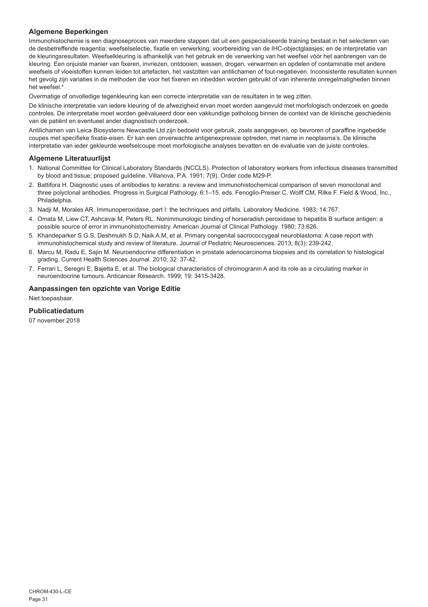# **Algemene Beperkingen**

Immunohistochemie is een diagnoseproces van meerdere stappen dat uit een gespecialiseerde training bestaat in het selecteren van de desbetreffende reagentia; weefselselectie, fixatie en verwerking; voorbereiding van de IHC-objectglaasjes; en de interpretatie van de kleuringsresultaten. Weefselkleuring is afhankelijk van het gebruik en de verwerking van het weefsel vóór het aanbrengen van de kleuring. Een onjuiste manier van fixeren, invriezen, ontdooien, wassen, drogen, verwarmen en opdelen of contaminatie met andere weefsels of vloeistoffen kunnen leiden tot artefacten, het vastzitten van antilichamen of fout-negatieven. Inconsistente resultaten kunnen het gevolg zijn variaties in de methoden die voor het fixeren en inbedden worden gebruikt of van inherente onregelmatigheden binnen het weefsel.<sup>4</sup>

Overmatige of onvolledige tegenkleuring kan een correcte interpretatie van de resultaten in te weg zitten.

De klinische interpretatie van iedere kleuring of de afwezigheid ervan moet worden aangevuld met morfologisch onderzoek en goede controles. De interpretatie moet worden geëvalueerd door een vakkundige patholoog binnen de context van de klinische geschiedenis van de patiënt en eventueel ander diagnostisch onderzoek.

Antilichamen van Leica Biosystems Newcastle Ltd zijn bedoeld voor gebruik, zoals aangegeven, op bevroren of paraffine ingebedde coupes met specifieke fixatie-eisen. Er kan een onverwachte antigenexpressie optreden, met name in neoplasma's. De klinische interpretatie van ieder gekleurde weefselcoupe moet morfologische analyses bevatten en de evaluatie van de juiste controles.

# **Algemene Literatuurlijst**

- 1. National Committee for Clinical Laboratory Standards (NCCLS). Protection of laboratory workers from infectious diseases transmitted by blood and tissue; proposed guideline. Villanova, P.A. 1991; 7(9). Order code M29-P.
- 2. Battifora H. Diagnostic uses of antibodies to keratins: a review and immunohistochemical comparison of seven monoclonal and three polyclonal antibodies. Progress in Surgical Pathology. 6:1–15. eds. Fenoglio-Preiser C, Wolff CM, Rilke F. Field & Wood, Inc., Philadelphia.
- 3. Nadji M, Morales AR. Immunoperoxidase, part I: the techniques and pitfalls. Laboratory Medicine. 1983; 14:767.
- 4. Omata M, Liew CT, Ashcavai M, Peters RL. Nonimmunologic binding of horseradish peroxidase to hepatitis B surface antigen: a possible source of error in immunohistochemistry. American Journal of Clinical Pathology. 1980; 73:626.
- 5. Khandeparker S.G.S, Deshmukh S.D, Naik A.M, et al. Primary congenital sacrococcygeal neuroblastoma: A case report with immunohistochemical study and review of literature. Journal of Pediatric Neurosciences. 2013; 8(3): 239-242.
- 6. Marcu M, Radu E, Sajin M. Neuroendocrine differentiation in prostate adenocarcinoma biopsies and its correlation to histological grading. Current Health Sciences Journal. 2010; 32: 37-42.
- 7. Ferrari L, Seregni E, Bajetta E, et al. The biological characteristics of chromogranin A and its role as a circulating marker in neuroendocrine tumours. Anticancer Research. 1999; 19: 3415-3428.

# **Aanpassingen ten opzichte van Vorige Editie**

Niet toepasbaar.

# **Publicatiedatum**

07 november 2018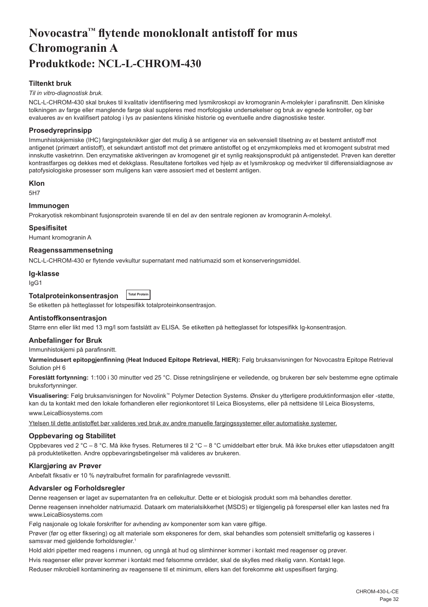# <span id="page-32-0"></span>**Novocastra™ flytende monoklonalt antistoff for mus Chromogranin A Produktkode: NCL-L-CHROM-430**

# **Tiltenkt bruk**

## *Til in vitro-diagnostisk bruk.*

NCL-L-CHROM-430 skal brukes til kvalitativ identifisering med lysmikroskopi av kromogranin A-molekyler i parafinsnitt. Den kliniske tolkningen av farge eller manglende farge skal suppleres med morfologiske undersøkelser og bruk av egnede kontroller, og bør evalueres av en kvalifisert patolog i lys av pasientens kliniske historie og eventuelle andre diagnostiske tester.

# **Prosedyreprinsipp**

Immunhistokjemiske (IHC) fargingsteknikker gjør det mulig å se antigener via en sekvensiell tilsetning av et bestemt antistoff mot antigenet (primært antistoff), et sekundært antistoff mot det primære antistoffet og et enzymkompleks med et kromogent substrat med innskutte vasketrinn. Den enzymatiske aktiveringen av kromogenet gir et synlig reaksjonsprodukt på antigenstedet. Prøven kan deretter kontrastfarges og dekkes med et dekkglass. Resultatene fortolkes ved hjelp av et lysmikroskop og medvirker til differensialdiagnose av patofysiologiske prosesser som muligens kan være assosiert med et bestemt antigen.

## **Klon**

5H7

# **Immunogen**

Prokaryotisk rekombinant fusjonsprotein svarende til en del av den sentrale regionen av kromogranin A-molekyl.

## **Spesifisitet**

Humant kromogranin A

## **Reagenssammensetning**

NCL-L-CHROM-430 er flytende vevkultur supernatant med natriumazid som et konserveringsmiddel.

## **Ig-klasse**

IgG1

#### **Totalproteinkonsentrasjon Total Protein**

Se etiketten på hetteglasset for lotspesifikk totalproteinkonsentrasjon.

## **Antistoffkonsentrasjon**

Større enn eller likt med 13 mg/l som fastslått av ELISA. Se etiketten på hetteglasset for lotspesifikk Ig-konsentrasjon.

## **Anbefalinger for Bruk**

Immunhistokjemi på parafinsnitt.

**Varmeindusert epitopgjenfinning (Heat Induced Epitope Retrieval, HIER):** Følg bruksanvisningen for Novocastra Epitope Retrieval Solution pH 6

**Foreslått fortynning:** 1:100 i 30 minutter ved 25 °C. Disse retningslinjene er veiledende, og brukeren bør selv bestemme egne optimale bruksfortynninger.

**Visualisering:** Følg bruksanvisningen for Novolink™ Polymer Detection Systems. Ønsker du ytterligere produktinformasjon eller -støtte, kan du ta kontakt med den lokale forhandleren eller regionkontoret til Leica Biosystems, eller på nettsidene til Leica Biosystems, www.LeicaBiosystems.com

Ytelsen til dette antistoffet bør valideres ved bruk av andre manuelle fargingssystemer eller automatiske systemer.

# **Oppbevaring og Stabilitet**

Oppbevares ved 2 °C – 8 °C. Må ikke fryses. Returneres til 2 °C – 8 °C umiddelbart etter bruk. Må ikke brukes etter utløpsdatoen angitt på produktetiketten. Andre oppbevaringsbetingelser må valideres av brukeren.

## **Klargjøring av Prøver**

Anbefalt fiksativ er 10 % nøytralbufret formalin for parafinlagrede vevssnitt.

# **Advarsler og Forholdsregler**

Denne reagensen er laget av supernatanten fra en cellekultur. Dette er et biologisk produkt som må behandles deretter.

Denne reagensen inneholder natriumazid. Dataark om materialsikkerhet (MSDS) er tilgjengelig på forespørsel eller kan lastes ned fra www.LeicaBiosystems.com

Følg nasjonale og lokale forskrifter for avhending av komponenter som kan være giftige.

Prøver (før og etter fiksering) og alt materiale som eksponeres for dem, skal behandles som potensielt smittefarlig og kasseres i samsvar med gjeldende forholdsregler.<sup>1</sup>

Hold aldri pipetter med reagens i munnen, og unngå at hud og slimhinner kommer i kontakt med reagenser og prøver.

Hvis reagenser eller prøver kommer i kontakt med følsomme områder, skal de skylles med rikelig vann. Kontakt lege.

Reduser mikrobiell kontaminering av reagensene til et minimum, ellers kan det forekomme økt uspesifisert farging.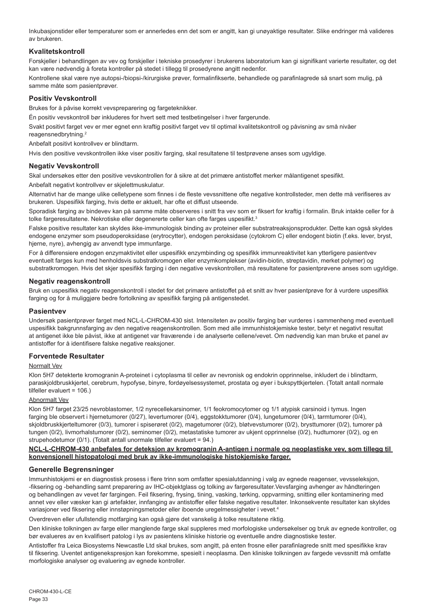Inkubasjonstider eller temperaturer som er annerledes enn det som er angitt, kan gi unøyaktige resultater. Slike endringer må valideres av brukeren.

# **Kvalitetskontroll**

Forskjeller i behandlingen av vev og forskjeller i tekniske prosedyrer i brukerens laboratorium kan gi signifikant varierte resultater, og det kan være nødvendig å foreta kontroller på stedet i tillegg til prosedyrene angitt nedenfor.

Kontrollene skal være nye autopsi-/biopsi-/kirurgiske prøver, formalinfikserte, behandlede og parafinlagrede så snart som mulig, på samme måte som pasientprøver.

## **Positiv Vevskontroll**

Brukes for å påvise korrekt vevspreparering og fargeteknikker.

Én positiv vevskontroll bør inkluderes for hvert sett med testbetingelser i hver fargerunde.

Svakt positivt farget vev er mer egnet enn kraftig positivt farget vev til optimal kvalitetskontroll og påvisning av små nivåer reagensnedbrytning.<sup>2</sup>

Anbefalt positivt kontrollvev er blindtarm.

Hvis den positive vevskontrollen ikke viser positiv farging, skal resultatene til testprøvene anses som ugyldige.

# **Negativ Vevskontroll**

Skal undersøkes etter den positive vevskontrollen for å sikre at det primære antistoffet merker målantigenet spesifikt.

Anbefalt negativt kontrollvev er skjelettmuskulatur.

Alternativt har de mange ulike celletypene som finnes i de fleste vevssnittene ofte negative kontrollsteder, men dette må verifiseres av brukeren. Uspesifikk farging, hvis dette er aktuelt, har ofte et diffust utseende.

Sporadisk farging av bindevev kan på samme måte observeres i snitt fra vev som er fiksert for kraftig i formalin. Bruk intakte celler for å tolke fargeresultatene. Nekrotiske eller degenererte celler kan ofte farges uspesifikt.<sup>3</sup>

Falske positive resultater kan skyldes ikke-immunologisk binding av proteiner eller substratreaksjonsprodukter. Dette kan også skyldes endogene enzymer som pseudoperoksidase (erytrocytter), endogen peroksidase (cytokrom C) eller endogent biotin (f.eks. lever, bryst, hjerne, nyre), avhengig av anvendt type immunfarge.

For å differensiere endogen enzymaktivitet eller uspesifikk enzymbinding og spesifikk immunreaktivitet kan ytterligere pasientvev eventuelt farges kun med henholdsvis substratkromogen eller enzymkomplekser (avidin-biotin, streptavidin, merket polymer) og substratkromogen. Hvis det skjer spesifikk farging i den negative vevskontrollen, må resultatene for pasientprøvene anses som ugyldige.

# **Negativ reagenskontroll**

Bruk en uspesifikk negativ reagenskontroll i stedet for det primære antistoffet på et snitt av hver pasientprøve for å vurdere uspesifikk farging og for å muliggjøre bedre fortolkning av spesifikk farging på antigenstedet.

## **Pasientvev**

Undersøk pasientprøver farget med NCL-L-CHROM-430 sist. Intensiteten av positiv farging bør vurderes i sammenheng med eventuell uspesifikk bakgrunnsfarging av den negative reagenskontrollen. Som med alle immunhistokjemiske tester, betyr et negativt resultat at antigenet ikke ble påvist, ikke at antigenet var fraværende i de analyserte cellene/vevet. Om nødvendig kan man bruke et panel av antistoffer for å identifisere falske negative reaksjoner.

# **Forventede Resultater**

## Normalt Vev

Klon 5H7 detekterte kromogranin A-proteinet i cytoplasma til celler av nevronisk og endokrin opprinnelse, inkludert de i blindtarm, paraskjoldbruskkjertel, cerebrum, hypofyse, binyre, fordøyelsessystemet, prostata og øyer i bukspyttkjertelen. (Totalt antall normale  $t$ ilfeller evaluert = 106.)

# Abnormalt Vev

Klon 5H7 farget 23/25 nevroblastomer, 1/2 nyrecellekarsinomer, 1/1 feokromocytomer og 1/1 atypisk carsinoid i tymus. Ingen farging ble observert i hjernetumorer (0/27), levertumorer (0/4), eggstokktumorer (0/4), lungetumorer (0/4), tarmtumorer (0/4), skjoldbruskkjerteltumorer (0/3), tumorer i spiserøret (0/2), magetumorer (0/2), bløtvevstumorer (0/2), brysttumorer (0/2), tumorer på tungen (0/2), livmorhalstumorer (0/2), seminomer (0/2), metastatiske tumorer av ukjent opprinnelse (0/2), hudtumorer (0/2), og en strupehodetumor (0/1). (Totalt antall unormale tilfeller evaluert = 94.)

## **NCL-L-CHROM-430 anbefales for deteksjon av kromogranin A-antigen i normale og neoplastiske vev, som tillegg til konvensjonell histopatologi med bruk av ikke-immunologiske histokjemiske farger.**

## **Generelle Begrensninger**

Immunhistokjemi er en diagnostisk prosess i flere trinn som omfatter spesialutdanning i valg av egnede reagenser, vevsseleksjon, -fiksering og -behandling samt preparering av IHC-objektglass og tolking av fargeresultater.Vevsfarging avhenger av håndteringen og behandlingen av vevet før fargingen. Feil fiksering, frysing, tining, vasking, tørking, oppvarming, snitting eller kontaminering med annet vev eller væsker kan gi artefakter, innfanging av antistoffer eller falske negative resultater. Inkonsekvente resultater kan skyldes variasjoner ved fiksering eller innstøpningsmetoder eller iboende uregelmessigheter i vevet.<sup>4</sup>

Overdreven eller ufullstendig motfarging kan også gjøre det vanskelig å tolke resultatene riktig.

Den kliniske tolkningen av farge eller manglende farge skal suppleres med morfologiske undersøkelser og bruk av egnede kontroller, og bør evalueres av en kvalifisert patolog i lys av pasientens kliniske historie og eventuelle andre diagnostiske tester.

Antistoffer fra Leica Biosystems Newcastle Ltd skal brukes, som angitt, på enten frosne eller parafinlagrede snitt med spesifikke krav til fiksering. Uventet antigenekspresjon kan forekomme, spesielt i neoplasma. Den kliniske tolkningen av fargede vevssnitt må omfatte morfologiske analyser og evaluering av egnede kontroller.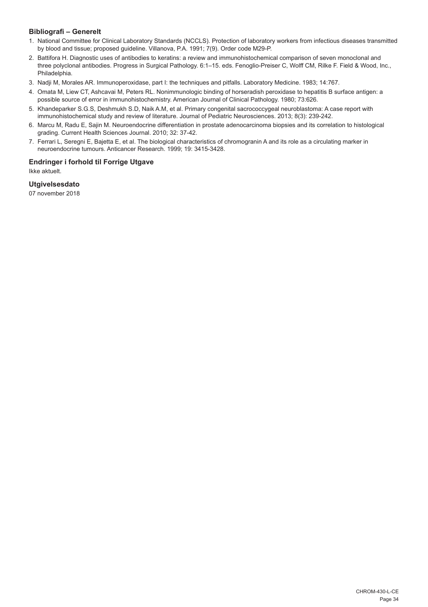# **Bibliografi – Generelt**

- 1. National Committee for Clinical Laboratory Standards (NCCLS). Protection of laboratory workers from infectious diseases transmitted by blood and tissue; proposed guideline. Villanova, P.A. 1991; 7(9). Order code M29-P.
- 2. Battifora H. Diagnostic uses of antibodies to keratins: a review and immunohistochemical comparison of seven monoclonal and three polyclonal antibodies. Progress in Surgical Pathology. 6:1–15. eds. Fenoglio-Preiser C, Wolff CM, Rilke F. Field & Wood, Inc., Philadelphia.
- 3. Nadji M, Morales AR. Immunoperoxidase, part I: the techniques and pitfalls. Laboratory Medicine. 1983; 14:767.
- 4. Omata M, Liew CT, Ashcavai M, Peters RL. Nonimmunologic binding of horseradish peroxidase to hepatitis B surface antigen: a possible source of error in immunohistochemistry. American Journal of Clinical Pathology. 1980; 73:626.
- 5. Khandeparker S.G.S, Deshmukh S.D, Naik A.M, et al. Primary congenital sacrococcygeal neuroblastoma: A case report with immunohistochemical study and review of literature. Journal of Pediatric Neurosciences. 2013; 8(3): 239-242.
- 6. Marcu M, Radu E, Sajin M. Neuroendocrine differentiation in prostate adenocarcinoma biopsies and its correlation to histological grading. Current Health Sciences Journal. 2010; 32: 37-42.
- 7. Ferrari L, Seregni E, Bajetta E, et al. The biological characteristics of chromogranin A and its role as a circulating marker in neuroendocrine tumours. Anticancer Research. 1999; 19: 3415-3428.

# **Endringer i forhold til Forrige Utgave**

Ikke aktuelt.

# **Utgivelsesdato**

07 november 2018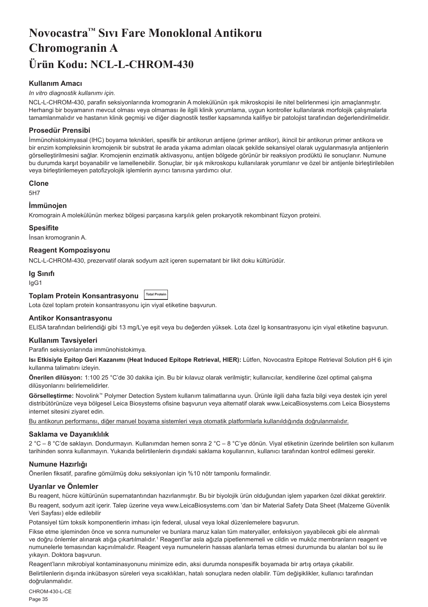# <span id="page-35-0"></span>**Novocastra™ Sıvı Fare Monoklonal Antikoru Chromogranin A Ürün Kodu: NCL-L-CHROM-430**

# **Kullanım Amacı**

## *In vitro diagnostik kullanımı için.*

NCL-L-CHROM-430, parafin seksiyonlarında kromogranin A molekülünün ışık mikroskopisi ile nitel belirlenmesi için amaçlanmıştır. Herhangi bir boyamanın mevcut olması veya olmaması ile ilgili klinik yorumlama, uygun kontroller kullanılarak morfolojik çalışmalarla tamamlanmalıdır ve hastanın klinik geçmişi ve diğer diagnostik testler kapsamında kalifiye bir patolojist tarafından değerlendirilmelidir.

## **Prosedür Prensibi**

İmmünohistokimyasal (IHC) boyama teknikleri, spesifik bir antikorun antijene (primer antikor), ikincil bir antikorun primer antikora ve bir enzim kompleksinin kromojenik bir substrat ile arada yıkama adımları olacak şekilde sekansiyel olarak uygulanmasıyla antijenlerin görselleştirilmesini sağlar. Kromojenin enzimatik aktivasyonu, antijen bölgede görünür bir reaksiyon prodüktü ile sonuçlanır. Numune bu durumda karşıt boyanabilir ve lamellenebilir. Sonuçlar, bir ışık mikroskopu kullanılarak yorumlanır ve özel bir antijenle birleştirilebilen veya birleştirilemeyen patofizyolojik işlemlerin ayırıcı tanısına yardımcı olur.

## **Clone**

5H7

# **İmmünojen**

Kromograin A molekülünün merkez bölgesi parçasına karşılık gelen prokaryotik rekombinant füzyon proteini.

## **Spesifite**

İnsan kromogranin A.

## **Reagent Kompozisyonu**

NCL-L-CHROM-430, prezervatif olarak sodyum azit içeren supernatant bir likit doku kültürüdür.

## **Ig Sınıfı**

IgG1

# **Toplam Protein Konsantrasyonu Total Protein**

Lota özel toplam protein konsantrasyonu için viyal etiketine başvurun.

## **Antikor Konsantrasyonu**

ELISA tarafından belirlendiği gibi 13 mg/L'ye eşit veya bu değerden yüksek. Lota özel lg konsantrasyonu için viyal etiketine başvurun.

# **Kullanım Tavsiyeleri**

Parafin seksiyonlarında immünohistokimya.

**Isı Etkisiyle Epitop Geri Kazanımı (Heat Induced Epitope Retrieval, HIER):** Lütfen, Novocastra Epitope Retrieval Solution pH 6 için kullanma talimatını izleyin.

**Önerilen dilüsyon:** 1:100 25 °C'de 30 dakika için. Bu bir kılavuz olarak verilmiştir; kullanıcılar, kendilerine özel optimal çalışma dilüsyonlarını belirlemelidirler.

**Görselleştirme:** Novolink™ Polymer Detection System kullanım talimatlarına uyun. Ürünle ilgili daha fazla bilgi veya destek için yerel distribütörünüze veya bölgesel Leica Biosystems ofisine başvurun veya alternatif olarak www.LeicaBiosystems.com Leica Biosystems internet sitesini ziyaret edin.

Bu antikorun performansı, diğer manuel boyama sistemleri veya otomatik platformlarla kullanıldığında doğrulanmalıdır.

## **Saklama ve Dayanıklılık**

2 °C – 8 °C'de saklayın. Dondurmayın. Kullanımdan hemen sonra 2 °C – 8 °C'ye dönün. Viyal etiketinin üzerinde belirtilen son kullanım tarihinden sonra kullanmayın. Yukarıda belirtilenlerin dışındaki saklama koşullarının, kullanıcı tarafından kontrol edilmesi gerekir.

## **Numune Hazırlığı**

Önerilen fiksatif, parafine gömülmüş doku seksiyonları için %10 nötr tamponlu formalindir.

# **Uyarılar ve Önlemler**

Bu reagent, hücre kültürünün supernatantından hazırlanmıştır. Bu bir biyolojik ürün olduğundan işlem yaparken özel dikkat gerektirir. Bu reagent, sodyum azit içerir. Talep üzerine veya www.LeicaBiosystems.com 'dan bir Material Safety Data Sheet (Malzeme Güvenlik Veri Sayfası) elde edilebilir

Potansiyel tüm toksik komponentlerin imhası için federal, ulusal veya lokal düzenlemelere başvurun.

Fikse etme işleminden önce ve sonra numuneler ve bunlara maruz kalan tüm materyaller, enfeksiyon yayabilecek gibi ele alınmalı ve doğru önlemler alınarak atığa çıkartılmalıdır.1 Reagent'lar asla ağızla pipetlenmemeli ve cildin ve muköz membranların reagent ve numunelerle temasından kaçınılmalıdır. Reagent veya numunelerin hassas alanlarla temas etmesi durumunda bu alanları bol su ile yıkayın. Doktora başvurun.

Reagent'ların mikrobiyal kontaminasyonunu minimize edin, aksi durumda nonspesifik boyamada bir artış ortaya çıkabilir.

Belirtilenlerin dışında inkübasyon süreleri veya sıcaklıkları, hatalı sonuçlara neden olabilir. Tüm değişiklikler, kullanıcı tarafından doğrulanmalıdır.

CHROM-430-L-CE Page 35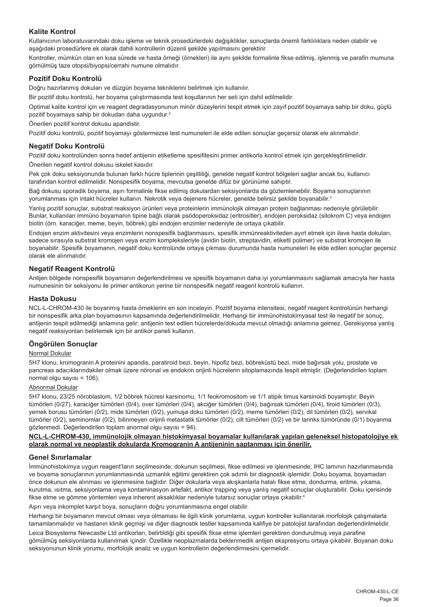# **Kalite Kontrol**

Kullanıcının laboratuvarındaki doku işleme ve teknik prosedürlerdeki değişiklikler, sonuçlarda önemli farklılıklara neden olabilir ve aşağıdaki prosedürlere ek olarak dahili kontrollerin düzenli şekilde yapılmasını gerektirir.

Kontroller, mümkün olan en kısa sürede ve hasta örneği (örnekleri) ile aynı şekilde formalinle fikse edilmiş, işlenmiş ve parafin mumuna gömülmüş taze otopsi/biyopsi/cerrahi numune olmalıdır.

## **Pozitif Doku Kontrolü**

Doğru hazırlanmış dokuları ve düzgün boyama tekniklerini belirtmek için kullanılır.

Bir pozitif doku kontrolü, her boyama çalıştırmasında test koşullarının her seti için dahil edilmelidir.

Optimal kalite kontrol için ve reagent degradasyonunun minör düzeylerini tespit etmek için zayıf pozitif boyamaya sahip bir doku, güçlü pozitif boyamaya sahip bir dokudan daha uygundur.<sup>2</sup>

Önerilen pozitif kontrol dokusu apandistir.

Pozitif doku kontrolü, pozitif boyamayı göstermezse test numuneleri ile elde edilen sonuçlar geçersiz olarak ele alınmalıdır.

## **Negatif Doku Kontrolü**

Pozitif doku kontrolünden sonra hedef antijenin etiketleme spesifitesini primer antikorla kontrol etmek için gerçekleştirilmelidir. Önerilen negatif kontrol dokusu iskelet kasıdır.

Pek çok doku seksiyonunda bulunan farklı hücre tiplerinin çeşitliliği, genelde negatif kontrol bölgeleri sağlar ancak bu, kullanıcı tarafından kontrol edilmelidir. Nonspesifik boyama, mevcutsa genelde difüz bir görünüme sahiptir.

Bağ dokusu sporadik boyama, aşırı formalinle fikse edilmiş dokulardan seksiyonlarda da gözlemlenebilir. Boyama sonuçlarının yorumlanması için intakt hücreler kullanın. Nekrotik veya dejenere hücreler, genelde belirsiz şekilde boyanabilir.<sup>3</sup>

Yanlış pozitif sonuçlar, substrat reaksiyon ürünleri veya proteinlerin immünolojik olmayan protein bağlanması nedeniyle görülebilir. Bunlar, kullanılan immüno boyamanın tipine bağlı olarak psödoperoksidaz (eritrositler), endojen peroksidaz (sitokrom C) veya endojen biotin (örn. karaciğer, meme, beyin, böbrek) gibi endojen enzimler nedeniyle de ortaya çıkabilir.

Endojen enzim aktivitesini veya enzimlerin nonspesifik bağlanmasını, spesifik immünreaktiviteden ayırt etmek için ilave hasta dokuları, sadece sırasıyla substrat kromojen veya enzim kompleksleriyle (avidin biotin, streptavidin, etiketli polimer) ve substrat kromojen ile boyanabilir. Spesifik boyamanın, negatif doku kontrolünde ortaya çıkması durumunda hasta numuneleri ile elde edilen sonuçlar geçersiz olarak ele alınmalıdır.

# **Negatif Reagent Kontrolü**

Antijen bölgede nonspesifik boyamanın değerlendirilmesi ve spesifik boyamanın daha iyi yorumlanmasını sağlamak amacıyla her hasta numunesinin bir seksiyonu ile primer antikorun yerine bir nonspesifik negatif reagent kontrolü kullanın.

## **Hasta Dokusu**

NCL-L-CHROM-430 ile boyanmış hasta örneklerini en son inceleyin. Pozitif boyama intensitesi, negatif reagent kontrolünün herhangi bir nonspesifik arka plan boyamasının kapsamında değerlendirilmelidir. Herhangi bir immünohistokimyasal test ile negatif bir sonuç, antijenin tespit edilmediği anlamına gelir; antijenin test edilen hücrelerde/dokuda mevcut olmadığı anlamına gelmez. Gerekiyorsa yanlış negatif reaksiyonları belirlemek için bir antikor paneli kullanın.

# **Öngörülen Sonuçlar**

## Normal Dokular

5H7 klonu, kromogranin A proteinini apandis, paratiroid bezi, beyin, hipofiz bezi, böbreküstü bezi, mide bağırsak yolu, prostate ve pancreas adacıklarındakiler olmak üzere nöronal ve endokrin orijinli hücrelerin sitoplamazında tespit etmiştir. (Değerlendirilen toplam normal olgu sayısı = 106).

## Abnormal Dokular

5H7 klonu, 23/25 nöroblastom, 1/2 böbrek hücresi karsinomu, 1/1 feokromositom ve 1/1 atipik timus karsinoidi boyamıştır. Beyin tümörleri (0/27), karaciğer tümörleri (0/4), over tümörleri (0/4), akciğer tümörleri (0/4), bağırsak tümörleri (0/4), tiroid tümörleri (0/3), yemek borusu tümörleri (0/2), mide tümörleri (0/2), yumuşa doku tümörleri (0/2), meme tümörleri (0/2), dil tümörleri (0/2), servikal tümörler (0/2), seminomlar (0/2), bilinmeyen orijinli metastatik tümörler (0/2), cilt tümörleri (0/2) ve bir larinks tümöründe (0/1) boyanma gözlenmedi. Değerlendirilen toplam anormal olgu sayısı = 94).

**NCL-L-CHROM-430, immünolojik olmayan histokimyasal boyamalar kullanılarak yapılan geleneksel histopatolojiye ek olarak normal ve neoplastik dokularda Kromogranin A antijeninin saptanması için önerilir.**

## **Genel Sınırlamalar**

İmmünohistokimya uygun reagent'ların seçilmesinde; dokunun seçilmesi, fikse edilmesi ve işlenmesinde; IHC lamının hazırlanmasında ve boyama sonuçlarının yorumlanmasında uzmanlık eğitimi gerektiren çok adımlı bir diagnostik işlemidir. Doku boyama, boyamadan önce dokunun ele alınması ve işlenmesine bağlıdır. Diğer dokularla veya akışkanlarla hatalı fikse etme, dondurma, eritme, yıkama, kurutma, ısıtma, seksiyonlama veya kontaminasyon artefakt, antikor trapping veya yanlış negatif sonuçlar oluşturabilir. Doku içerisinde fikse etme ve gömme yöntemleri veya inherent aksaklıklar nedeniyle tutarsız sonuçlar ortaya çıkabilir. 4

Aşırı veya inkomplet karşıt boya, sonuçların doğru yorumlanmasına engel olabilir.

Herhangi bir boyamanın mevcut olması veya olmaması ile ilgili klinik yorumlama, uygun kontroller kullanılarak morfolojik çalışmalarla tamamlanmalıdır ve hastanın klinik geçmişi ve diğer diagnostik testler kapsamında kalifiye bir patolojist tarafından değerlendirilmelidir.

Leica Biosystems Newcastle Ltd antikorları, belirtildiği gibi spesifik fikse etme işlemleri gerektiren dondurulmuş veya parafine gömülmüş seksiyonlarda kullanılmak içindir. Özellikle neoplazmalarda beklenmedik antijen ekspresyonu ortaya çıkabilir. Boyanan doku seksiyonunun klinik yorumu, morfolojik analiz ve uygun kontrollerin değerlendirmesini içermelidir.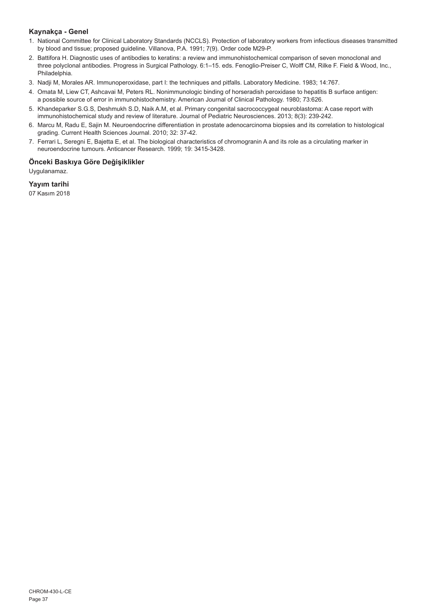# **Kaynakça - Genel**

- 1. National Committee for Clinical Laboratory Standards (NCCLS). Protection of laboratory workers from infectious diseases transmitted by blood and tissue; proposed guideline. Villanova, P.A. 1991; 7(9). Order code M29-P.
- 2. Battifora H. Diagnostic uses of antibodies to keratins: a review and immunohistochemical comparison of seven monoclonal and three polyclonal antibodies. Progress in Surgical Pathology. 6:1–15. eds. Fenoglio-Preiser C, Wolff CM, Rilke F. Field & Wood, Inc., Philadelphia.
- 3. Nadji M, Morales AR. Immunoperoxidase, part I: the techniques and pitfalls. Laboratory Medicine. 1983; 14:767.
- 4. Omata M, Liew CT, Ashcavai M, Peters RL. Nonimmunologic binding of horseradish peroxidase to hepatitis B surface antigen: a possible source of error in immunohistochemistry. American Journal of Clinical Pathology. 1980; 73:626.
- 5. Khandeparker S.G.S, Deshmukh S.D, Naik A.M, et al. Primary congenital sacrococcygeal neuroblastoma: A case report with immunohistochemical study and review of literature. Journal of Pediatric Neurosciences. 2013; 8(3): 239-242.
- 6. Marcu M, Radu E, Sajin M. Neuroendocrine differentiation in prostate adenocarcinoma biopsies and its correlation to histological grading. Current Health Sciences Journal. 2010; 32: 37-42.
- 7. Ferrari L, Seregni E, Bajetta E, et al. The biological characteristics of chromogranin A and its role as a circulating marker in neuroendocrine tumours. Anticancer Research. 1999; 19: 3415-3428.

# **Önceki Baskıya Göre Değişiklikler**

Uygulanamaz.

# **Yayım tarihi**

07 Kasım 2018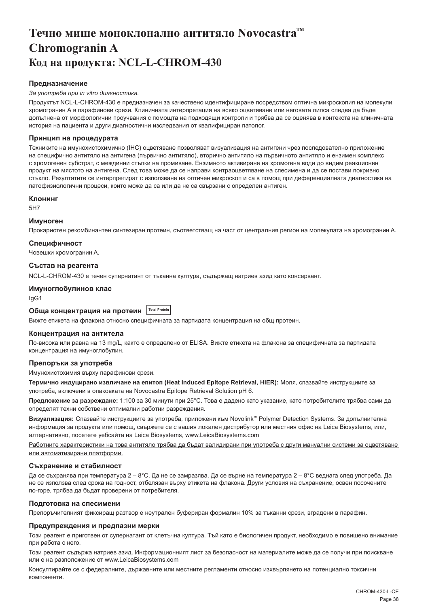# <span id="page-38-0"></span>**Течно мише моноклонално антитяло Novocastra™ Chromogranin A Код на продукта: NCL-L-CHROM-430**

## **Предназначение**

### *За употреба при in vitro диагностика.*

Продуктът NCL-L-CHROM-430 е предназначен за качествено идентифициране посредством оптична микроскопия на молекули хромогранин А в парафинови срези. Клиничната интерпретация на всяко оцветяване или неговата липса следва да бъде допълнена от морфологични проучвания с помощта на подходящи контроли и трябва да се оценява в контекста на клиничната история на пациента и други диагностични изследвания от квалифициран патолог.

## **Принцип на процедурата**

Техниките на имунохистохимично (IHC) оцветяване позволяват визуализация на антигени чрез последователно приложение на специфично антитяло на антигена (първично антитяло), вторично антитяло на първичното антитяло и ензимен комплекс с хромогенен субстрат, с междинни стъпки на промиване. Ензимното активиране на хромогена води до видим реакционен продукт на мястото на антигена. След това може да се направи контраоцветяване на спесимена и да се постави покривно стъкло. Резултатите се интерпретират с използване на оптичен микроскоп и са в помощ при диференциалната диагностика на патофизиологични процеси, които може да са или да не са свързани с определен антиген.

## **Клонинг**

5H7

## **Имуноген**

Прокариотен рекомбинантен синтезиран протеин, съответстващ на част от централния регион на молекулата на хромогранин A.

## **Специфичност**

Човешки хромогранин A.

## **Състав на реагента**

NCL-L-CHROM-430 е течен супернатант от тъканна култура, съдържащ натриев азид като консервант.

## **Имуноглобулинов клас**

IgG1

# **Обща концентрация на протеин Total Protein**

Вижте етикета на флакона относно специфичната за партидата концентрация на общ протеин.

## **Концентрация на антитела**

По-висока или равна на 13 mg/L, както е определено от ELISA. Вижте етикета на флакона за специфичната за партидата концентрация на имуноглобулин.

## **Препоръки за употреба**

Имунохистохимия върху парафинови срези.

**Термично индуцирано извличане на епитоп (Heat Induced Epitope Retrieval, HIER):** Моля, спазвайте инструкциите за употреба, включени в опаковката на Novocastra Epitope Retrieval Solution pH 6.

**Предложение за разреждане:** 1:100 за 30 минути при 25°C. Това е дадено като указание, като потребителите трябва сами да определят техни собствени оптимални работни разреждания.

**Визуализация:** Спазвайте инструкциите за употреба, приложени към Novolink™ Polymer Detection Systems. За допълнителна информация за продукта или помощ, свържете се с вашия локален дистрибутор или местния офис на Leica Biosystems, или, алтернативно, посетете уебсайта на Leica Biosystems, www.LeicaBiosystems.com

Работните характеристики на това антитяло трябва да бъдат валидирани при употреба с други мануални системи за оцветяване или автоматизирани платформи.

### **Съхранение и стабилност**

Да се съхранява при температура 2 – 8°C. Да не се замразява. Да се върне на температура 2 – 8°C веднага след употреба. Да не се използва след срока на годност, отбелязан върху етикета на флакона. Други условия на съхранение, освен посочените по-горе, трябва да бъдат проверени от потребителя.

#### **Подготовка на спесимени**

Препоръчителният фиксиращ разтвор е неутрален буфериран формалин 10% за тъканни срези, вградени в парафин.

#### **Предупреждения и предпазни мерки**

Този реагент е приготвен от супернатант от клетъчна култура. Тъй като е биологичен продукт, необходимо е повишено внимание при работа с него.

Този реагент съдържа натриев азид. Информационният лист за безопасност на материалите може да се получи при поискване или е на разположение от www.LeicaBiosystems.com

Консултирайте се с федералните, държавните или местните регламенти относно изхвърлянето на потенциално токсични компоненти.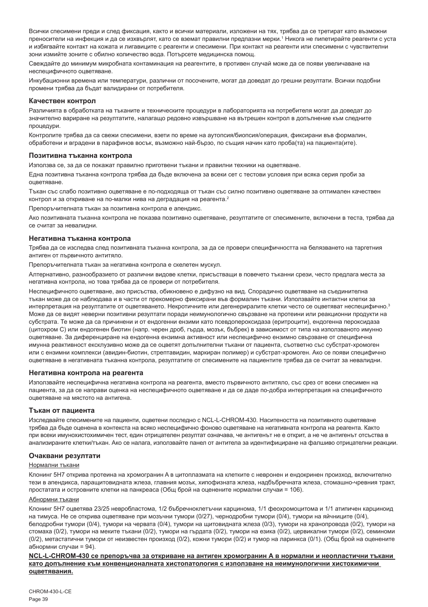Всички спесимени преди и след фиксация, както и всички материали, изложени на тях, трябва да се третират като възможни преносители на инфекция и да се изхвърлят, като се вземат правилни предпазни мерки.' Никога не пипетирайте реагенти с уста и избягвайте контакт на кожата и лигавиците с реагенти и спесимени. При контакт на реагенти или спесимени с чувствителни зони измийте зоните с обилно количество вода. Потърсете медицинска помощ.

Свеждайте до минимум микробната контаминация на реагентите, в противен случай може да се появи увеличаване на неспецифичното оцветяване.

Инкубационни времена или температури, различни от посочените, могат да доведат до грешни резултати. Всички подобни промени трябва да бъдат валидирани от потребителя.

## **Качествен контрол**

Различията в обработката на тъканите и техническите процедури в лабораторията на потребителя могат да доведат до значително вариране на резултатите, налагащо редовно извършване на вътрешен контрол в допълнение към следните процедури.

Контролите трябва да са свежи спесимени, взети по време на аутопсия/биопсия/операция, фиксирани във формалин, обработени и вградени в парафинов восък, възможно най-бързо, по същия начин като проба(та) на пациента(ите).

#### **Позитивна тъканна контрола**

Използва се, за да се покажат правилно приготвени тъкани и правилни техники на оцветяване.

Една позитивна тъканна контрола трябва да бъде включена за всеки сет с тестови условия при всяка серия проби за оцветяване.

Тъкан със слабо позитивно оцветяване е по-подходяща от тъкан със силно позитивно оцветяване за оптимален качествен контрол и за откриване на по-малки нива на деградация на реагента.<sup>2</sup>

Препоръчителната тъкан за позитивна контрола е апендикс.

Ако позитивната тъканна контрола не показва позитивно оцветяване, резултатите от спесимените, включени в теста, трябва да се считат за невалидни.

### **Негативна тъканна контрола**

Трябва да се изследва след позитивната тъканна контрола, за да се провери специфичността на белязването на таргетния антиген от първичното антитяло.

Препоръчителната тъкан за негативна контрола e скелетен мускул.

Алтернативно, разнообразието от различни видове клетки, присъстващи в повечето тъканни срези, често предлага места за негативна контрола, но това трябва да се провери от потребителя.

Неспецифичното оцветяване, ако присъства, обикновено е дифузно на вид. Спорадично оцветяване на съединителна тъкан може да се наблюдава и в части от прекомерно фиксирани във формалин тъкани. Използвайте интактни клетки за интерпретация на резултатите от оцветяването. Некротичните или дегенериралите клетки често се оцветяват неспецифично.<sup>3</sup> Може да се видят неверни позитивни резултати поради неимунологично свързване на протеини или реакционни продукти на субстрата. Те може да са причинени и от ендогенни ензими като псевдопероксидаза (еритроцити), ендогенна пероксидаза (цитохром C) или ендогенен биотин (напр. черен дроб, гърда, мозък, бъбрек) в зависимост от типа на използваното имунно оцветяване. За диференциране на ендогенна ензимна активност или неспецифично ензимно свързване от специфична имунна реактивност ексклузивно може да се оцветят допълнителни тъкани от пациента, съответно със субстрат-хромоген или с ензимни комплекси (авидин-биотин, стрептавидин, маркиран полимер) и субстрат-хромоген. Ако се появи специфично оцветяване в негативната тъканна контрола, резултатите от спесимените на пациентите трябва да се считат за невалидни.

## **Негативна контрола на реагента**

Използвайте неспецифична негативна контрола на реагента, вместо първичното антитяло, със срез от всеки спесимен на пациента, за да се направи оценка на неспецифичното оцветяване и да се даде по-добра интерпретация на специфичното оцветяване на мястото на антигена.

## **Тъкан от пациента**

Изследвайте спесимените на пациенти, оцветени последно с NCL-L-CHROM-430. Наситеността на позитивното оцветяване трябва да бъде оценена в контекста на всяко неспецифично фоново оцветяване на негативната контрола на реагента. Както при всеки имунохистохимичен тест, един отрицателен резултат означава, че антигенът не е открит, а не че антигенът отсъства в анализираните клетки/тъкан. Ако се налага, използвайте панел от антитела за идентифициране на фалшиво отрицателни реакции.

#### **Очаквани резултати**

#### Нормални тъкани

Клонинг 5H7 открива протеина на хромогранин A в цитоплазмата на клетките с невронен и ендокринен произход, включително тези в апендикса, паращитовидната жлеза, главния мозък, хипофизната жлеза, надбъбречната жлеза, стомашно-чревния тракт, простатата и островните клетки на панкреаса (Общ брой на оценените нормални случаи = 106).

#### Абнормни тъкани

Клонинг 5H7 оцветява 23/25 невробластома, 1/2 бъбречноклетъчни карцинома, 1/1 феохромоцитома и 1/1 атипичен карциноид на тимуса. Не се открива оцветяване при мозъчни тумори (0/27), чернодробни тумори (0/4), тумори на яйчниците (0/4), белодробни тумори (0/4), тумори на червата (0/4), тумори на щитовидната жлеза (0/3), тумори на хранопровода (0/2), тумори на стомаха (0/2), тумори на меките тъкани (0/2), тумори на гърдата (0/2), тумори на езика (0/2), цервикални тумори (0/2), семиноми (0/2), метастатични тумори от неизвестен произход (0/2), кожни тумори (0/2) и тумор на ларинкса (0/1). (Общ брой на оценените абнормни случаи = 94).

**NCL-L-CHROM-430 се препоръчва за откриване на антиген хромогранин А в нормални и неопластични тъкани като допълнение към конвенционалната хистопатология с използване на неимунологични хистохимични оцветявания.**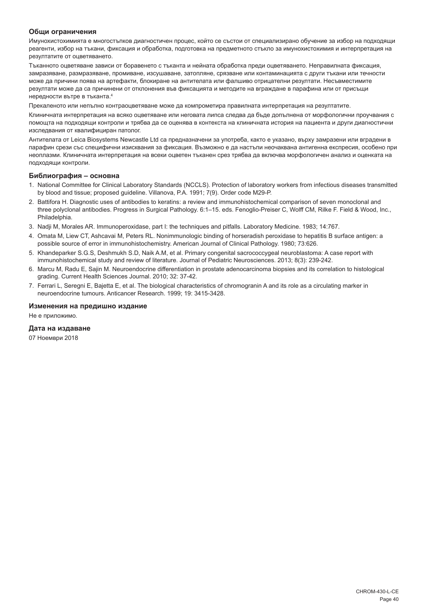# **Общи ограничения**

Имунохистохимията е многостъпков диагностичен процес, който се състои от специализирано обучение за избор на подходящи реагенти, избор на тъкани, фиксация и обработка, подготовка на предметното стъкло за имунохистохимия и интерпретация на резултатите от оцветяването.

Тъканното оцветяване зависи от боравенето с тъканта и нейната обработка преди оцветяването. Неправилната фиксация, замразяване, размразяване, промиване, изсушаване, затопляне, срязване или контаминацията с други тъкани или течности може да причини поява на артефакти, блокиране на антителата или фалшиво отрицателни резултати. Несъвместимите резултати може да са причинени от отклонения във фиксацията и методите на вграждане в парафина или от присъщи нередности вътре в тъканта.<sup>4</sup>

Прекаленото или непълно контраоцветяване може да компрометира правилната интерпретация на резултатите.

Клиничната интерпретация на всяко оцветяване или неговата липса следва да бъде допълнена от морфологични проучвания с помощта на подходящи контроли и трябва да се оценява в контекста на клиничната история на пациента и други диагностични изследвания от квалифициран патолог.

Антителата от Leica Biosystems Newcastle Ltd са предназначени за употреба, както е указано, върху замразени или вградени в парафин срези със специфични изисквания за фиксация. Възможно е да настъпи неочаквана антигенна експресия, особено при неоплазми. Клиничната интерпретация на всеки оцветен тъканен срез трябва да включва морфологичен анализ и оценката на подходящи контроли.

## **Библиография – основна**

- 1. National Committee for Clinical Laboratory Standards (NCCLS). Protection of laboratory workers from infectious diseases transmitted by blood and tissue; proposed guideline. Villanova, P.A. 1991; 7(9). Order code M29-P.
- 2. Battifora H. Diagnostic uses of antibodies to keratins: a review and immunohistochemical comparison of seven monoclonal and three polyclonal antibodies. Progress in Surgical Pathology. 6:1–15. eds. Fenoglio-Preiser C, Wolff CM, Rilke F. Field & Wood, Inc., Philadelphia.
- 3. Nadji M, Morales AR. Immunoperoxidase, part I: the techniques and pitfalls. Laboratory Medicine. 1983; 14:767.
- 4. Omata M, Liew CT, Ashcavai M, Peters RL. Nonimmunologic binding of horseradish peroxidase to hepatitis B surface antigen: a possible source of error in immunohistochemistry. American Journal of Clinical Pathology. 1980; 73:626.
- 5. Khandeparker S.G.S, Deshmukh S.D, Naik A.M, et al. Primary congenital sacrococcygeal neuroblastoma: A case report with immunohistochemical study and review of literature. Journal of Pediatric Neurosciences. 2013; 8(3): 239-242.
- 6. Marcu M, Radu E, Sajin M. Neuroendocrine differentiation in prostate adenocarcinoma biopsies and its correlation to histological grading. Current Health Sciences Journal. 2010; 32: 37-42.
- 7. Ferrari L, Seregni E, Bajetta E, et al. The biological characteristics of chromogranin A and its role as a circulating marker in neuroendocrine tumours. Anticancer Research. 1999; 19: 3415-3428.

## **Изменения на предишно издание**

Не е приложимо.

## **Дата на издаване**

07 Ноември 2018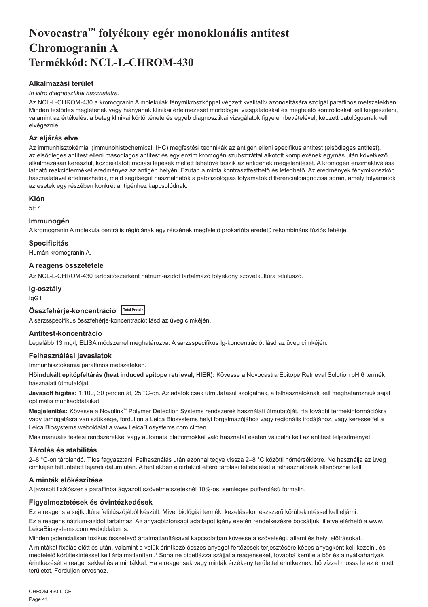# <span id="page-41-0"></span>**Novocastra™ folyékony egér monoklonális antitest Chromogranin A Termékkód: NCL-L-CHROM-430**

# **Alkalmazási terület**

## *In vitro diagnosztikai használatra.*

Az NCL-L-CHROM-430 a kromogranin A molekulák fénymikroszkóppal végzett kvalitatív azonosítására szolgál paraffinos metszetekben. Minden festődés meglétének vagy hiányának klinikai értelmezését morfológiai vizsgálatokkal és megfelelő kontrollokkal kell kiegészíteni, valamint az értékelést a beteg klinikai kórtörténete és egyéb diagnosztikai vizsgálatok figyelembevételével, képzett patológusnak kell elvégeznie.

# **Az eljárás elve**

Az immunhisztokémiai (immunohistochemical, IHC) megfestési technikák az antigén elleni specifikus antitest (elsődleges antitest), az elsődleges antitest elleni másodlagos antitest és egy enzim kromogén szubsztráttal alkotott komplexének egymás után következő alkalmazásán keresztül, közbeiktatott mosási lépések mellett lehetővé teszik az antigének megjelenítését. A kromogén enzimaktiválása látható reakcióterméket eredményez az antigén helyén. Ezután a minta kontrasztfesthető és lefedhető. Az eredmények fénymikroszkóp használatával értelmezhetők, majd segítségül használhatók a patofiziológiás folyamatok differenciáldiagnózisa során, amely folyamatok az esetek egy részében konkrét antigénhez kapcsolódnak.

## **Klón**

5H7

# **Immunogén**

A kromogranin A molekula centrális régiójának egy részének megfelelő prokarióta eredetű rekombináns fúziós fehérje.

## **Specificitás**

Humán kromogranin A.

## **A reagens összetétele**

Az NCL-L-CHROM-430 tartósítószerként nátrium-azidot tartalmazó folyékony szövetkultúra felülúszó.

# **Ig-osztály**

IgG1

**Összfehérje-koncentráció Total Protein**

A sarzsspecifikus összfehérje-koncentrációt lásd az üveg címkéjén.

# **Antitest-koncentráció**

Legalább 13 mg/l, ELISA módszerrel meghatározva. A sarzsspecifikus Ig-koncentrációt lásd az üveg címkéjén.

## **Felhasználási javaslatok**

## Immunhisztokémia paraffinos metszeteken.

**Hőindukált epitópfeltárás (heat induced epitope retrieval, HIER):** Kövesse a Novocastra Epitope Retrieval Solution pH 6 termék használati útmutatóját.

**Javasolt hígítás:** 1:100, 30 percen át, 25 °C-on. Az adatok csak útmutatásul szolgálnak, a felhasználóknak kell meghatározniuk saját optimális munkaoldataikat.

**Megjelenítés:** Kövesse a Novolink™ Polymer Detection Systems rendszerek használati útmutatóját. Ha további termékinformációkra vagy támogatásra van szüksége, forduljon a Leica Biosystems helyi forgalmazójához vagy regionális irodájához, vagy keresse fel a Leica Biosystems weboldalát a www.LeicaBiosystems.com címen.

Más manuális festési rendszerekkel vagy automata platformokkal való használat esetén validálni kell az antitest teljesítményét.

# **Tárolás és stabilitás**

2–8 °C-on tárolandó. Tilos fagyasztani. Felhasználás után azonnal tegye vissza 2–8 °C közötti hőmérsékletre. Ne használja az üveg címkéjén feltüntetett lejárati dátum után. A fentiekben előírtaktól eltérő tárolási feltételeket a felhasználónak ellenőriznie kell.

## **A minták előkészítése**

A javasolt fixálószer a paraffinba ágyazott szövetmetszeteknél 10%-os, semleges pufferolású formalin.

## **Figyelmeztetések és óvintézkedések**

Ez a reagens a sejtkultúra felülúszójából készült. Mivel biológiai termék, kezelésekor észszerű körültekintéssel kell eljárni.

Ez a reagens nátrium-azidot tartalmaz. Az anyagbiztonsági adatlapot igény esetén rendelkezésre bocsátjuk, illetve elérhető a www. LeicaBiosystems.com weboldalon is.

Minden potenciálisan toxikus összetevő ártalmatlanításával kapcsolatban kövesse a szövetségi, állami és helyi előírásokat.

A mintákat fixálás előtt és után, valamint a velük érintkező összes anyagot fertőzések terjesztésére képes anyagként kell kezelni, és megfelelő körültekintéssel kell ártalmatlanítani.1 Soha ne pipettázza szájjal a reagenseket, továbbá kerülje a bőr és a nyálkahártyák érintkezését a reagensekkel és a mintákkal. Ha a reagensek vagy minták érzékeny területtel érintkeznek, bő vízzel mossa le az érintett területet. Forduljon orvoshoz.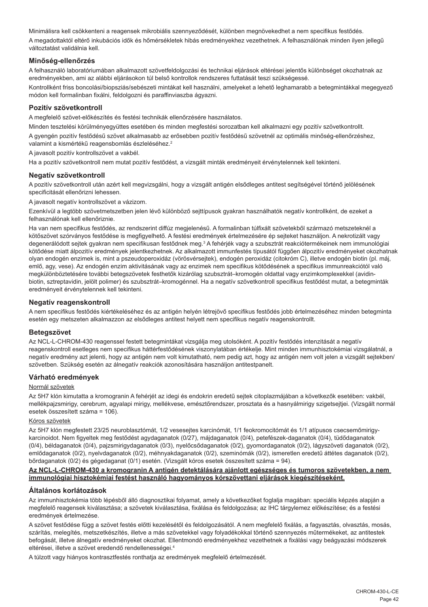Minimálisra kell csökkenteni a reagensek mikrobiális szennyeződését, különben megnövekedhet a nem specifikus festődés.

A megadottaktól eltérő inkubációs idők és hőmérsékletek hibás eredményekhez vezethetnek. A felhasználónak minden ilyen jellegű változtatást validálnia kell.

## **Minőség-ellenőrzés**

A felhasználó laboratóriumában alkalmazott szövetfeldolgozási és technikai eljárások eltérései jelentős különbséget okozhatnak az eredményekben, ami az alábbi eljárásokon túl belső kontrollok rendszeres futtatását teszi szükségessé.

Kontrollként friss boncolási/biopsziás/sebészeti mintákat kell használni, amelyeket a lehető leghamarabb a betegmintákkal megegyező módon kell formalinban fixálni, feldolgozni és paraffinviaszba ágyazni.

# **Pozitív szövetkontroll**

A megfelelő szövet-előkészítés és festési technikák ellenőrzésére használatos.

Minden tesztelési körülményegyüttes esetében és minden megfestési sorozatban kell alkalmazni egy pozitív szövetkontrollt.

A gyengén pozitív festődésű szövet alkalmasabb az erősebben pozitív festődésű szövetnél az optimális minőség-ellenőrzéshez, valamint a kismértékű reagensbomlás észleléséhez.<sup>2</sup>

A javasolt pozitív kontrollszövet a vakbél.

Ha a pozitív szövetkontroll nem mutat pozitív festődést, a vizsgált minták eredményeit érvénytelennek kell tekinteni.

# **Negatív szövetkontroll**

A pozitív szövetkontroll után azért kell megvizsgálni, hogy a vizsgált antigén elsődleges antitest segítségével történő jelölésének specificitását ellenőrizni lehessen.

A javasolt negatív kontrollszövet a vázizom.

Ezenkívül a legtöbb szövetmetszetben jelen lévő különböző sejttípusok gyakran használhatók negatív kontrollként, de ezeket a felhasználónak kell ellenőriznie.

Ha van nem specifikus festődés, az rendszerint diffúz megjelenésű. A formalinban túlfixált szövetekből származó metszeteknél a kötőszövet szórványos festődése is megfigyelhető. A festési eredmények értelmezésére ép sejteket használjon. A nekrotizált vagy degenerálódott sejtek gyakran nem specifikusan festődnek meg.<sup>3</sup> A fehérjék vagy a szubsztrát reakciótermékeinek nem immunológiai kötődése miatt álpozitív eredmények jelentkezhetnek. Az alkalmazott immunfestés típusától függően álpozitív eredményeket okozhatnak olyan endogén enzimek is, mint a pszeudoperoxidáz (vörösvérsejtek), endogén peroxidáz (citokróm C), illetve endogén biotin (pl. máj, emlő, agy, vese). Az endogén enzim aktivitásának vagy az enzimek nem specifikus kötődésének a specifikus immunreakciótól való megkülönböztetésére további betegszövetek festhetők kizárólag szubsztrát–kromogén oldattal vagy enzimkomplexekkel (avidinbiotin, sztreptavidin, jelölt polimer) és szubsztrát–kromogénnel. Ha a negatív szövetkontroll specifikus festődést mutat, a betegminták eredményeit érvénytelennek kell tekinteni.

### **Negatív reagenskontroll**

A nem specifikus festődés kiértékeléséhez és az antigén helyén létrejövő specifikus festődés jobb értelmezéséhez minden betegminta esetén egy metszeten alkalmazzon az elsődleges antitest helyett nem specifikus negatív reagenskontrollt.

## **Betegszövet**

Az NCL-L-CHROM-430 reagenssel festett betegmintákat vizsgálja meg utolsóként. A pozitív festődés intenzitását a negatív reagenskontroll esetleges nem specifikus háttérfestődésének viszonylatában értékelje. Mint minden immunhisztokémiai vizsgálatnál, a negatív eredmény azt jelenti, hogy az antigén nem volt kimutatható, nem pedig azt, hogy az antigén nem volt jelen a vizsgált sejtekben/ szövetben. Szükség esetén az álnegatív reakciók azonosítására használjon antitestpanelt.

## **Várható eredmények**

## Normál szövetek

Az 5H7 klón kimutatta a kromogranin A fehérjét az idegi és endokrin eredetű sejtek citoplazmájában a következők esetében: vakbél, mellékpajzsmirigy, cerebrum, agyalapi mirigy, mellékvese, emésztőrendszer, prosztata és a hasnyálmirigy szigetsejtjei. (Vizsgált normál esetek összesített száma = 106).

## Kóros szövetek

Az 5H7 klón megfestett 23/25 neuroblasztómát, 1/2 vesesejtes karcinómát, 1/1 feokromocitómát és 1/1 atípusos csecsemőmirigykarcinoidot. Nem figyeltek meg festődést agydaganatok (0/27), májdaganatok (0/4), petefészek-daganatok (0/4), tüdődaganatok (0/4), béldaganatok (0/4), pajzsmirigydaganatok (0/3), nyelőcsődaganatok (0/2), gyomordaganatok (0/2), lágyszöveti daganatok (0/2), emlődaganatok (0/2), nyelvdaganatok (0/2), méhnyakdaganatok (0/2), szeminómák (0/2), ismeretlen eredetű áttétes daganatok (0/2), bőrdaganatok (0/2) és gégedaganat (0/1) esetén. (Vizsgált kóros esetek összesített száma = 94).

# **Az NCL-L-CHROM-430 a kromogranin A antigén detektálására ajánlott egészséges és tumoros szövetekben, a nem immunológiai hisztokémiai festést használó hagyományos kórszövettani eljárások kiegészítéseként.**

## **Általános korlátozások**

Az immunhisztokémia több lépésből álló diagnosztikai folyamat, amely a következőket foglalja magában: speciális képzés alapján a megfelelő reagensek kiválasztása; a szövetek kiválasztása, fixálása és feldolgozása; az IHC tárgylemez előkészítése; és a festési eredmények értelmezése.

A szövet festődése függ a szövet festés előtti kezelésétől és feldolgozásától. A nem megfelelő fixálás, a fagyasztás, olvasztás, mosás, szárítás, melegítés, metszetkészítés, illetve a más szövetekkel vagy folyadékokkal történő szennyezés műtermékeket, az antitestek befogását, illetve álnegatív eredményeket okozhat. Ellentmondó eredményekhez vezethetnek a fixálási vagy beágyazási módszerek eltérései, illetve a szövet eredendő rendellenességei.<sup>4</sup>

A túlzott vagy hiányos kontrasztfestés ronthatja az eredmények megfelelő értelmezését.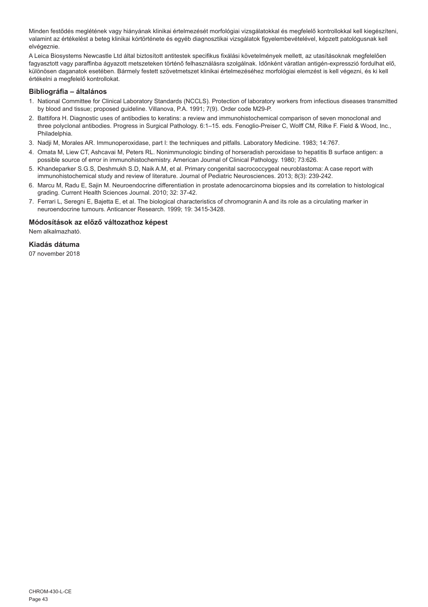Minden festődés meglétének vagy hiányának klinikai értelmezését morfológiai vizsgálatokkal és megfelelő kontrollokkal kell kiegészíteni, valamint az értékelést a beteg klinikai kórtörténete és egyéb diagnosztikai vizsgálatok figyelembevételével, képzett patológusnak kell elvégeznie.

A Leica Biosystems Newcastle Ltd által biztosított antitestek specifikus fixálási követelmények mellett, az utasításoknak megfelelően fagyasztott vagy paraffinba ágyazott metszeteken történő felhasználásra szolgálnak. Időnként váratlan antigén-expresszió fordulhat elő, különösen daganatok esetében. Bármely festett szövetmetszet klinikai értelmezéséhez morfológiai elemzést is kell végezni, és ki kell értékelni a megfelelő kontrollokat.

# **Bibliográfia – általános**

- 1. National Committee for Clinical Laboratory Standards (NCCLS). Protection of laboratory workers from infectious diseases transmitted by blood and tissue; proposed guideline. Villanova, P.A. 1991; 7(9). Order code M29-P.
- 2. Battifora H. Diagnostic uses of antibodies to keratins: a review and immunohistochemical comparison of seven monoclonal and three polyclonal antibodies. Progress in Surgical Pathology. 6:1–15. eds. Fenoglio-Preiser C, Wolff CM, Rilke F. Field & Wood, Inc., Philadelphia.
- 3. Nadji M, Morales AR. Immunoperoxidase, part I: the techniques and pitfalls. Laboratory Medicine. 1983; 14:767.
- 4. Omata M, Liew CT, Ashcavai M, Peters RL. Nonimmunologic binding of horseradish peroxidase to hepatitis B surface antigen: a possible source of error in immunohistochemistry. American Journal of Clinical Pathology. 1980; 73:626.
- 5. Khandeparker S.G.S, Deshmukh S.D, Naik A.M, et al. Primary congenital sacrococcygeal neuroblastoma: A case report with immunohistochemical study and review of literature. Journal of Pediatric Neurosciences. 2013; 8(3): 239-242.
- 6. Marcu M, Radu E, Sajin M. Neuroendocrine differentiation in prostate adenocarcinoma biopsies and its correlation to histological grading. Current Health Sciences Journal. 2010; 32: 37-42.
- 7. Ferrari L, Seregni E, Bajetta E, et al. The biological characteristics of chromogranin A and its role as a circulating marker in neuroendocrine tumours. Anticancer Research. 1999; 19: 3415-3428.

## **Módosítások az előző változathoz képest**

Nem alkalmazható.

## **Kiadás dátuma**

07 november 2018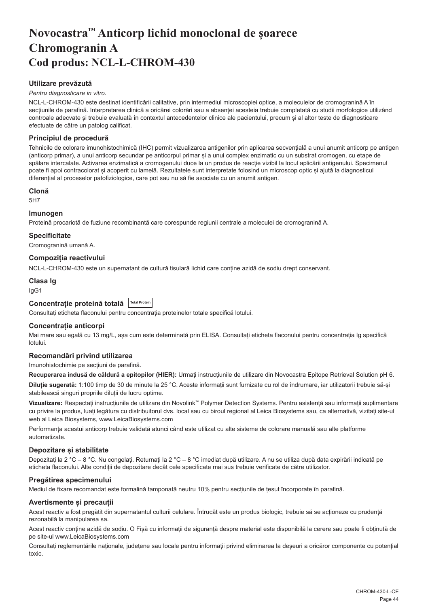# <span id="page-44-0"></span>**Novocastra™ Anticorp lichid monoclonal de șoarece Chromogranin A Cod produs: NCL-L-CHROM-430**

# **Utilizare prevăzută**

## *Pentru diagnosticare in vitro.*

NCL-L-CHROM-430 este destinat identificării calitative, prin intermediul microscopiei optice, a moleculelor de cromogranină A în secțiunile de parafină. Interpretarea clinică a oricărei colorări sau a absenței acesteia trebuie completată cu studii morfologice utilizând controale adecvate și trebuie evaluată în contextul antecedentelor clinice ale pacientului, precum și al altor teste de diagnosticare efectuate de către un patolog calificat.

# **Principiul de procedură**

Tehnicile de colorare imunohistochimică (IHC) permit vizualizarea antigenilor prin aplicarea secvențială a unui anumit anticorp pe antigen (anticorp primar), a unui anticorp secundar pe anticorpul primar și a unui complex enzimatic cu un substrat cromogen, cu etape de spălare intercalate. Activarea enzimatică a cromogenului duce la un produs de reacție vizibil la locul aplicării antigenului. Specimenul poate fi apoi contracolorat și acoperit cu lamelă. Rezultatele sunt interpretate folosind un microscop optic și ajută la diagnosticul diferențial al proceselor patofiziologice, care pot sau nu să fie asociate cu un anumit antigen.

# **Clonă**

5H7

## **Imunogen**

Proteină procariotă de fuziune recombinantă care corespunde regiunii centrale a moleculei de cromogranină A.

## **Specificitate**

Cromogranină umană A.

# **Compoziția reactivului**

NCL-L-CHROM-430 este un supernatant de cultură tisulară lichid care conține azidă de sodiu drept conservant.

# **Clasa Ig**

IgG1

# **Concentrație proteină totală Total Protein**

Consultați eticheta flaconului pentru concentrația proteinelor totale specifică lotului.

## **Concentrație anticorpi**

Mai mare sau egală cu 13 mg/L, așa cum este determinată prin ELISA. Consultați eticheta flaconului pentru concentrația Ig specifică lotului.

## **Recomandări privind utilizarea**

## Imunohistochimie pe secțiuni de parafină.

**Recuperarea indusă de căldură a epitopilor (HIER):** Urmați instrucțiunile de utilizare din Novocastra Epitope Retrieval Solution pH 6. **Diluție sugerată:** 1:100 timp de 30 de minute la 25 °C. Aceste informații sunt furnizate cu rol de îndrumare, iar utilizatorii trebuie să-și stabilească singuri propriile diluții de lucru optime.

**Vizualizare:** Respectați instrucțiunile de utilizare din Novolink™ Polymer Detection Systems. Pentru asistență sau informații suplimentare cu privire la produs, luați legătura cu distribuitorul dvs. local sau cu biroul regional al Leica Biosystems sau, ca alternativă, vizitați site-ul web al Leica Biosystems, www.LeicaBiosystems.com

Performanța acestui anticorp trebuie validată atunci când este utilizat cu alte sisteme de colorare manuală sau alte platforme automatizate.

## **Depozitare și stabilitate**

Depozitați la 2 °C – 8 °C. Nu congelați. Returnați la 2 °C – 8 °C imediat după utilizare. A nu se utiliza după data expirării indicată pe eticheta flaconului. Alte condiții de depozitare decât cele specificate mai sus trebuie verificate de către utilizator.

# **Pregătirea specimenului**

Mediul de fixare recomandat este formalină tamponată neutru 10% pentru secțiunile de țesut încorporate în parafină.

# **Avertismente și precauții**

Acest reactiv a fost pregătit din supernatantul culturii celulare. Întrucât este un produs biologic, trebuie să se acționeze cu prudență rezonabilă la manipularea sa.

Acest reactiv conține azidă de sodiu. O Fișă cu informații de siguranță despre material este disponibilă la cerere sau poate fi obținută de pe site-ul www.LeicaBiosystems.com

Consultați reglementările naționale, județene sau locale pentru informații privind eliminarea la deșeuri a oricăror componente cu potențial toxic.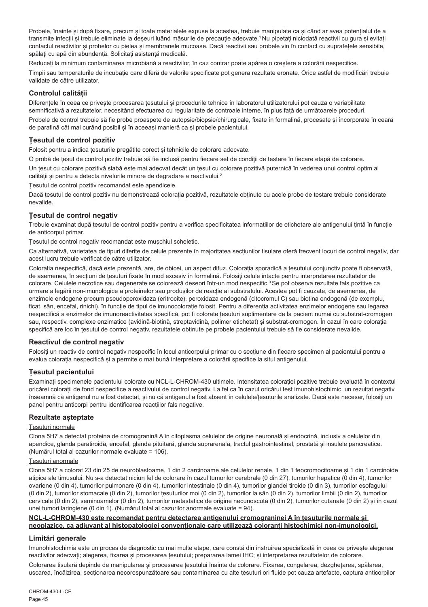Probele, înainte și după fixare, precum și toate materialele expuse la acestea, trebuie manipulate ca și când ar avea potențialul de a transmite infecții și trebuie eliminate la deșeuri luând măsurile de precauție adecvate.<sup>1</sup>Nu pipetați niciodată reactivii cu gura și evitați contactul reactivilor și probelor cu pielea și membranele mucoase. Dacă reactivii sau probele vin în contact cu suprafețele sensibile, spălați cu apă din abundență. Solicitați asistență medicală.

Reduceți la minimum contaminarea microbiană a reactivilor, în caz contrar poate apărea o creștere a colorării nespecifice. Timpii sau temperaturile de incubație care diferă de valorile specificate pot genera rezultate eronate. Orice astfel de modificări trebuie validate de către utilizator.

# **Controlul calității**

Diferentele în ceea ce priveste procesarea tesutului si procedurile tehnice în laboratorul utilizatorului pot cauza o variabilitate semnificativă a rezultatelor, necesitând efectuarea cu regularitate de controale interne, în plus față de următoarele proceduri.

Probele de control trebuie să fie probe proaspete de autopsie/biopsie/chirurgicale, fixate în formalină, procesate și încorporate în ceară de parafină cât mai curând posibil și în aceeași manieră ca și probele pacientului.

# **Țesutul de control pozitiv**

Folosit pentru a indica țesuturile pregătite corect și tehnicile de colorare adecvate.

O probă de țesut de control pozitiv trebuie să fie inclusă pentru fiecare set de condiții de testare în fiecare etapă de colorare. Un țesut cu colorare pozitivă slabă este mai adecvat decât un țesut cu colorare pozitivă puternică în vederea unui control optim al calității și pentru a detecta nivelurile minore de degradare a reactivului.<sup>2</sup>

Țesutul de control pozitiv recomandat este apendicele.

Dacă țesutul de control pozitiv nu demonstrează colorația pozitivă, rezultatele obținute cu acele probe de testare trebuie considerate nevalide.

# **Țesutul de control negativ**

Trebuie examinat după țesutul de control pozitiv pentru a verifica specificitatea informațiilor de etichetare ale antigenului țintă în funcție de anticorpul primar.

Țesutul de control negativ recomandat este mușchiul scheletic.

Ca alternativă, varietatea de tipuri diferite de celule prezente în majoritatea secțiunilor tisulare oferă frecvent locuri de control negativ, dar acest lucru trebuie verificat de către utilizator.

Colorația nespecifică, dacă este prezentă, are, de obicei, un aspect difuz. Colorația sporadică a țesutului conjunctiv poate fi observată, de asemenea, în secțiuni de țesuturi fixate în mod excesiv în formalină. Folosiți celule intacte pentru interpretarea rezultatelor de colorare. Celulele necrotice sau degenerate se colorează deseori într-un mod nespecific.<sup>3</sup> Se pot observa rezultate fals pozitive ca urmare a legării non-imunologice a proteinelor sau produșilor de reacție ai substratului. Acestea pot fi cauzate, de asemenea, de enzimele endogene precum pseudoperoxidaza (eritrocite), peroxidaza endogenă (citocromul C) sau biotina endogenă (de exemplu, ficat, sân, encefal, rinichi), în funcție de tipul de imunocolorație folosit. Pentru a diferenția activitatea enzimelor endogene sau legarea nespecifică a enzimelor de imunoreactivitatea specifică, pot fi colorate țesuturi suplimentare de la pacient numai cu substrat-cromogen sau, respectiv, complexe enzimatice (avidină-biotină, streptavidină, polimer etichetat) și substrat-cromogen. În cazul în care colorația specifică are loc în țesutul de control negativ, rezultatele obținute pe probele pacientului trebuie să fie considerate nevalide.

# **Reactivul de control negativ**

Folosiți un reactiv de control negativ nespecific în locul anticorpului primar cu o secțiune din fiecare specimen al pacientului pentru a evalua colorația nespecifică și a permite o mai bună interpretare a colorării specifice la situl antigenului.

# **Țesutul pacientului**

Examinați specimenele pacientului colorate cu NCL-L-CHROM-430 ultimele. Intensitatea colorației pozitive trebuie evaluată în contextul oricărei colorații de fond nespecifice a reactivului de control negativ. La fel ca în cazul oricărui test imunohistochimic, un rezultat negativ înseamnă că antigenul nu a fost detectat, și nu că antigenul a fost absent în celulele/țesuturile analizate. Dacă este necesar, folosiți un panel pentru anticorpi pentru identificarea reacțiilor fals negative.

# **Rezultate așteptate**

# Țesuturi normale

Clona 5H7 a detectat proteina de cromogranină A în citoplasma celulelor de origine neuronală și endocrină, inclusiv a celulelor din apendice, glanda paratiroidă, encefal, glanda pituitară, glanda suprarenală, tractul gastrointestinal, prostată și insulele pancreatice. (Numărul total al cazurilor normale evaluate = 106).

## Țesuturi anormale

Clona 5H7 a colorat 23 din 25 de neuroblastoame, 1 din 2 carcinoame ale celulelor renale, 1 din 1 feocromocitoame și 1 din 1 carcinoide atipice ale timusului. Nu s-a detectat niciun fel de colorare în cazul tumorilor cerebrale (0 din 27), tumorilor hepatice (0 din 4), tumorilor ovariene (0 din 4), tumorilor pulmonare (0 din 4), tumorilor intestinale (0 din 4), tumorilor glandei tiroide (0 din 3), tumorilor esofagului (0 din 2), tumorilor stomacale (0 din 2), tumorilor țesuturilor moi (0 din 2), tumorilor la sân (0 din 2), tumorilor limbii (0 din 2), tumorilor cervicale (0 din 2), seminoamelor (0 din 2), tumorilor metastatice de origine necunoscută (0 din 2), tumorilor cutanate (0 din 2) și în cazul unei tumori laringiene (0 din 1). (Numărul total al cazurilor anormale evaluate = 94).

# **NCL-L-CHROM-430 este recomandat pentru detectarea antigenului cromograninei A în țesuturile normale și neoplazice, ca adjuvant al histopatologiei convenționale care utilizează coloranți histochimici non-imunologici.**

# **Limitări generale**

Imunohistochimia este un proces de diagnostic cu mai multe etape, care constă din instruirea specializată în ceea ce privește alegerea reactivilor adecvați; alegerea, fixarea și procesarea țesutului; prepararea lamei IHC; și interpretarea rezultatelor de colorare.

Colorarea tisulară depinde de manipularea și procesarea țesutului înainte de colorare. Fixarea, congelarea, dezghețarea, spălarea, uscarea, încălzirea, secționarea necorespunzătoare sau contaminarea cu alte țesuturi ori fluide pot cauza artefacte, captura anticorpilor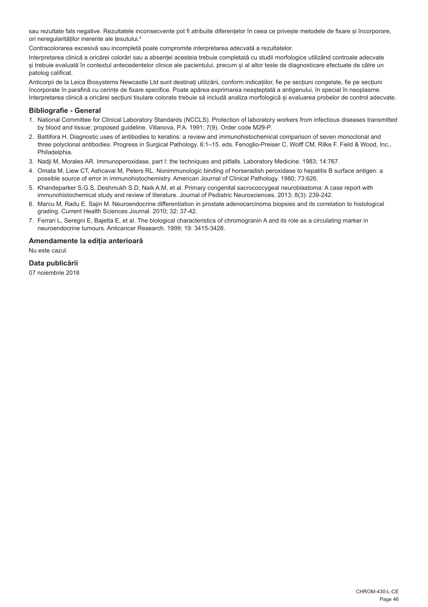sau rezultate fals negative. Rezultatele inconsecvente pot fi atribuite diferențelor în ceea ce privește metodele de fixare și încorporare, ori neregularităților inerente ale țesutului.<sup>4</sup>

Contracolorarea excesivă sau incompletă poate compromite interpretarea adecvată a rezultatelor.

Interpretarea clinică a oricărei colorări sau a absenței acesteia trebuie completată cu studii morfologice utilizând controale adecvate și trebuie evaluată în contextul antecedentelor clinice ale pacientului, precum și al altor teste de diagnosticare efectuate de către un patolog calificat.

Anticorpii de la Leica Biosystems Newcastle Ltd sunt destinați utilizării, conform indicațiilor, fie pe secțiuni congelate, fie pe secțiuni încorporate în parafină cu cerințe de fixare specifice. Poate apărea exprimarea neașteptată a antigenului, în special în neoplasme. Interpretarea clinică a oricărei secțiuni tisulare colorate trebuie să includă analiza morfologică și evaluarea probelor de control adecvate.

## **Bibliografie - General**

- 1. National Committee for Clinical Laboratory Standards (NCCLS). Protection of laboratory workers from infectious diseases transmitted by blood and tissue; proposed guideline. Villanova, P.A. 1991; 7(9). Order code M29-P.
- 2. Battifora H. Diagnostic uses of antibodies to keratins: a review and immunohistochemical comparison of seven monoclonal and three polyclonal antibodies. Progress in Surgical Pathology. 6:1–15. eds. Fenoglio-Preiser C, Wolff CM, Rilke F. Field & Wood, Inc., Philadelphia.
- 3. Nadji M, Morales AR. Immunoperoxidase, part I: the techniques and pitfalls. Laboratory Medicine. 1983; 14:767.
- 4. Omata M, Liew CT, Ashcavai M, Peters RL. Nonimmunologic binding of horseradish peroxidase to hepatitis B surface antigen: a possible source of error in immunohistochemistry. American Journal of Clinical Pathology. 1980; 73:626.
- 5. Khandeparker S.G.S, Deshmukh S.D, Naik A.M, et al. Primary congenital sacrococcygeal neuroblastoma: A case report with immunohistochemical study and review of literature. Journal of Pediatric Neurosciences. 2013; 8(3): 239-242.
- 6. Marcu M, Radu E, Sajin M. Neuroendocrine differentiation in prostate adenocarcinoma biopsies and its correlation to histological grading. Current Health Sciences Journal. 2010; 32: 37-42.
- 7. Ferrari L, Seregni E, Bajetta E, et al. The biological characteristics of chromogranin A and its role as a circulating marker in neuroendocrine tumours. Anticancer Research. 1999; 19: 3415-3428.

# **Amendamente la ediția anterioară**

Nu este cazul.

# **Data publicării**

07 noiembrie 2018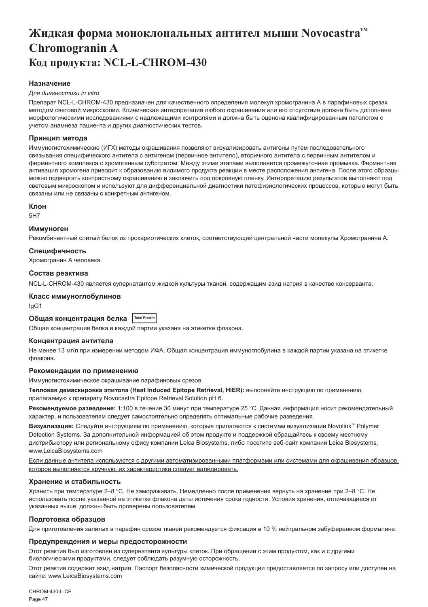# <span id="page-47-0"></span>**Жидкая форма моноклональных антител мыши Novocastra™ Chromogranin A Код продукта: NCL-L-CHROM-430**

# **Назначение**

#### *Для диагностики in vitro*

Препарат NCL-L-CHROM-430 предназначен для качественного определения молекул хромогранина А в парафиновых срезах методом световой микроскопии. Клиническая интерпретация любого окрашивания или его отсутствия должна быть дополнена морфологическими исследованиями с надлежащими контролями и должна быть оценена квалифицированным патологом с учетом анамнеза пациента и других диагностических тестов.

## **Принцип метода**

Иммуногистохимические (ИГХ) методы окрашивания позволяют визуализировать антигены путем последовательного связывания специфического антитела с антигеном (первичное антитело), вторичного антитела с первичным антителом и ферментного комплекса с хромогенным субстратом. Между этими этапами выполняется промежуточная промывка. Ферментная активация хромогена приводит к образованию видимого продукта реакции в месте расположения антигена. После этого образцы можно подвергать контрастному окрашиванию и заключить под покровную пленку. Интерпретацию результатов выполняют под световым микроскопом и используют для дифференциальной диагностики патофизиологических процессов, которые могут быть связаны или не связаны с конкретным антигеном.

#### **Клон**

 $5H7$ 

### **Иммуноген**

Рекомбинантный слитый белок из прокариотических клеток, соответствующий центральной части молекулы Хромогранина А.

#### **Специфичность**

Хромогранин А человека.

# **Состав реактива**

NCL-L-CHROM-430 является супернатантом жидкой культуры тканей, содержащим азид натрия в качестве консерванта.

## **Класс иммуноглобулинов**

IgG1

# **Общая концентрация белка Total Protein**

Общая концентрация белка в каждой партии указана на этикетке флакона.

### **Концентрация антитела**

Не менее 13 мг/л при измерении методом ИФА. Общая концентрация иммуноглобулина в каждой партии указана на этикетке флакона.

#### **Рекомендации по применению**

Иммуногистохимическое окрашивание парафиновых срезов.

**Тепловая демаскировка эпитопа (Heat Induced Epitope Retrieval, HIER):** выполняйте инструкцию по применению,

прилагаемую к препарату Novocastra Epitope Retrieval Solution pH 6.

**Рекомендуемое разведение:** 1:100 в течение 30 минут при температуре 25 °C. Данная информация носит рекомендательный характер, и пользователям следует самостоятельно определять оптимальные рабочие разведения.

**Визуализация:** Следуйте инструкциям по применению, которые прилагаются к системам визуализации Novolink™ Polymer Detection Systems. За дополнительной информацией об этом продукте и поддержкой обращайтесь к своему местному дистрибьютору или региональному офису компании Leica Biosystems, либо посетите веб-сайт компании Leica Biosystems, www.LeicaBiosystems.com

Если данные антитела используются с другими автоматизированными платформами или системами для окрашивания образцов, которое выполняется вручную, их характеристики следует валидировать.

## **Хранение и стабильность**

Хранить при температуре 2–8 °C. Не замораживать. Немедленно после применения вернуть на хранение при 2–8 °C. Не использовать после указанной на этикетке флакона даты истечения срока годности. Условия хранения, отличающиеся от указанных выше, должны быть проверены пользователем.

#### **Подготовка образцов**

Для приготовления залитых в парафин срезов тканей рекомендуется фиксация в 10 % нейтральном забуференном формалине.

## **Предупреждения и меры предосторожности**

Этот реактив был изготовлен из супернатанта культуры клеток. При обращении с этим продуктом, как и с другими биологическими продуктами, следует соблюдать разумную осторожность.

Этот реактив содержит азид натрия. Паспорт безопасности химической продукции предоставляется по запросу или доступен на сайте: www.LeicaBiosystems.com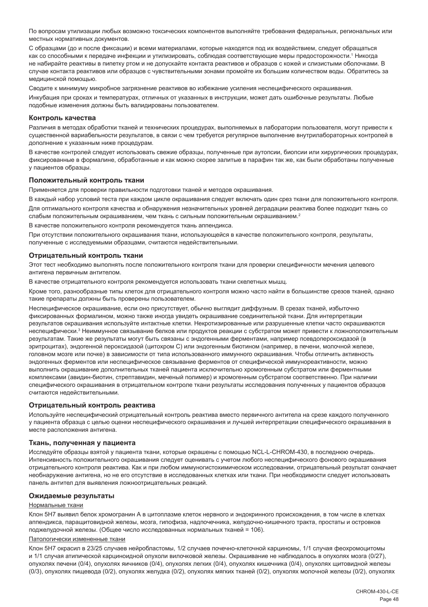По вопросам утилизации любых возможно токсических компонентов выполняйте требования федеральных, региональных или местных нормативных документов.

С образцами (до и после фиксации) и всеми материалами, которые находятся под их воздействием, следует обращаться как со способными к передаче инфекции и утилизировать, соблюдая соответствующие меры предосторожности.' Никогда не набирайте реактивы в пипетку ртом и не допускайте контакта реактивов и образцов с кожей и слизистыми оболочками. В случае контакта реактивов или образцов с чувствительными зонами промойте их большим количеством воды. Обратитесь за медицинской помощью.

Сводите к минимуму микробное загрязнение реактивов во избежание усиления неспецифического окрашивания. Инкубация при сроках и температурах, отличных от указанных в инструкции, может дать ошибочные результаты. Любые подобные изменения должны быть валидированы пользователем.

#### **Контроль качества**

Различия в методах обработки тканей и технических процедурах, выполняемых в лаборатории пользователя, могут привести к существенной вариабельности результатов, в связи с чем требуется регулярное выполнение внутрилабораторных контролей в дополнение к указанным ниже процедурам.

В качестве контролей следует использовать свежие образцы, полученные при аутопсии, биопсии или хирургических процедурах, фиксированные в формалине, обработанные и как можно скорее залитые в парафин так же, как были обработаны полученные у пациентов образцы.

#### **Положительный контроль ткани**

Применяется для проверки правильности подготовки тканей и методов окрашивания.

В каждый набор условий теста при каждом цикле окрашивания следует включать один срез ткани для положительного контроля.

Для оптимального контроля качества и обнаружения незначительных уровней деградации реактива более подходит ткань со слабым положительным окрашиванием, чем ткань с сильным положительным окрашиванием.<sup>2</sup>

В качестве положительного контроля рекомендуется ткань аппендикса.

При отсутствии положительного окрашивания ткани, использующейся в качестве положительного контроля, результаты, полученные с исследуемыми образцами, считаются недействительными.

## **Отрицательный контроль ткани**

Этот тест необходимо выполнять после положительного контроля ткани для проверки специфичности мечения целевого антигена первичным антителом.

В качестве отрицательного контроля рекомендуется использовать ткани скелетных мышц.

Кроме того, разнообразные типы клеток для отрицательного контроля можно часто найти в большинстве срезов тканей, однако такие препараты должны быть проверены пользователем.

Неспецифическое окрашивание, если оно присутствует, обычно выглядит диффузным. В срезах тканей, избыточно фиксированных формалином, можно также иногда увидеть окрашивание соединительной ткани. Для интерпретации результатов окрашивания используйте интактные клетки. Некротизированные или разрушенные клетки часто окрашиваются неспецифически.<sup>з</sup> Неиммунное связывание белков или продуктов реакции с субстратом может привести к ложноположительным результатам. Такие же результаты могут быть связаны с эндогенными ферментами, например псевдопероксидазой (в эритроцитах), эндогенной пероксидазой (цитохром C) или эндогенным биотином (например, в печени, молочной железе, головном мозге или почке) в зависимости от типа использованного иммунного окрашивания. Чтобы отличить активность эндогенных ферментов или неспецифическое связывание ферментов от специфической иммунореактивности, можно выполнить окрашивание дополнительных тканей пациента исключительно хромогенным субстратом или ферментными комплексами (авидин-биотин, стрептавидин, меченый полимер) и хромогенным субстратом соответственно. При наличии специфического окрашивания в отрицательном контроле ткани результаты исследования полученных у пациентов образцов считаются недействительными.

## **Отрицательный контроль реактива**

Используйте неспецифический отрицательный контроль реактива вместо первичного антитела на срезе каждого полученного у пациента образца с целью оценки неспецифического окрашивания и лучшей интерпретации специфического окрашивания в месте расположения антигена.

## **Ткань, полученная у пациента**

Исследуйте образцы взятой у пациента ткани, которые окрашены с помощью NCL-L-CHROM-430, в последнюю очередь. Интенсивность положительного окрашивания следует оценивать с учетом любого неспецифического фонового окрашивания отрицательного контроля реактива. Как и при любом иммуногистохимическом исследовании, отрицательный результат означает необнаружение антигена, но не его отсутствие в исследованных клетках или ткани. При необходимости следует использовать панель антител для выявления ложноотрицательных реакций.

## **Ожидаемые результаты**

## Нормальные ткани

Клон 5H7 выявил белок хромогранин А в цитоплазме клеток нервного и эндокринного происхождения, в том числе в клетках аппендикса, паращитовидной железы, мозга, гипофиза, надпочечника, желудочно-кишечного тракта, простаты и островков поджелудочной железы. (Общее число исследованных нормальных тканей = 106).

## Патологически измененные ткани

Клон 5H7 окрасил в 23/25 случаев нейробластомы, 1/2 случаев почечно-клеточной карциномы, 1/1 случая феохромоцитомы и 1/1 случая атипической карциноидной опухоли вилочковой железы. Окрашивание не наблюдалось в опухолях мозга (0/27), опухолях печени (0/4), опухолях яичников (0/4), опухолях легких (0/4), опухолях кишечника (0/4), опухолях щитовидной железы (0/3), опухолях пищевода (0/2), опухолях желудка (0/2), опухолях мягких тканей (0/2), опухолях молочной железы (0/2), опухолях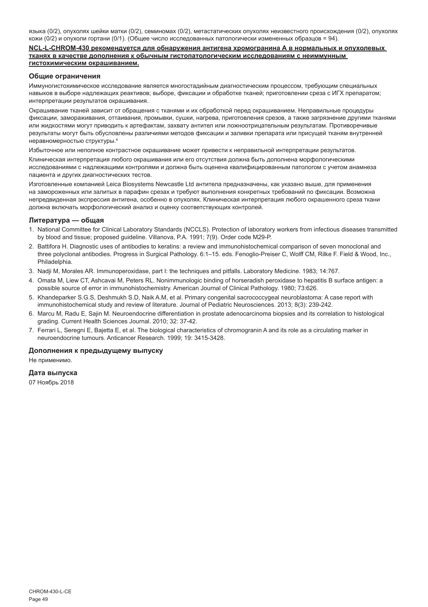языка (0/2), опухолях шейки матки (0/2), семиномах (0/2), метастатических опухолях неизвестного происхождения (0/2), опухолях кожи (0/2) и опухоли гортани (0/1). (Общее число исследованных патологически измененных образцов = 94).

## **NCL-L-CHROM-430 рекомендуется для обнаружения антигена хромогранина А в нормальных и опухолевых тканях в качестве дополнения к обычным гистопатологическим исследованиям с неиммунным гистохимическим окрашиванием.**

## **Общие ограничения**

Иммуногистохимическое исследование является многостадийным диагностическим процессом, требующим специальных навыков в выборе надлежащих реактивов; выборе, фиксации и обработке тканей; приготовлении среза с ИГХ препаратом; интерпретации результатов окрашивания.

Окрашивание тканей зависит от обращения с тканями и их обработкой перед окрашиванием. Неправильные процедуры фиксации, замораживания, оттаивания, промывки, сушки, нагрева, приготовления срезов, а также загрязнение другими тканями или жидкостями могут приводить к артефактам, захвату антител или ложноотрицательным результатам. Противоречивые результаты могут быть обусловлены различиями методов фиксации и заливки препарата или присущей тканям внутренней неравномерностью структуры.<sup>4</sup>

Избыточное или неполное контрастное окрашивание может привести к неправильной интерпретации результатов.

Клиническая интерпретация любого окрашивания или его отсутствия должна быть дополнена морфологическими исследованиями с надлежащими контролями и должна быть оценена квалифицированным патологом с учетом анамнеза пациента и других диагностических тестов.

Изготовленные компанией Leica Biosystems Newcastle Ltd антитела предназначены, как указано выше, для применения на замороженных или залитых в парафин срезах и требуют выполнения конкретных требований по фиксации. Возможна непредвиденная экспрессия антигена, особенно в опухолях. Клиническая интерпретация любого окрашенного среза ткани должна включать морфологический анализ и оценку соответствующих контролей.

## **Литература — общая**

- 1. National Committee for Clinical Laboratory Standards (NCCLS). Protection of laboratory workers from infectious diseases transmitted by blood and tissue; proposed guideline. Villanova, P.A. 1991; 7(9). Order code M29-P.
- 2. Battifora H. Diagnostic uses of antibodies to keratins: a review and immunohistochemical comparison of seven monoclonal and three polyclonal antibodies. Progress in Surgical Pathology. 6:1–15. eds. Fenoglio-Preiser C, Wolff CM, Rilke F. Field & Wood, Inc., Philadelphia.
- 3. Nadji M, Morales AR. Immunoperoxidase, part I: the techniques and pitfalls. Laboratory Medicine. 1983; 14:767.
- 4. Omata M, Liew CT, Ashcavai M, Peters RL. Nonimmunologic binding of horseradish peroxidase to hepatitis B surface antigen: a possible source of error in immunohistochemistry. American Journal of Clinical Pathology. 1980; 73:626.
- 5. Khandeparker S.G.S, Deshmukh S.D, Naik A.M, et al. Primary congenital sacrococcygeal neuroblastoma: A case report with immunohistochemical study and review of literature. Journal of Pediatric Neurosciences. 2013; 8(3): 239-242.
- 6. Marcu M, Radu E, Sajin M. Neuroendocrine differentiation in prostate adenocarcinoma biopsies and its correlation to histological grading. Current Health Sciences Journal. 2010; 32: 37-42.
- 7. Ferrari L, Seregni E, Bajetta E, et al. The biological characteristics of chromogranin A and its role as a circulating marker in neuroendocrine tumours. Anticancer Research. 1999; 19: 3415-3428.

## **Дополнения к предыдущему выпуску**

Не применимо.

# **Дата выпуска**

07 Ноябрь 2018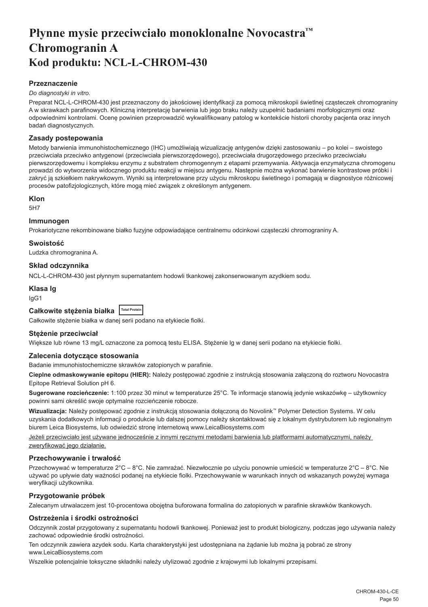# <span id="page-50-0"></span>**Płynne mysie przeciwciało monoklonalne Novocastra™ Chromogranin A Kod produktu: NCL-L-CHROM-430**

# **Przeznaczenie**

### *Do diagnostyki in vitro.*

Preparat NCL-L-CHROM-430 jest przeznaczony do jakościowej identyfikacji za pomocą mikroskopii świetlnej cząsteczek chromograniny A w skrawkach parafinowych. Kliniczną interpretację barwienia lub jego braku należy uzupełnić badaniami morfologicznymi oraz odpowiednimi kontrolami. Ocenę powinien przeprowadzić wykwalifikowany patolog w kontekście historii choroby pacjenta oraz innych badań diagnostycznych.

## **Zasady postepowania**

Metody barwienia immunohistochemicznego (IHC) umożliwiają wizualizację antygenów dzięki zastosowaniu – po kolei – swoistego przeciwciała przeciwko antygenowi (przeciwciała pierwszorzędowego), przeciwciała drugorzędowego przeciwko przeciwciału pierwszorzędowemu i kompleksu enzymu z substratem chromogennym z etapami przemywania. Aktywacja enzymatyczna chromogenu prowadzi do wytworzenia widocznego produktu reakcji w miejscu antygenu. Następnie można wykonać barwienie kontrastowe próbki i zakryć ją szkiełkiem nakrywkowym. Wyniki są interpretowane przy użyciu mikroskopu świetlnego i pomagają w diagnostyce różnicowej procesów patofizjologicznych, które mogą mieć związek z określonym antygenem.

## **Klon**

5H7

# **Immunogen**

Prokariotyczne rekombinowane białko fuzyjne odpowiadające centralnemu odcinkowi cząsteczki chromograniny A.

## **Swoistość**

Ludzka chromogranina A.

## **Skład odczynnika**

NCL-L-CHROM-430 jest płynnym supernatantem hodowli tkankowej zakonserwowanym azydkiem sodu.

# **Klasa Ig**

IgG1

| Całkowite stężenia białka <b>Total Protein</b> |  |  |
|------------------------------------------------|--|--|
|------------------------------------------------|--|--|

Całkowite stężenie białka w danej serii podano na etykiecie fiolki.

# **Stężenie przeciwciał**

Większe lub równe 13 mg/L oznaczone za pomocą testu ELISA. Stężenie lg w danej serii podano na etykiecie fiolki.

# **Zalecenia dotyczące stosowania**

Badanie immunohistochemiczne skrawków zatopionych w parafinie.

**Cieplne odmaskowywanie epitopu (HIER):** Należy postępować zgodnie z instrukcją stosowania załączoną do roztworu Novocastra Epitope Retrieval Solution pH 6.

**Sugerowane rozcieńczenie:** 1:100 przez 30 minut w temperaturze 25°C. Te informacje stanowią jedynie wskazówkę – użytkownicy powinni sami określić swoje optymalne rozcieńczenie robocze.

**Wizualizacja:** Należy postępować zgodnie z instrukcją stosowania dołączoną do Novolink™ Polymer Detection Systems. W celu uzyskania dodatkowych informacji o produkcie lub dalszej pomocy należy skontaktować się z lokalnym dystrybutorem lub regionalnym biurem Leica Biosystems, lub odwiedzić stronę internetową www.LeicaBiosystems.com

Jeżeli przeciwciało jest używane jednocześnie z innymi recznymi metodami barwienia lub platformami automatycznymi, należy zweryfikować jego działanie.

## **Przechowywanie i trwałość**

Przechowywać w temperaturze 2°C – 8°C. Nie zamrażać. Niezwłocznie po użyciu ponownie umieścić w temperaturze 2°C – 8°C. Nie używać po upływie daty ważności podanej na etykiecie fiolki. Przechowywanie w warunkach innych od wskazanych powyżej wymaga weryfikacji użytkownika.

# **Przygotowanie próbek**

Zalecanym utrwalaczem jest 10-procentowa obojętna buforowana formalina do zatopionych w parafinie skrawków tkankowych.

## **Ostrzeżenia i środki ostrożności**

Odczynnik został przygotowany z supernatantu hodowli tkankowej. Ponieważ jest to produkt biologiczny, podczas jego używania należy zachować odpowiednie środki ostrożności.

Ten odczynnik zawiera azydek sodu. Karta charakterystyki jest udostępniana na żądanie lub można ją pobrać ze strony www.LeicaBiosystems.com

Wszelkie potencjalnie toksyczne składniki należy utylizować zgodnie z krajowymi lub lokalnymi przepisami.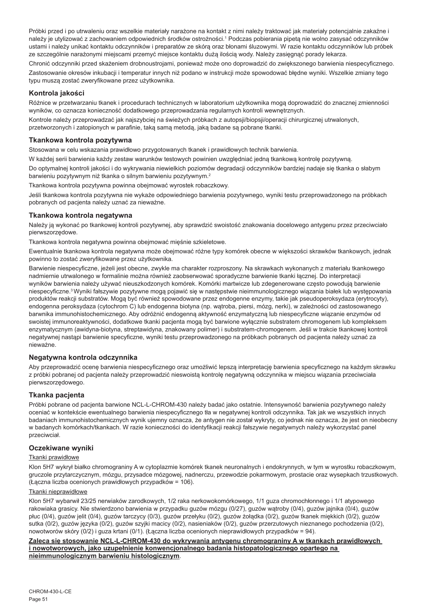Próbki przed i po utrwaleniu oraz wszelkie materiały narażone na kontakt z nimi należy traktować jak materiały potencjalnie zakaźne i należy je utylizować z zachowaniem odpowiednich środków ostrożności.<sup>1</sup> Podczas pobierania pipetą nie wolno zasysać odczynników ustami i należy unikać kontaktu odczynników i preparatów ze skórą oraz błonami śluzowymi. W razie kontaktu odczynników lub próbek ze szczególnie narażonymi miejscami przemyć miejsce kontaktu dużą ilością wody. Należy zasięgnąć porady lekarza.

Chronić odczynniki przed skażeniem drobnoustrojami, ponieważ może ono doprowadzić do zwiększonego barwienia niespecyficznego. Zastosowanie okresów inkubacji i temperatur innych niż podano w instrukcji może spowodować błędne wyniki. Wszelkie zmiany tego typu muszą zostać zweryfikowane przez użytkownika.

# **Kontrola jakości**

Różnice w przetwarzaniu tkanek i procedurach technicznych w laboratorium użytkownika mogą doprowadzić do znacznej zmienności wyników, co oznacza konieczność dodatkowego przeprowadzania regularnych kontroli wewnętrznych.

Kontrole należy przeprowadzać jak najszybciej na świeżych próbkach z autopsji/biopsji/operacji chirurgicznej utrwalonych, przetworzonych i zatopionych w parafinie, taką samą metodą, jaką badane są pobrane tkanki.

# **Tkankowa kontrola pozytywna**

Stosowana w celu wskazania prawidłowo przygotowanych tkanek i prawidłowych technik barwienia.

W każdej serii barwienia każdy zestaw warunków testowych powinien uwzględniać jedną tkankową kontrolę pozytywną.

Do optymalnej kontroli jakości i do wykrywania niewielkich poziomów degradacji odczynników bardziej nadaje się tkanka o słabym barwieniu pozytywnym niż tkanka o silnym barwieniu pozytywnym.<sup>2</sup>

Tkankowa kontrola pozytywna powinna obejmować wyrostek robaczkowy.

Jeśli tkankowa kontrola pozytywna nie wykaże odpowiedniego barwienia pozytywnego, wyniki testu przeprowadzonego na próbkach pobranych od pacjenta należy uznać za nieważne.

# **Tkankowa kontrola negatywna**

Należy ją wykonać po tkankowej kontroli pozytywnej, aby sprawdzić swoistość znakowania docelowego antygenu przez przeciwciało pierwszorzędowe.

Tkankowa kontrola negatywna powinna obejmować mięśnie szkieletowe.

Ewentualnie tkankowa kontrola negatywna może obejmować różne typy komórek obecne w większości skrawków tkankowych, jednak powinno to zostać zweryfikowane przez użytkownika.

Barwienie niespecyficzne, jeżeli jest obecne, zwykle ma charakter rozproszony. Na skrawkach wykonanych z materiału tkankowego nadmiernie utrwalonego w formalinie można również zaobserwować sporadyczne barwienie tkanki łącznej. Do interpretacji wyników barwienia należy używać nieuszkodzonych komórek. Komórki martwicze lub zdegenerowane często powodują barwienie niespecyficzne.<sup>3</sup>Wyniki fałszywie pozytywne mogą pojawić się w następstwie nieimmunologicznego wiązania białek lub występowania produktów reakcji substratów. Mogą być również spowodowane przez endogenne enzymy, takie jak pseudoperoksydaza (erytrocyty), endogenna peroksydaza (cytochrom C) lub endogenna biotyna (np. wątroba, piersi, mózg, nerki), w zależności od zastosowanego barwnika immunohistochemicznego. Aby odróżnić endogenną aktywność enzymatyczną lub niespecyficzne wiązanie enzymów od swoistej immunoreaktywności, dodatkowe tkanki pacjenta mogą być barwione wyłącznie substratem chromogenem lub kompleksem enzymatycznym (awidyna-biotyna, streptawidyna, znakowany polimer) i substratem-chromogenem. Jeśli w trakcie tkankowej kontroli negatywnej nastąpi barwienie specyficzne, wyniki testu przeprowadzonego na próbkach pobranych od pacjenta należy uznać za nieważne.

# **Negatywna kontrola odczynnika**

Aby przeprowadzić ocenę barwienia niespecyficznego oraz umożliwić lepszą interpretację barwienia specyficznego na każdym skrawku z próbki pobranej od pacjenta należy przeprowadzić nieswoistą kontrolę negatywną odczynnika w miejscu wiązania przeciwciała pierwszorzędowego.

# **Tkanka pacjenta**

Próbki pobrane od pacjenta barwione NCL-L-CHROM-430 należy badać jako ostatnie. Intensywność barwienia pozytywnego należy oceniać w kontekście ewentualnego barwienia niespecyficznego tła w negatywnej kontroli odczynnika. Tak jak we wszystkich innych badaniach immunohistochemicznych wynik ujemny oznacza, że antygen nie został wykryty, co jednak nie oznacza, że jest on nieobecny w badanych komórkach/tkankach. W razie konieczności do identyfikacji reakcji fałszywie negatywnych należy wykorzystać panel przeciwciał.

# **Oczekiwane wyniki**

# Tkanki prawidłowe

Klon 5H7 wykrył białko chromograniny A w cytoplazmie komórek tkanek neuronalnych i endokrynnych, w tym w wyrostku robaczkowym, gruczole przytarczycznym, mózgu, przysadce mózgowej, nadnerczu, przewodzie pokarmowym, prostacie oraz wysepkach trzustkowych. (Łączna liczba ocenionych prawidłowych przypadków = 106).

# Tkanki nieprawidłowe

Klon 5H7 wybarwił 23/25 nerwiaków zarodkowych, 1/2 raka nerkowokomórkowego, 1/1 guza chromochłonnego i 1/1 atypowego rakowiaka grasicy. Nie stwierdzono barwienia w przypadku guzów mózgu (0/27), guzów wątroby (0/4), guzów jajnika (0/4), guzów płuc (0/4), guzów jelit (0/4), guzów tarczycy (0/3), guzów przełyku (0/2), guzów żołądka (0/2), guzów tkanek miękkich (0/2), guzów sutka (0/2), guzów języka (0/2), guzów szyjki macicy (0/2), nasieniaków (0/2), guzów przerzutowych nieznanego pochodzenia (0/2), nowotworów skóry (0/2) i guza krtani (0/1). (Łączna liczba ocenionych nieprawidłowych przypadków = 94).

**Zaleca się stosowanie NCL-L-CHROM-430 do wykrywania antygenu chromograniny A w tkankach prawidłowych i nowotworowych, jako uzupełnienie konwencjonalnego badania histopatologicznego opartego na nieimmunologicznym barwieniu histologicznym**.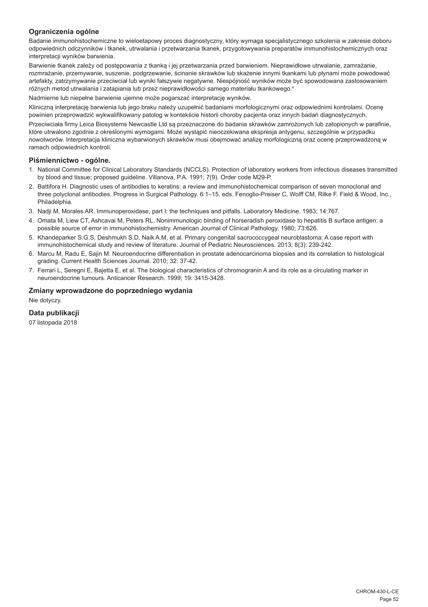# **Ograniczenia ogólne**

Badanie immunohistochemiczne to wieloetapowy proces diagnostyczny, który wymaga specjalistycznego szkolenia w zakresie doboru odpowiednich odczynników i tkanek, utrwalania i przetwarzania tkanek, przygotowywania preparatów immunohistochemicznych oraz interpretacji wyników barwienia.

Barwienie tkanek zależy od postępowania z tkanką i jej przetwarzania przed barwieniem. Nieprawidłowe utrwalanie, zamrażanie, rozmrażanie, przemywanie, suszenie, podgrzewanie, ścinanie skrawków lub skażenie innymi tkankami lub płynami może powodować artefakty, zatrzymywanie przeciwciał lub wyniki fałszywie negatywne. Niespójność wyników może być spowodowana zastosowaniem różnych metod utrwalania i zatapiania lub przez nieprawidłowości samego materiału tkankowego.<sup>4</sup>

Nadmierne lub niepełne barwienie ujemne może pogarszać interpretację wyników.

Kliniczną interpretację barwienia lub jego braku należy uzupełnić badaniami morfologicznymi oraz odpowiednimi kontrolami. Ocenę powinien przeprowadzić wykwalifikowany patolog w kontekście historii choroby pacjenta oraz innych badań diagnostycznych.

Przeciwciała firmy Leica Biosystems Newcastle Ltd są przeznaczone do badania skrawków zamrożonych lub zatopionych w parafinie, które utrwalono zgodnie z określonymi wymogami. Może wystąpić nieoczekiwana ekspresja antygenu, szczególnie w przypadku nowotworów. Interpretacja kliniczna wybarwionych skrawków musi obejmować analizę morfologiczną oraz ocenę przeprowadzoną w ramach odpowiednich kontroli.

# **Piśmiennictwo - ogólne.**

- 1. National Committee for Clinical Laboratory Standards (NCCLS). Protection of laboratory workers from infectious diseases transmitted by blood and tissue; proposed guideline. Villanova, P.A. 1991; 7(9). Order code M29-P.
- 2. Battifora H. Diagnostic uses of antibodies to keratins: a review and immunohistochemical comparison of seven monoclonal and three polyclonal antibodies. Progress in Surgical Pathology. 6:1–15. eds. Fenoglio-Preiser C, Wolff CM, Rilke F. Field & Wood, Inc., Philadelphia.
- 3. Nadji M, Morales AR. Immunoperoxidase, part I: the techniques and pitfalls. Laboratory Medicine. 1983; 14:767.
- 4. Omata M, Liew CT, Ashcavai M, Peters RL. Nonimmunologic binding of horseradish peroxidase to hepatitis B surface antigen: a possible source of error in immunohistochemistry. American Journal of Clinical Pathology. 1980; 73:626.
- 5. Khandeparker S.G.S, Deshmukh S.D, Naik A.M, et al. Primary congenital sacrococcygeal neuroblastoma: A case report with immunohistochemical study and review of literature. Journal of Pediatric Neurosciences. 2013; 8(3): 239-242.
- 6. Marcu M, Radu E, Sajin M. Neuroendocrine differentiation in prostate adenocarcinoma biopsies and its correlation to histological grading. Current Health Sciences Journal. 2010; 32: 37-42.
- 7. Ferrari L, Seregni E, Bajetta E, et al. The biological characteristics of chromogranin A and its role as a circulating marker in neuroendocrine tumours. Anticancer Research. 1999; 19: 3415-3428.

# **Zmiany wprowadzone do poprzedniego wydania**

Nie dotyczy.

# **Data publikacji**

07 listopada 2018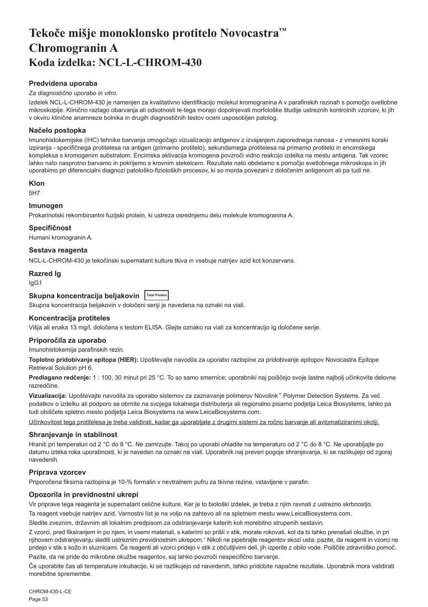# <span id="page-53-0"></span>**Tekoče mišje monoklonsko protitelo Novocastra™ Chromogranin A Koda izdelka: NCL-L-CHROM-430**

# **Predvidena uporaba**

## *Za diagnostično uporabo in vitro.*

Izdelek NCL-L-CHROM-430 je namenjen za kvalitativno identifikacijo molekul kromogranina A v parafinskih rezinah s pomočjo svetlobne mikroskopije. Klinično razlago obarvanja ali odsotnosti le-tega morajo dopolnjevati morfološke študije ustreznih kontrolnih vzorcev, ki jih v okviru klinične anamneze bolnika in drugih diagnostičnih testov oceni usposobljen patolog.

# **Načelo postopka**

Imunohistokemijske (IHC) tehnike barvanja omogočajo vizualizacijo antigenov z izvajanjem zaporednega nanosa - z vmesnimi koraki izpiranja - specifičnega protitelesa na antigen (primarno protitelo), sekundarnega protitelesa na primarno protitelo in encimskega kompleksa s kromogenim substratom. Encimska aktivacija kromogena povzroči vidno reakcijo izdelka na mestu antigena. Tak vzorec lahko nato nasprotno barvamo in pokrijemo s krovnim stekelcem. Rezultate nato obdelamo s pomočjo svetlobnega mikroskopa in jih uporabimo pri diferencialni diagnozi patološko-fizioloških procesov, ki so morda povezani z določenim antigenom ali pa tudi ne.

## **Klon**

5H7

# **Imunogen**

Prokarinotski rekombinantni fuzijski protein, ki ustreza osrednjemu delu molekule kromogranina A.

## **Specifičnost**

Humani kromogranin A.

# **Sestava reagenta**

NCL-L-CHROM-430 je tekočinski supernatant kulture tkiva in vsebuje natrijev azid kot konzervans.

# **Razred Ig**

IgG1

# **Skupna koncentracija beljakovin Total Protein**

Skupna koncentracija beljakovin v določeni seriji je navedena na oznaki na viali.

## **Koncentracija protiteles**

Višja ali enaka 13 mg/l, določena s testom ELISA. Glejte oznako na viali za koncentracijo Ig določene serije.

# **Priporočila za uporabo**

Imunohistokemija parafinskih rezin.

**Toplotno pridobivanje epitopa (HIER):** Upoštevajte navodila za uporabo raztopine za pridobivanje epitopov Novocastra Epitope Retrieval Solution pH 6.

**Predlagano redčenje:** 1 : 100, 30 minut pri 25 °C. To so samo smernice; uporabniki naj poiščejo svoje lastne najbolj učinkovite delovne razredčine.

**Vizualizacija:** Upoštevajte navodila za uporabo sistemov za zaznavanje polimerov Novolink™ Polymer Detection Systems. Za več podatkov o izdelku ali podporo se obrnite na svojega lokalnega distributerja ali regionalno pisarno podjetja Leica Biosystems, lahko pa tudi obiščete spletno mesto podjetja Leica Biosystems na www.LeicaBiosystems.com.

Učinkovitost tega protitelesa je treba validirati, kadar ga uporabljate z drugimi sistemi za ročno barvanje ali avtomatiziranimi okolji.

## **Shranjevanje in stabilnost**

Hraniti pri temperaturi od 2 °C do 8 °C. Ne zamrzujte. Takoj po uporabi ohladite na temperaturo od 2 °C do 8 °C. Ne uporabljajte po datumu izteka roka uporabnosti, ki je naveden na oznaki na viali. Uporabnik naj preveri pogoje shranjevanja, ki se razlikujejo od zgoraj navedenih.

# **Priprava vzorcev**

Priporočena fiksirna raztopina je 10-% formalin v nevtralnem pufru za tkivne rezine, vstavljene v parafin.

# **Opozorila in previdnostni ukrepi**

Vir priprave tega reagenta je supernatant celične kulture. Ker je to biološki izdelek, je treba z njim ravnati z ustrezno skrbnostjo.

Ta reagent vsebuje natrijev azid. Varnostni list je na voljo na zahtevo ali na spletnem mestu www.LeicaBiosystems.com.

Sledite zveznim, državnim ali lokalnim predpisom za odstranjevanje katerih koli morebitno strupenih sestavin.

Z vzorci, pred fiksiranjem in po njem, in vsemi materiali, s katerimi so prišli v stik, morate rokovati, kot da bi lahko prenašali okužbe, in pri njihovem odstranjevanju slediti ustreznim previdnostnim ukrepom.1 Nikoli ne pipetirajte reagentov skozi usta; pazite, da reagenti in vzorci ne pridejo v stik s kožo in sluznicami. Če reagenti ali vzorci pridejo v stik z občutljivimi deli, jih izperite z obilo vode. Poiščite zdravniško pomoč. Pazite, da ne pride do mikrobne okužbe reagentov, saj lahko povzroči nespecifično barvanje.

Če uporabite čas ali temperature inkubacije, ki se razlikujejo od navedenih, lahko pridobite napačne rezultate. Uporabnik mora validirati morebitne spremembe.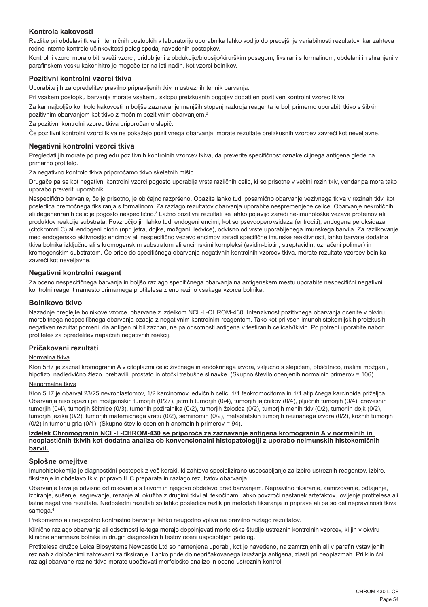# **Kontrola kakovosti**

Razlike pri obdelavi tkiva in tehničnih postopkih v laboratoriju uporabnika lahko vodijo do precejšnje variabilnosti rezultatov, kar zahteva redne interne kontrole učinkovitosti poleg spodaj navedenih postopkov.

Kontrolni vzorci morajo biti sveži vzorci, pridobljeni z obdukcijo/biopsijo/kirurškim posegom, fiksirani s formalinom, obdelani in shranjeni v parafinskem vosku kakor hitro je mogoče ter na isti način, kot vzorci bolnikov.

# **Pozitivni kontrolni vzorci tkiva**

Uporabite jih za opredelitev pravilno pripravljenih tkiv in ustreznih tehnik barvanja.

Pri vsakem postopku barvanja morate vsakemu sklopu preizkusnih pogojev dodati en pozitiven kontrolni vzorec tkiva.

Za kar najboljšo kontrolo kakovosti in boljše zaznavanje manjših stopenj razkroja reagenta je bolj primerno uporabiti tkivo s šibkim pozitivnim obarvanjem kot tkivo z močnim pozitivnim obarvanjem.<sup>2</sup>

Za pozitivni kontrolni vzorec tkiva priporočamo slepič.

Če pozitivni kontrolni vzorci tkiva ne pokažejo pozitivnega obarvanja, morate rezultate preizkusnih vzorcev zavreči kot neveljavne.

# **Negativni kontrolni vzorci tkiva**

Pregledati jih morate po pregledu pozitivnih kontrolnih vzorcev tkiva, da preverite specifičnost oznake ciljnega antigena glede na primarno protitelo.

Za negativno kontrolo tkiva priporočamo tkivo skeletnih mišic.

Drugače pa se kot negativni kontrolni vzorci pogosto uporablja vrsta različnih celic, ki so prisotne v večini rezin tkiv, vendar pa mora tako uporabo preveriti uporabnik.

Nespecifično barvanje, če je prisotno, je običajno razpršeno. Opazite lahko tudi posamično obarvanje vezivnega tkiva v rezinah tkiv, kot posledica premočnega fiksiranja s formalinom. Za razlago rezultatov obarvanja uporabite nespremenjene celice. Obarvanje nekrotičnih ali degeneriranih celic je pogosto nespecifično.<sup>3</sup> Lažno pozitivni rezultati se lahko pojavijo zaradi ne-imunološke vezave proteinov ali produktov reakcije substrata. Povzročijo jih lahko tudi endogeni encimi, kot so psevdoperoksidaza (eritrociti), endogena peroksidaza (citokromni C) ali endogeni biotin (npr. jetra, dojke, možgani, ledvice), odvisno od vrste uporabljenega imunskega barvila. Za razlikovanje med endogensko aktivnostjo encimov ali nespecifično vezavo encimov zaradi specifične imunske reaktivnosti, lahko barvate dodatna tkiva bolnika izključno ali s kromogenskim substratom ali encimskimi kompleksi (avidin-biotin, streptavidin, označeni polimer) in kromogenskim substratom. Če pride do specifičnega obarvanja negativnih kontrolnih vzorcev tkiva, morate rezultate vzorcev bolnika zavreči kot neveljavne.

# **Negativni kontrolni reagent**

Za oceno nespecifičnega barvanja in boljšo razlago specifičnega obarvanja na antigenskem mestu uporabite nespecifični negativni kontrolni reagent namesto primarnega protitelesa z eno rezino vsakega vzorca bolnika.

## **Bolnikovo tkivo**

Nazadnje preglejte bolnikove vzorce, obarvane z izdelkom NCL-L-CHROM-430. Intenzivnost pozitivnega obarvanja ocenite v okviru morebitnega nespecifičnega obarvanja ozadja z negativnim kontrolnim reagentom. Tako kot pri vseh imunohistokemijskih preizkusih negativen rezultat pomeni, da antigen ni bil zaznan, ne pa odsotnosti antigena v testiranih celicah/tkivih. Po potrebi uporabite nabor protiteles za opredelitev napačnih negativnih reakcij.

# **Pričakovani rezultati**

## Normalna tkiva

Klon 5H7 je zaznal kromogranin A v citoplazmi celic živčnega in endokrinega izvora, vključno s slepičem, obščitnico, malimi možgani, hipofizo, nadledvično žlezo, prebavili, prostato in otočki trebušne slinavke. (Skupno število ocenjenih normalnih primerov = 106).

## Nenormalna tkiva

Klon 5H7 je obarval 23/25 nevroblastomov, 1/2 karcinomov ledvičnih celic, 1/1 feokromocitoma in 1/1 atipičnega karcinoida priželjca. Obarvanja niso opazili pri možganskih tumorijh (0/27), jetrnih tumorjih (0/4), tumorjih jajčnikov (0/4), pljučnih tumorjih (0/4), črevesnih tumorjih (0/4), tumorjih ščitnice (0/3), tumorjih požiralnika (0/2), tumorjih želodca (0/2), tumorjih mehih tkiv (0/2), tumorjih dojk (0/2), tumorjih jezika (0/2), tumorjih materničnega vratu (0/2), seminomih (0/2), metastatskih tumorjih neznanega izvora (0/2), kožnih tumorjih (0/2) in tumorju grla (0/1). (Skupno število ocenjenih anomalnih primerov = 94).

## **Izdelek Chromogranin NCL-L-CHROM-430 se priporoča za zaznavanje antigena kromogranin A v normalnih in neoplastičnih tkivih kot dodatna analiza ob konvencionalni histopatologiji z uporabo neimunskih histokemičnih barvil.**

# **Splošne omejitve**

Imunohistokemija je diagnostični postopek z več koraki, ki zahteva specializirano usposabljanje za izbiro ustreznih reagentov, izbiro, fiksiranje in obdelavo tkiv, pripravo IHC preparata in razlago rezultatov obarvanja.

Obarvanje tkiva je odvisno od rokovanja s tkivom in njegovo obdelavo pred barvanjem. Nepravilno fiksiranje, zamrzovanje, odtajanje, izpiranje, sušenje, segrevanje, rezanje ali okužba z drugimi tkivi ali tekočinami lahko povzroči nastanek artefaktov, lovljenje protitelesa ali lažne negativne rezultate. Nedosledni rezultati so lahko posledica razlik pri metodah fiksiranja in priprave ali pa so del nepravilnosti tkiva samega.4

Prekomerno ali nepopolno kontrastno barvanje lahko neugodno vpliva na pravilno razlago rezultatov.

Klinično razlago obarvanja ali odsotnosti le-tega morajo dopolnjevati morfološke študije ustreznih kontrolnih vzorcev, ki jih v okviru klinične anamneze bolnika in drugih diagnostičnih testov oceni usposobljen patolog.

Protitelesa družbe Leica Biosystems Newcastle Ltd so namenjena uporabi, kot je navedeno, na zamrznjenih ali v parafin vstavljenih rezinah z določenimi zahtevami za fiksiranje. Lahko pride do nepričakovanega izražanja antigena, zlasti pri neoplazmah. Pri klinični razlagi obarvane rezine tkiva morate upoštevati morfološko analizo in oceno ustreznih kontrol.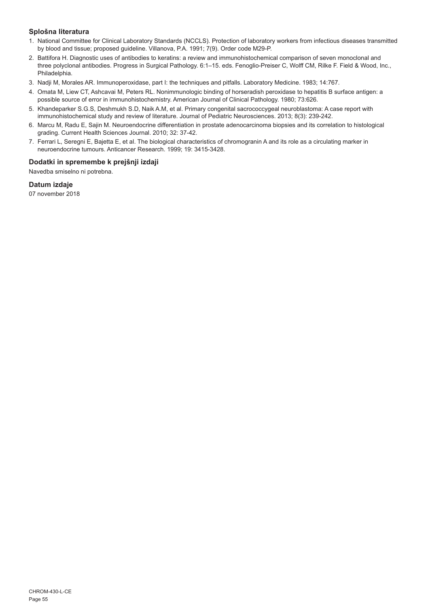# **Splošna literatura**

- 1. National Committee for Clinical Laboratory Standards (NCCLS). Protection of laboratory workers from infectious diseases transmitted by blood and tissue; proposed guideline. Villanova, P.A. 1991; 7(9). Order code M29-P.
- 2. Battifora H. Diagnostic uses of antibodies to keratins: a review and immunohistochemical comparison of seven monoclonal and three polyclonal antibodies. Progress in Surgical Pathology. 6:1–15. eds. Fenoglio-Preiser C, Wolff CM, Rilke F. Field & Wood, Inc., Philadelphia.
- 3. Nadji M, Morales AR. Immunoperoxidase, part I: the techniques and pitfalls. Laboratory Medicine. 1983; 14:767.
- 4. Omata M, Liew CT, Ashcavai M, Peters RL. Nonimmunologic binding of horseradish peroxidase to hepatitis B surface antigen: a possible source of error in immunohistochemistry. American Journal of Clinical Pathology. 1980; 73:626.
- 5. Khandeparker S.G.S, Deshmukh S.D, Naik A.M, et al. Primary congenital sacrococcygeal neuroblastoma: A case report with immunohistochemical study and review of literature. Journal of Pediatric Neurosciences. 2013; 8(3): 239-242.
- 6. Marcu M, Radu E, Sajin M. Neuroendocrine differentiation in prostate adenocarcinoma biopsies and its correlation to histological grading. Current Health Sciences Journal. 2010; 32: 37-42.
- 7. Ferrari L, Seregni E, Bajetta E, et al. The biological characteristics of chromogranin A and its role as a circulating marker in neuroendocrine tumours. Anticancer Research. 1999; 19: 3415-3428.

# **Dodatki in spremembe k prejšnji izdaji**

Navedba smiselno ni potrebna.

# **Datum izdaje**

07 november 2018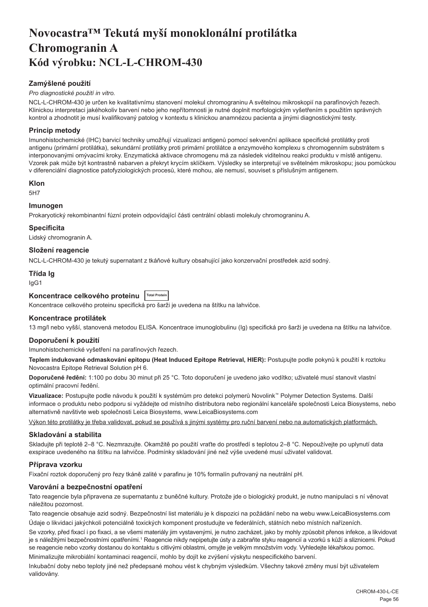# <span id="page-56-0"></span>**Novocastra™ Tekutá myší monoklonální protilátka Chromogranin A Kód výrobku: NCL-L-CHROM-430**

# **Zamýšlené použití**

## *Pro diagnostické použití in vitro.*

NCL-L-CHROM-430 je určen ke kvalitativnímu stanovení molekul chromograninu A světelnou mikroskopií na parafínových řezech. Klinickou interpretaci jakéhokoliv barvení nebo jeho nepřítomnosti je nutné doplnit morfologickým vyšetřením s použitím správných kontrol a zhodnotit je musí kvalifikovaný patolog v kontextu s klinickou anamnézou pacienta a jinými diagnostickými testy.

# **Princip metody**

Imunohistochemické (IHC) barvicí techniky umožňují vizualizaci antigenů pomocí sekvenční aplikace specifické protilátky proti antigenu (primární protilátka), sekundární protilátky proti primární protilátce a enzymového komplexu s chromogenním substrátem s interponovanými omývacími kroky. Enzymatická aktivace chromogenu má za následek viditelnou reakci produktu v místě antigenu. Vzorek pak může být kontrastně nabarven a překryt krycím sklíčkem. Výsledky se interpretují ve světelném mikroskopu; jsou pomůckou v diferenciální diagnostice patofyziologických procesů, které mohou, ale nemusí, souviset s příslušným antigenem.

# **Klon**

5H7

# **Imunogen**

Prokaryotický rekombinantní fúzní protein odpovídající části centrální oblasti molekuly chromograninu A.

# **Specificita**

Lidský chromogranin A.

# **Složení reagencie**

NCL-L-CHROM-430 je tekutý supernatant z tkáňové kultury obsahující jako konzervační prostředek azid sodný.

# **Třída Ig**

IgG1

# **Koncentrace celkového proteinu Total Protein**

Koncentrace celkového proteinu specifická pro šarži je uvedena na štítku na lahvičce.

# **Koncentrace protilátek**

13 mg/l nebo vyšší, stanovená metodou ELISA. Koncentrace imunoglobulinu (Ig) specifická pro šarži je uvedena na štítku na lahvičce.

## **Doporučení k použití**

Imunohistochemické vyšetření na parafínových řezech.

**Teplem indukované odmaskování epitopu (Heat Induced Epitope Retrieval, HIER):** Postupujte podle pokynů k použití k roztoku Novocastra Epitope Retrieval Solution pH 6.

**Doporučené ředění:** 1:100 po dobu 30 minut při 25 °C. Toto doporučení je uvedeno jako vodítko; uživatelé musí stanovit vlastní optimální pracovní ředění.

**Vizualizace:** Postupujte podle návodu k použití k systémům pro detekci polymerů Novolink™ Polymer Detection Systems. Další informace o produktu nebo podporu si vyžádejte od místního distributora nebo regionální kanceláře společnosti Leica Biosystems, nebo alternativně navštivte web společnosti Leica Biosystems, www.LeicaBiosystems.com

Výkon této protilátky je třeba validovat, pokud se používá s jinými systémy pro ruční barvení nebo na automatických platformách.

# **Skladování a stabilita**

Skladujte při teplotě 2–8 °C. Nezmrazujte. Okamžitě po použití vraťte do prostředí s teplotou 2–8 °C. Nepoužívejte po uplynutí data exspirace uvedeného na štítku na lahvičce. Podmínky skladování jiné než výše uvedené musí uživatel validovat.

# **Příprava vzorku**

Fixační roztok doporučený pro řezy tkáně zalité v parafinu je 10% formalín pufrovaný na neutrální pH.

# **Varování a bezpečnostní opatření**

Tato reagencie byla připravena ze supernatantu z buněčné kultury. Protože jde o biologický produkt, je nutno manipulaci s ní věnovat náležitou pozornost.

Tato reagencie obsahuje azid sodný. Bezpečnostní list materiálu je k dispozici na požádání nebo na webu www.LeicaBiosystems.com Údaje o likvidaci jakýchkoli potenciálně toxických komponent prostudujte ve federálních, státních nebo místních nařízeních.

Se vzorky, před fixací i po fixaci, a se všemi materiály jim vystavenými, je nutno zacházet, jako by mohly způsobit přenos infekce, a likvidovat je s náležitými bezpečnostními opatřeními.1 Reagencie nikdy nepipetujte ústy a zabraňte styku reagencií a vzorků s kůží a sliznicemi. Pokud se reagencie nebo vzorky dostanou do kontaktu s citlivými oblastmi, omyjte je velkým množstvím vody. Vyhledejte lékařskou pomoc. Minimalizujte mikrobiální kontaminaci reagencií, mohlo by dojít ke zvýšení výskytu nespecifického barvení.

Inkubační doby nebo teploty jiné než předepsané mohou vést k chybným výsledkům. Všechny takové změny musí být uživatelem validovány.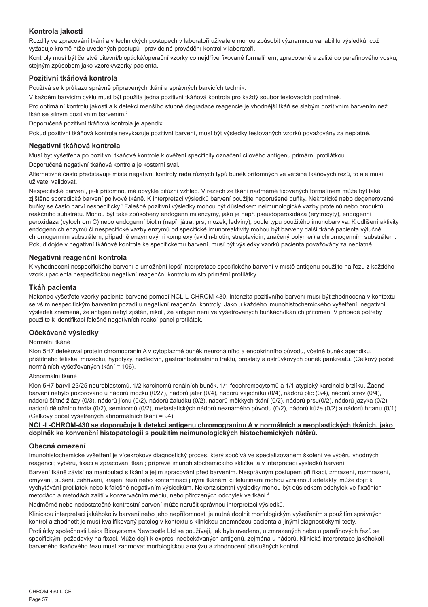# **Kontrola jakosti**

Rozdíly ve zpracování tkání a v technických postupech v laboratoři uživatele mohou způsobit významnou variabilitu výsledků, což vyžaduje kromě níže uvedených postupů i pravidelné provádění kontrol v laboratoři.

Kontroly musí být čerstvé pitevní/bioptické/operační vzorky co nejdříve fixované formalínem, zpracované a zalité do parafínového vosku, stejným způsobem jako vzorek/vzorky pacienta.

## **Pozitivní tkáňová kontrola**

Používá se k průkazu správně připravených tkání a správných barvicích technik.

V každém barvicím cyklu musí být použita jedna pozitivní tkáňová kontrola pro každý soubor testovacích podmínek.

Pro optimální kontrolu jakosti a k detekci menšího stupně degradace reagencie je vhodnější tkáň se slabým pozitivním barvením než tkáň se silným pozitivním barvením.<sup>2</sup>

Doporučená pozitivní tkáňová kontrola je apendix.

Pokud pozitivní tkáňová kontrola nevykazuje pozitivní barvení, musí být výsledky testovaných vzorků považovány za neplatné.

## **Negativní tkáňová kontrola**

Musí být vyšetřena po pozitivní tkáňové kontrole k ověření specificity označení cílového antigenu primární protilátkou.

Doporučená negativní tkáňová kontrola je kosterní sval.

Alternativně často představuje místa negativní kontroly řada různých typů buněk přítomných ve většině tkáňových řezů, to ale musí uživatel validovat.

Nespecifické barvení, je-li přítomno, má obvykle difúzní vzhled. V řezech ze tkání nadměrně fixovaných formalínem může být také zjištěno sporadické barvení pojivové tkáně. K interpretaci výsledků barvení použijte neporušené buňky. Nekrotické nebo degenerované buňky se často barví nespecificky.<sup>3</sup>Falešně pozitivní výsledky mohou být důsledkem neimunologické vazby proteinů nebo produktů reakčního substrátu. Mohou být také způsobeny endogenními enzymy, jako je např. pseudoperoxidáza (erytrocyty), endogenní peroxidáza (cytochrom C) nebo endogenní biotin (např. játra, prs, mozek, ledviny), podle typu použitého imunobarviva. K odlišení aktivity endogenních enzymů či nespecifické vazby enzymů od specifické imunoreaktivity mohou být barveny další tkáně pacienta výlučně chromogenním substrátem, případně enzymovými komplexy (avidin-biotin, streptavidin, značený polymer) a chromogenním substrátem. Pokud dojde v negativní tkáňové kontrole ke specifickému barvení, musí být výsledky vzorků pacienta považovány za neplatné.

# **Negativní reagenční kontrola**

K vyhodnocení nespecifického barvení a umožnění lepší interpretace specifického barvení v místě antigenu použijte na řezu z každého vzorku pacienta nespecifickou negativní reagenční kontrolu místo primární protilátky.

# **Tkáň pacienta**

Nakonec vyšetřete vzorky pacienta barvené pomocí NCL-L-CHROM-430. Intenzita pozitivního barvení musí být zhodnocena v kontextu se vším nespecifickým barvením pozadí u negativní reagenční kontroly. Jako u každého imunohistochemického vyšetření, negativní výsledek znamená, že antigen nebyl zjištěn, nikoli, že antigen není ve vyšetřovaných buňkách/tkáních přítomen. V případě potřeby použijte k identifikaci falešně negativních reakcí panel protilátek.

# **Očekávané výsledky**

# Normální tkáně

Klon 5H7 detekoval protein chromogranin A v cytoplazmě buněk neuronálního a endokrinního původu, včetně buněk apendixu, příštítného tělíska, mozečku, hypofýzy, nadledvin, gastrointestinálního traktu, prostaty a ostrůvkových buněk pankreatu. (Celkový počet normálních vyšetřovaných tkání = 106).

# Abnormální tkáně

Klon 5H7 barvil 23/25 neuroblastomů, 1/2 karcinomů renálních buněk, 1/1 feochromocytomů a 1/1 atypický karcinoid brzlíku. Žádné barvení nebylo pozorováno u nádorů mozku (0/27), nádorů jater (0/4), nádorů vaječníku (0/4), nádorů plic (0/4), nádorů střev (0/4), nádorů štítné žlázy (0/3), nádorů jícnu (0/2), nádorů žaludku (0/2), nádorů měkkých tkání (0/2), nádorů prsu(0/2), nádorů jazyka (0/2), nádorů děložního hrdla (0/2), seminomů (0/2), metastatických nádorů neznámého původu (0/2), nádorů kůže (0/2) a nádorů hrtanu (0/1). (Celkový počet vyšetřených abnormálních tkání = 94).

## **NCL-L-CHROM-430 se doporučuje k detekci antigenu chromograninu A v normálních a neoplastických tkáních, jako doplněk ke konvenční histopatologii s použitím neimunologických histochemických nátěrů.**

## **Obecná omezení**

Imunohistochemické vyšetření je vícekrokový diagnostický proces, který spočívá ve specializovaném školení ve výběru vhodných reagencií; výběru, fixaci a zpracování tkání; přípravě imunohistochemickího sklíčka; a v interpretaci výsledků barvení.

Barvení tkáně závisí na manipulaci s tkání a jejím zpracování před barvením. Nesprávným postupem při fixaci, zmrazení, rozmrazení, omývání, sušení, zahřívání, krájení řezů nebo kontaminací jinými tkáněmi či tekutinami mohou vzniknout artefakty, může dojít k vychytávání protilátek nebo k falešně negativním výsledkům. Nekonzistentní výsledky mohou být důsledkem odchylek ve fixačních metodách a metodách zalití v konzervačním médiu, nebo přirozených odchylek ve tkáni.<sup>4</sup>

Nadměrné nebo nedostatečné kontrastní barvení může narušit správnou interpretaci výsledků.

Klinickou interpretaci jakéhokoliv barvení nebo jeho nepřítomnosti je nutné doplnit morfologickým vyšetřením s použitím správných kontrol a zhodnotit je musí kvalifikovaný patolog v kontextu s klinickou anamnézou pacienta a jinými diagnostickými testy.

Protilátky společnosti Leica Biosystems Newcastle Ltd se používají, jak bylo uvedeno, u zmrazených nebo u parafínových řezů se specifickými požadavky na fixaci. Může dojít k expresi neočekávaných antigenů, zejména u nádorů. Klinická interpretace jakéhokoli barveného tkáňového řezu musí zahrnovat morfologickou analýzu a zhodnocení příslušných kontrol.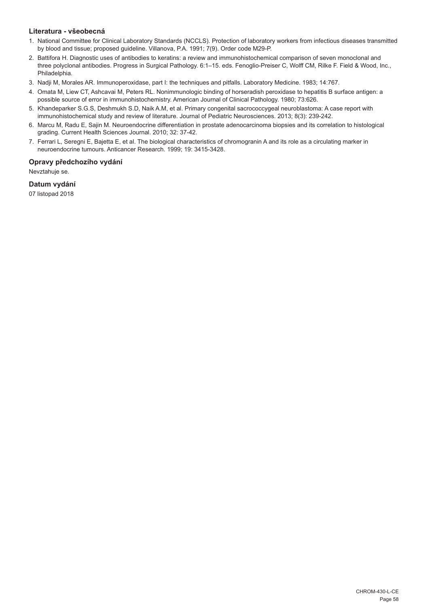# **Literatura - všeobecná**

- 1. National Committee for Clinical Laboratory Standards (NCCLS). Protection of laboratory workers from infectious diseases transmitted by blood and tissue; proposed guideline. Villanova, P.A. 1991; 7(9). Order code M29-P.
- 2. Battifora H. Diagnostic uses of antibodies to keratins: a review and immunohistochemical comparison of seven monoclonal and three polyclonal antibodies. Progress in Surgical Pathology. 6:1–15. eds. Fenoglio-Preiser C, Wolff CM, Rilke F. Field & Wood, Inc., Philadelphia.
- 3. Nadji M, Morales AR. Immunoperoxidase, part I: the techniques and pitfalls. Laboratory Medicine. 1983; 14:767.
- 4. Omata M, Liew CT, Ashcavai M, Peters RL. Nonimmunologic binding of horseradish peroxidase to hepatitis B surface antigen: a possible source of error in immunohistochemistry. American Journal of Clinical Pathology. 1980; 73:626.
- 5. Khandeparker S.G.S, Deshmukh S.D, Naik A.M, et al. Primary congenital sacrococcygeal neuroblastoma: A case report with immunohistochemical study and review of literature. Journal of Pediatric Neurosciences. 2013; 8(3): 239-242.
- 6. Marcu M, Radu E, Sajin M. Neuroendocrine differentiation in prostate adenocarcinoma biopsies and its correlation to histological grading. Current Health Sciences Journal. 2010; 32: 37-42.
- 7. Ferrari L, Seregni E, Bajetta E, et al. The biological characteristics of chromogranin A and its role as a circulating marker in neuroendocrine tumours. Anticancer Research. 1999; 19: 3415-3428.

# **Opravy předchozího vydání**

Nevztahuje se.

# **Datum vydání**

07 listopad 2018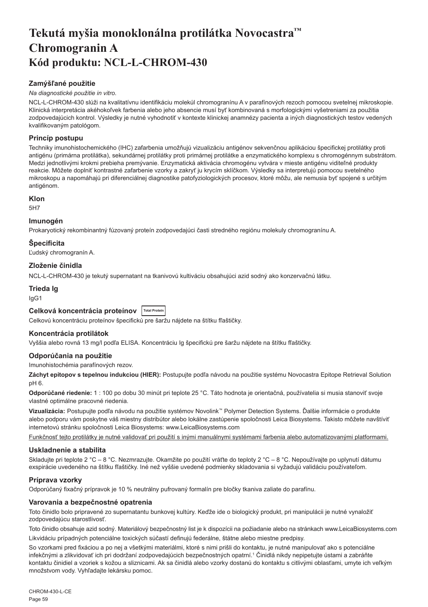# <span id="page-59-0"></span>**Tekutá myšia monoklonálna protilátka Novocastra™ Chromogranin A Kód produktu: NCL-L-CHROM-430**

# **Zamýšľané použitie**

## *Na diagnostické použitie in vitro.*

NCL-L-CHROM-430 slúži na kvalitatívnu identifikáciu molekúl chromogranínu A v parafínových rezoch pomocou svetelnej mikroskopie. Klinická interpretácia akéhokoľvek farbenia alebo jeho absencie musí byť kombinovaná s morfologickými vyšetreniami za použitia zodpovedajúcich kontrol. Výsledky je nutné vyhodnotiť v kontexte klinickej anamnézy pacienta a iných diagnostických testov vedených kvalifikovaným patológom.

# **Princíp postupu**

Techniky imunohistochemického (IHC) zafarbenia umožňujú vizualizáciu antigénov sekvenčnou aplikáciou špecifickej protilátky proti antigénu (primárna protilátka), sekundárnej protilátky proti primárnej protilátke a enzymatického komplexu s chromogénnym substrátom. Medzi jednotlivými krokmi prebieha premývanie. Enzymatická aktivácia chromogénu vytvára v mieste antigénu viditeľné produkty reakcie. Môžete doplniť kontrastné zafarbenie vzorky a zakryť ju krycím sklíčkom. Výsledky sa interpretujú pomocou svetelného mikroskopu a napomáhajú pri diferenciálnej diagnostike patofyziologických procesov, ktoré môžu, ale nemusia byť spojené s určitým antigénom.

# **Klon**

5H7

# **Imunogén**

Prokaryotický rekombinantný fúzovaný proteín zodpovedajúci časti stredného regiónu molekuly chromogranínu A.

# **Špecificita**

Ľudský chromogranín A.

# **Zloženie činidla**

NCL-L-CHROM-430 je tekutý supernatant na tkanivovú kultiváciu obsahujúci azid sodný ako konzervačnú látku.

# **Trieda Ig**

IgG1

# **Celková koncentrácia proteínov Total Protein**

Celkovú koncentráciu proteínov špecifickú pre šaržu nájdete na štítku fľaštičky.

# **Koncentrácia protilátok**

Vyššia alebo rovná 13 mg/l podľa ELISA. Koncentráciu Ig špecifickú pre šaržu nájdete na štítku fľaštičky.

# **Odporúčania na použitie**

Imunohistochémia parafínových rezov.

**Záchyt epitopov s tepelnou indukciou (HIER):** Postupujte podľa návodu na použitie systému Novocastra Epitope Retrieval Solution pH 6.

**Odporúčané riedenie:** 1 : 100 po dobu 30 minút pri teplote 25 °C. Táto hodnota je orientačná, používatelia si musia stanoviť svoje vlastné optimálne pracovné riedenia.

**Vizualizácia:** Postupujte podľa návodu na použitie systémov Novolink™ Polymer Detection Systems. Ďalšie informácie o produkte alebo podporu vám poskytne váš miestny distribútor alebo lokálne zastúpenie spoločnosti Leica Biosystems. Takisto môžete navštíviť internetovú stránku spoločnosti Leica Biosystems: www.LeicaBiosystems.com

Funkčnosť tejto protilátky je nutné validovať pri použití s inými manuálnymi systémami farbenia alebo automatizovanými platformami.

# **Uskladnenie a stabilita**

Skladujte pri teplote 2 °C – 8 °C. Nezmrazujte. Okamžite po použití vráťte do teploty 2 °C – 8 °C. Nepoužívajte po uplynutí dátumu exspirácie uvedeného na štítku fľaštičky. Iné než vyššie uvedené podmienky skladovania si vyžadujú validáciu používateľom.

# **Príprava vzorky**

Odporúčaný fixačný prípravok je 10 % neutrálny pufrovaný formalín pre bločky tkaniva zaliate do parafínu.

## **Varovania a bezpečnostné opatrenia**

Toto činidlo bolo pripravené zo supernatantu bunkovej kultúry. Keďže ide o biologický produkt, pri manipulácii je nutné vynaložiť zodpovedajúcu starostlivosť.

Toto činidlo obsahuje azid sodný. Materiálový bezpečnostný list je k dispozícii na požiadanie alebo na stránkach www.LeicaBiosystems.com Likvidáciu prípadných potenciálne toxických súčastí definujú federálne, štátne alebo miestne predpisy.

So vzorkami pred fixáciou a po nej a všetkými materiálmi, ktoré s nimi prišli do kontaktu, je nutné manipulovať ako s potenciálne infekčnými a zlikvidovať ich pri dodržaní zodpovedajúcich bezpečnostných opatrní.<sup>1</sup> Činidlá nikdy nepipetujte ústami a zabráňte kontaktu činidiel a vzoriek s kožou a sliznicami. Ak sa činidlá alebo vzorky dostanú do kontaktu s citlivými oblasťami, umyte ich veľkým množstvom vody. Vyhľadajte lekársku pomoc.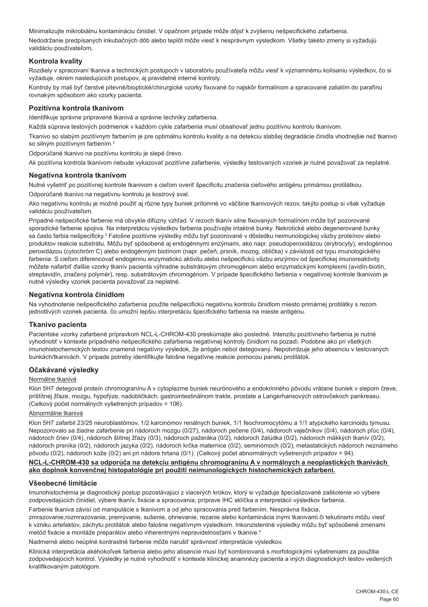Minimalizujte mikrobiálnu kontamináciu činidiel. V opačnom prípade môže dôjsť k zvýšeniu nešpecifického zafarbenia. Nedodržanie predpísaných inkubačných dôb alebo teplôt môže viesť k nesprávnym výsledkom. Všetky takéto zmeny si vyžadujú validáciu používateľom**.**

# **Kontrola kvality**

Rozdiely v spracovaní tkaniva a technických postupoch v laboratóriu používateľa môžu viesť k významnému kolísaniu výsledkov, čo si vyžaduje, okrem nasledujúcich postupov, aj pravidelné interné kontroly.

Kontroly by mali byť čerstvé pitevné/bioptické/chirurgické vzorky fixované čo najskôr formalínom a spracované zaliatím do parafínu rovnakým spôsobom ako vzorky pacienta.

# **Pozitívna kontrola tkanivom**

Identifikuje správne pripravené tkanivá a správne techniky zafarbenia.

Každá súprava testových podmienok v každom cykle zafarbenia musí obsahovať jednu pozitívnu kontrolu tkanivom.

Tkanivo so slabým pozitívnym farbením je pre optimálnu kontrolu kvality a na detekciu slabšej degradácie činidla vhodnejšie než tkanivo so silným pozitívnym farbením.<sup>2</sup>

Odporúčané tkanivo na pozitívnu kontrolu je slepé črevo.

Ak pozitívna kontrola tkanivom nebude vykazovať pozitívne zafarbenie, výsledky testovaných vzoriek je nutné považovať za neplatné.

## **Negatívna kontrola tkanivom**

Nutné vyšetriť po pozitívnej kontrole tkanivom s cieľom overiť špecificitu značenia cieľového antigénu primárnou protilátkou.

Odporúčané tkanivo na negatívnu kontrolu je kostrový sval.

Ako negatívnu kontrolu je možné použiť aj rôzne typy buniek prítomné vo väčšine tkanivových rezov, takýto postup si však vyžaduje validáciu používateľom.

Prípadné nešpecifické farbenie má obvykle difúzny vzhľad. V rezoch tkanív silne fixovaných formalínom môže byť pozorované sporadické farbenie spojiva. Na interpretáciu výsledkov farbenia používajte intaktné bunky. Nekrotické alebo degenerované bunky sa často farbia nešpecificky.<sup>3</sup> Falošne pozitívne výsledky môžu byť pozorované v dôsledku neimunologickej väzby proteínov alebo produktov reakcie substrátu. Môžu byť spôsobené aj endogénnymi enzýmami, ako napr. pseudoperoxidázou (erytrocyty), endogénnou peroxidázou (cytochróm C) alebo endogénnym biotínom (napr. pečeň, prsník, mozog, oblička) v závislosti od typu imunologického farbenia. S cieľom diferencovať endogénnu enzymatickú aktivitu alebo nešpecifickú väzbu enzýmov od špecifickej imunoreaktivity môžete nafarbiť ďalšie vzorky tkanív pacienta výhradne substrátovým chromogénom alebo enzymatickými komplexmi (avidín-biotín, streptavidín, značený polymér), resp. substrátovým chromogénom. V prípade špecifického farbenia v negatívnej kontrole tkanivom je nutné výsledky vzoriek pacienta považovať za neplatné.

# **Negatívna kontrola činidlom**

Na vyhodnotenie nešpecifického zafarbenia použite nešpecifickú negatívnu kontrolu činidlom miesto primárnej protilátky s rezom jednotlivých vzoriek pacienta, čo umožní lepšiu interpretáciu špecifického farbenia na mieste antigénu.

## **Tkanivo pacienta**

Pacientske vzorky zafarbené prípravkom NCL-L-CHROM-430 preskúmajte ako posledné. Intenzitu pozitívneho farbenia je nutné vyhodnotiť v kontexte prípadného nešpecifického zafarbenia negatívnej kontroly činidlom na pozadí. Podobne ako pri všetkých imunohistochemických testov znamená negatívny výsledok, že antigén nebol detegovaný. Nepotvrdzuje jeho absenciu v testovaných bunkách/tkanivách. V prípade potreby identifikujte falošne negatívne reakcie pomocou panelu protilátok.

## **Očakávané výsledky**

## Normálne tkanivá

Klon 5H7 detegoval proteín chromogranínu A v cytoplazme buniek neurónového a endokrinného pôvodu vrátane buniek v slepom čreve, prištítnej žľaze, mozgu, hypofýze, nadobličkách, gastrointestinálnom trakte, prostate a Langerhansových ostrovčekoch pankreasu. (Celkový počet normálnych vyšetrených prípadov = 106).

## Abnormálne tkanivá

Klon 5H7 zafarbil 23/25 neuroblastómov, 1/2 karcinómov renálnych buniek, 1/1 feochromocytómu a 1/1 atypického karcinoidu týmusu. Nepozorovalo sa žiadne zafarbenie pri nádoroch mozgu (0/27), nádoroch pečene (0/4), nádoroch vaječníkov (0/4), nádoroch pľúc (0/4), nádoroch čriev (0/4), nádoroch štítnej žľazy (0/3), nádoroch pažeráka (0/2), nádoroch žalúdka (0/2), nádoroch mäkkých tkanív (0/2), nádoroch prsníka (0/2), nádoroch jazyka (0/2), nádoroch krčka maternice (0/2), seminómoch (0/2), metastatických nádoroch neznámeho pôvodu (0/2), nádoroch kože (0/2) ani pri nádore hrtana (0/1). (Celkový počet abnormálnych vyšetrených prípadov = 94).

# **NCL-L-CHROM-430 sa odporúča na detekciu antigénu chromogranínu A v normálnych a neoplastických tkanivách ako doplnok konvenčnej histopatológie pri použití neimunologických histochemických zafarbení.**

## **Všeobecné limitácie**

Imunohistochémia je diagnostický postup pozostávajúci z viacerých krokov, ktorý si vyžaduje špecializované zaškolenie vo výbere zodpovedajúcich činidiel, výbere tkanív, fixácie a spracovania, príprave IHC sklíčka a interpretácii výsledkov farbenia.

Farbenie tkaniva závisí od manipulácie s tkanivom a od jeho spracovania pred farbením. Nesprávna fixácia,

zmrazovanie,rozmrazovanie, premývanie, sušenie, ohrievanie, rezanie alebo kontaminácia inými tkanivami či tekutinami môžu viesť k vzniku artefaktov, záchytu protilátok alebo falošne negatívnym výsledkom. Inkonzistentné výsledky môžu byť spôsobené zmenami metód fixácie a montáže preparátov alebo inherentnými nepravidelnosťami v tkanive.<sup>4</sup>

Nadmerné alebo neúplné kontrastné farbenie môže narušiť správnosť interpretácie výsledkov.

Klinická interpretácia akéhokoľvek farbenia alebo jeho absencie musí byť kombinovaná s morfologickými vyšetreniami za použitia zodpovedajúcich kontrol. Výsledky je nutné vyhodnotiť v kontexte klinickej anamnézy pacienta a iných diagnostických testov vedených kvalifikovaným patológom.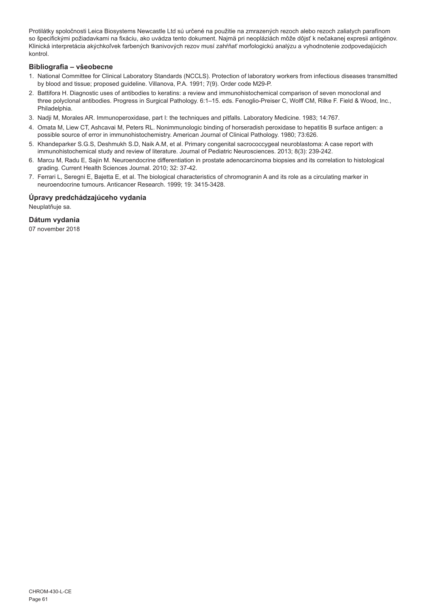Protilátky spoločnosti Leica Biosystems Newcastle Ltd sú určené na použitie na zmrazených rezoch alebo rezoch zaliatych parafínom so špecifickými požiadavkami na fixáciu, ako uvádza tento dokument. Najmä pri neopláziách môže dôjsť k nečakanej expresii antigénov. Klinická interpretácia akýchkoľvek farbených tkanivových rezov musí zahŕňať morfologickú analýzu a vyhodnotenie zodpovedajúcich kontrol.

# **Bibliografia – všeobecne**

- 1. National Committee for Clinical Laboratory Standards (NCCLS). Protection of laboratory workers from infectious diseases transmitted by blood and tissue; proposed guideline. Villanova, P.A. 1991; 7(9). Order code M29-P.
- 2. Battifora H. Diagnostic uses of antibodies to keratins: a review and immunohistochemical comparison of seven monoclonal and three polyclonal antibodies. Progress in Surgical Pathology. 6:1–15. eds. Fenoglio-Preiser C, Wolff CM, Rilke F. Field & Wood, Inc., Philadelphia.
- 3. Nadji M, Morales AR. Immunoperoxidase, part I: the techniques and pitfalls. Laboratory Medicine. 1983; 14:767.
- 4. Omata M, Liew CT, Ashcavai M, Peters RL. Nonimmunologic binding of horseradish peroxidase to hepatitis B surface antigen: a possible source of error in immunohistochemistry. American Journal of Clinical Pathology. 1980; 73:626.
- 5. Khandeparker S.G.S, Deshmukh S.D, Naik A.M, et al. Primary congenital sacrococcygeal neuroblastoma: A case report with immunohistochemical study and review of literature. Journal of Pediatric Neurosciences. 2013; 8(3): 239-242.
- 6. Marcu M, Radu E, Sajin M. Neuroendocrine differentiation in prostate adenocarcinoma biopsies and its correlation to histological grading. Current Health Sciences Journal. 2010; 32: 37-42.
- 7. Ferrari L, Seregni E, Bajetta E, et al. The biological characteristics of chromogranin A and its role as a circulating marker in neuroendocrine tumours. Anticancer Research. 1999; 19: 3415-3428.

# **Úpravy predchádzajúceho vydania**

Neuplatňuje sa.

# **Dátum vydania**

07 november 2018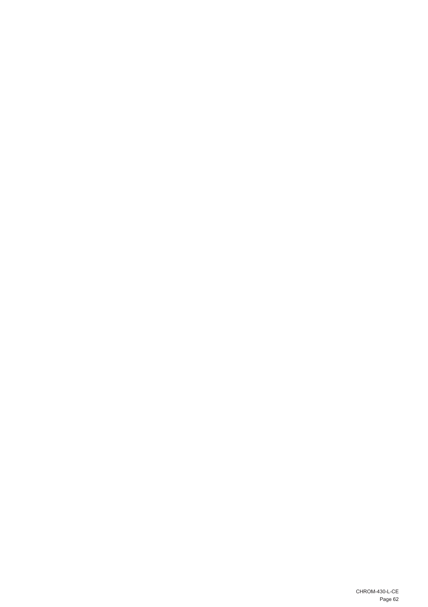CHROM-430-L-CE Page 62